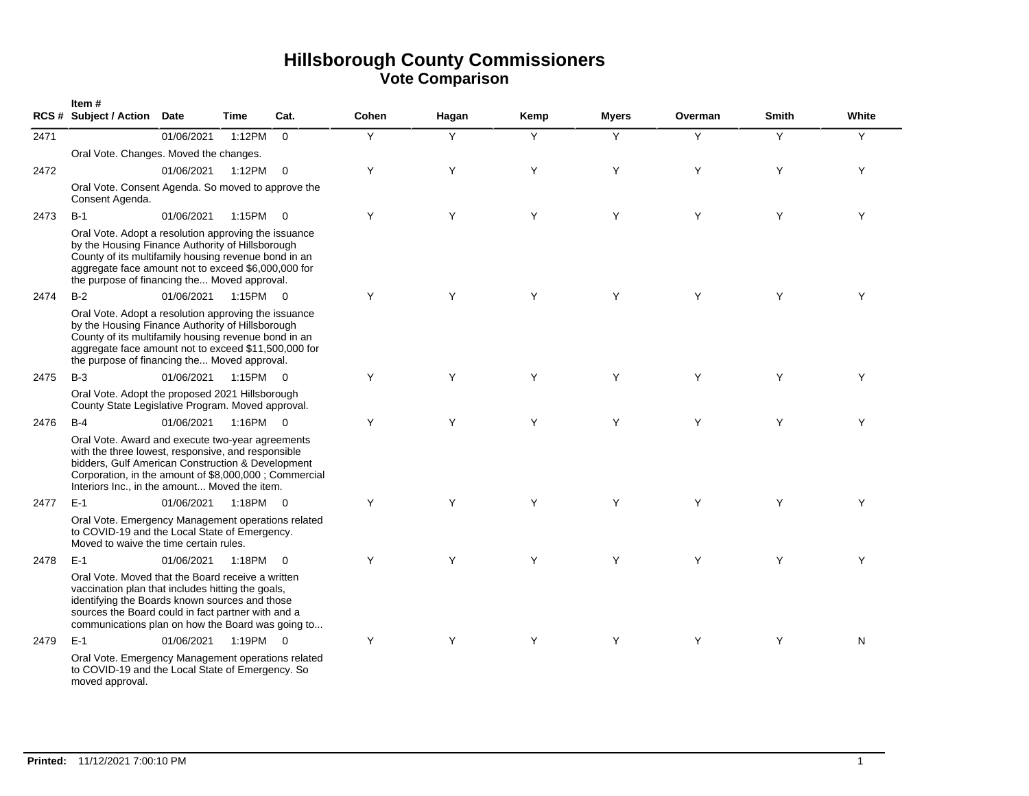|      | Item#<br><b>RCS # Subject / Action</b>                                                                                                                                                                                                                                   | <b>Date</b> | Time        | Cat.                    | Cohen | Hagan | Kemp | <b>Myers</b> | Overman | <b>Smith</b> | White     |
|------|--------------------------------------------------------------------------------------------------------------------------------------------------------------------------------------------------------------------------------------------------------------------------|-------------|-------------|-------------------------|-------|-------|------|--------------|---------|--------------|-----------|
| 2471 |                                                                                                                                                                                                                                                                          | 01/06/2021  | 1:12PM      | $\Omega$                | Y     | Y     | Y    | Y            | Y       | Y            | Y         |
|      | Oral Vote. Changes. Moved the changes.                                                                                                                                                                                                                                   |             |             |                         |       |       |      |              |         |              |           |
| 2472 |                                                                                                                                                                                                                                                                          | 01/06/2021  | 1:12PM      | $\overline{0}$          | Y     | Y     | Y    | Y            | Y       | Y            | Y         |
|      | Oral Vote. Consent Agenda. So moved to approve the<br>Consent Agenda.                                                                                                                                                                                                    |             |             |                         |       |       |      |              |         |              |           |
| 2473 | $B-1$                                                                                                                                                                                                                                                                    | 01/06/2021  | 1:15PM      | $\overline{\mathbf{0}}$ | Y     | Y     | Y    | Y            | Y       | Y            | Y         |
|      | Oral Vote. Adopt a resolution approving the issuance<br>by the Housing Finance Authority of Hillsborough<br>County of its multifamily housing revenue bond in an<br>aggregate face amount not to exceed \$6,000,000 for<br>the purpose of financing the Moved approval.  |             |             |                         |       |       |      |              |         |              |           |
| 2474 | $B-2$                                                                                                                                                                                                                                                                    | 01/06/2021  | $1:15PM$ 0  |                         | Y     | Y     | Y    | Y            | Y       | Y            | Y         |
|      | Oral Vote. Adopt a resolution approving the issuance<br>by the Housing Finance Authority of Hillsborough<br>County of its multifamily housing revenue bond in an<br>aggregate face amount not to exceed \$11,500,000 for<br>the purpose of financing the Moved approval. |             |             |                         |       |       |      |              |         |              |           |
| 2475 | $B-3$                                                                                                                                                                                                                                                                    | 01/06/2021  | $1:15PM$ 0  |                         | Y     | Y     | Y    | Y            | Y       | Y            | Y         |
|      | Oral Vote. Adopt the proposed 2021 Hillsborough<br>County State Legislative Program. Moved approval.                                                                                                                                                                     |             |             |                         |       |       |      |              |         |              |           |
| 2476 | $B-4$                                                                                                                                                                                                                                                                    | 01/06/2021  | $1:16$ PM 0 |                         | Y     | Y     | Y    | Y            | Y       | Y            | Y         |
|      | Oral Vote. Award and execute two-year agreements<br>with the three lowest, responsive, and responsible<br>bidders, Gulf American Construction & Development<br>Corporation, in the amount of \$8,000,000 ; Commercial<br>Interiors Inc., in the amount Moved the item.   |             |             |                         |       |       |      |              |         |              |           |
| 2477 | $E-1$                                                                                                                                                                                                                                                                    | 01/06/2021  | 1:18PM 0    |                         | Y     | Y     | Y    | Y            | Y       | Y            | Y         |
|      | Oral Vote. Emergency Management operations related<br>to COVID-19 and the Local State of Emergency.<br>Moved to waive the time certain rules.                                                                                                                            |             |             |                         |       |       |      |              |         |              |           |
| 2478 | $E-1$                                                                                                                                                                                                                                                                    | 01/06/2021  | 1:18PM 0    |                         | Y     | Y     | Y    | Y            | Y       | Y            | Y         |
|      | Oral Vote. Moved that the Board receive a written<br>vaccination plan that includes hitting the goals,<br>identifying the Boards known sources and those<br>sources the Board could in fact partner with and a<br>communications plan on how the Board was going to      |             |             |                         |       |       |      |              |         |              |           |
| 2479 | $E-1$                                                                                                                                                                                                                                                                    | 01/06/2021  | 1:19PM 0    |                         | Y     | Y     | Y    | Y            | Y       | Y            | ${\sf N}$ |
|      | Oral Vote. Emergency Management operations related<br>to COVID-19 and the Local State of Emergency. So<br>moved approval.                                                                                                                                                |             |             |                         |       |       |      |              |         |              |           |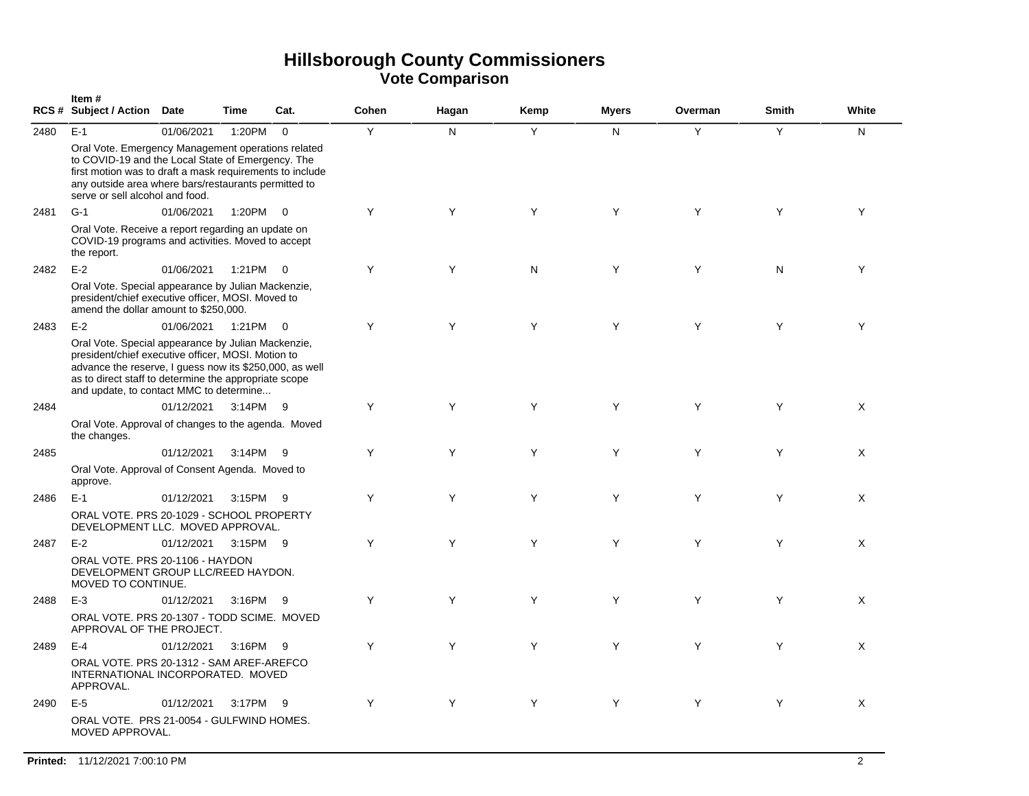|      | Item#<br>RCS # Subject / Action Date                                                                                                                                                                                                                                    |            | <b>Time</b> | Cat.                    | Cohen | Hagan | Kemp | <b>Myers</b> | Overman | <b>Smith</b> | White    |
|------|-------------------------------------------------------------------------------------------------------------------------------------------------------------------------------------------------------------------------------------------------------------------------|------------|-------------|-------------------------|-------|-------|------|--------------|---------|--------------|----------|
| 2480 | $E-1$                                                                                                                                                                                                                                                                   | 01/06/2021 | 1:20PM      | $\mathbf 0$             | Y     | N     | Y    | N            | Y       | Y            | N.       |
|      | Oral Vote. Emergency Management operations related<br>to COVID-19 and the Local State of Emergency. The<br>first motion was to draft a mask requirements to include<br>any outside area where bars/restaurants permitted to<br>serve or sell alcohol and food.          |            |             |                         |       |       |      |              |         |              |          |
| 2481 | $G-1$                                                                                                                                                                                                                                                                   | 01/06/2021 | 1:20PM      | $\overline{0}$          | Y     | Y     | Y    | Y            | Y       | Y            | Y        |
|      | Oral Vote. Receive a report regarding an update on<br>COVID-19 programs and activities. Moved to accept<br>the report.                                                                                                                                                  |            |             |                         |       |       |      |              |         |              |          |
| 2482 | $E-2$                                                                                                                                                                                                                                                                   | 01/06/2021 | 1:21PM      | $\overline{\mathbf{0}}$ | Y     | Y     | N    | Y            | Y       | N            | Y        |
|      | Oral Vote. Special appearance by Julian Mackenzie,<br>president/chief executive officer, MOSI. Moved to<br>amend the dollar amount to \$250,000.                                                                                                                        |            |             |                         |       |       |      |              |         |              |          |
| 2483 | $E-2$                                                                                                                                                                                                                                                                   | 01/06/2021 | 1:21PM      | $\overline{0}$          | Y     | Y     | Y    | Y            | Y       | Y            | Y        |
|      | Oral Vote. Special appearance by Julian Mackenzie,<br>president/chief executive officer, MOSI. Motion to<br>advance the reserve, I guess now its \$250,000, as well<br>as to direct staff to determine the appropriate scope<br>and update, to contact MMC to determine |            |             |                         |       |       |      |              |         |              |          |
| 2484 |                                                                                                                                                                                                                                                                         | 01/12/2021 | 3:14PM      | - 9                     | Y     | Υ     | Y    | Y            | Y       | Y            | Χ        |
|      | Oral Vote. Approval of changes to the agenda. Moved<br>the changes.                                                                                                                                                                                                     |            |             |                         |       |       |      |              |         |              |          |
| 2485 |                                                                                                                                                                                                                                                                         | 01/12/2021 | 3:14PM      | - 9                     | Y     | Y     | Y    | Y            | Y       | Y            | Χ        |
|      | Oral Vote. Approval of Consent Agenda. Moved to<br>approve.                                                                                                                                                                                                             |            |             |                         |       |       |      |              |         |              |          |
| 2486 | $E-1$                                                                                                                                                                                                                                                                   | 01/12/2021 | 3:15PM      | 9                       | Y     | Y     | Y    | Y            | Y       | Y            | X        |
|      | ORAL VOTE. PRS 20-1029 - SCHOOL PROPERTY<br>DEVELOPMENT LLC. MOVED APPROVAL.                                                                                                                                                                                            |            |             |                         |       |       |      |              |         |              |          |
| 2487 | $E-2$                                                                                                                                                                                                                                                                   | 01/12/2021 | 3:15PM 9    |                         | Y     | Y     | Y    | Y            | Y       | Y            | X        |
|      | ORAL VOTE. PRS 20-1106 - HAYDON<br>DEVELOPMENT GROUP LLC/REED HAYDON.<br>MOVED TO CONTINUE.                                                                                                                                                                             |            |             |                         |       |       |      |              |         |              |          |
| 2488 | $E-3$                                                                                                                                                                                                                                                                   | 01/12/2021 | 3:16PM      | - 9                     | Y     | Y     | Y    | Y            | Y       | Y            | Χ        |
|      | ORAL VOTE. PRS 20-1307 - TODD SCIME. MOVED<br>APPROVAL OF THE PROJECT.                                                                                                                                                                                                  |            |             |                         |       |       |      |              |         |              |          |
| 2489 | $E-4$                                                                                                                                                                                                                                                                   | 01/12/2021 | 3:16PM      | - 9                     | Y     | Y     | Y    | Y            | Y       | Y            | $\times$ |
|      | ORAL VOTE. PRS 20-1312 - SAM AREF-AREFCO<br>INTERNATIONAL INCORPORATED. MOVED<br>APPROVAL.                                                                                                                                                                              |            |             |                         |       |       |      |              |         |              |          |
| 2490 | $E-5$                                                                                                                                                                                                                                                                   | 01/12/2021 | 3:17PM      | - 9                     | Y     | Y     | Y    | Y            | Y       | Y            | X        |
|      | ORAL VOTE. PRS 21-0054 - GULFWIND HOMES.<br>MOVED APPROVAL.                                                                                                                                                                                                             |            |             |                         |       |       |      |              |         |              |          |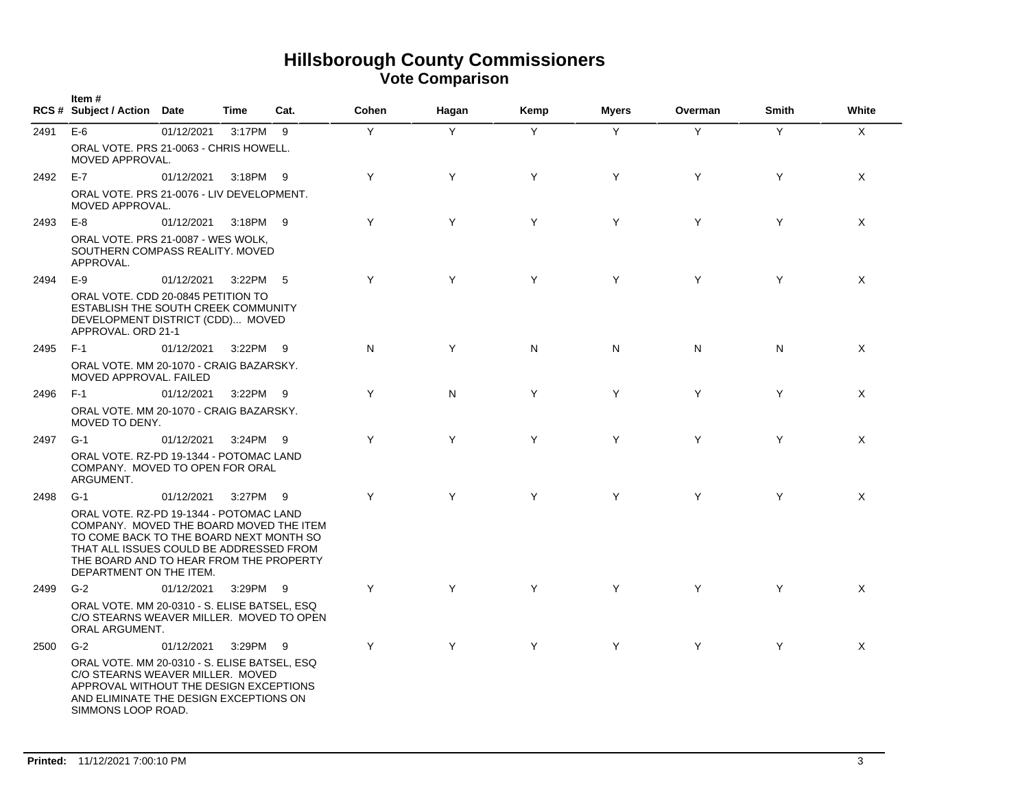|      | Item#<br>RCS # Subject / Action Date                                                                                                                                                                                                           |            | Time     | Cat. | Cohen | Hagan | Kemp           | <b>Myers</b> | Overman | Smith | White        |
|------|------------------------------------------------------------------------------------------------------------------------------------------------------------------------------------------------------------------------------------------------|------------|----------|------|-------|-------|----------------|--------------|---------|-------|--------------|
| 2491 | $E-6$                                                                                                                                                                                                                                          | 01/12/2021 | 3:17PM 9 |      | Y     | Y     | $\overline{Y}$ | Y            | Y       | Y     | $\mathsf{X}$ |
|      | ORAL VOTE, PRS 21-0063 - CHRIS HOWELL.<br>MOVED APPROVAL.                                                                                                                                                                                      |            |          |      |       |       |                |              |         |       |              |
| 2492 | E-7                                                                                                                                                                                                                                            | 01/12/2021 | 3:18PM   | - 9  | Y     | Y     | Y              | Y            | Y       | Y     | $\times$     |
|      | ORAL VOTE. PRS 21-0076 - LIV DEVELOPMENT.<br>MOVED APPROVAL.                                                                                                                                                                                   |            |          |      |       |       |                |              |         |       |              |
| 2493 | $E-8$                                                                                                                                                                                                                                          | 01/12/2021 | 3:18PM 9 |      | Y     | Y     | Y              | Y            | Y       | Y     | $\times$     |
|      | ORAL VOTE. PRS 21-0087 - WES WOLK,<br>SOUTHERN COMPASS REALITY. MOVED<br>APPROVAL.                                                                                                                                                             |            |          |      |       |       |                |              |         |       |              |
| 2494 | $E-9$                                                                                                                                                                                                                                          | 01/12/2021 | 3:22PM   | - 5  | Y     | Y     | Y              | Y            | Y       | Y     | $\times$     |
|      | ORAL VOTE, CDD 20-0845 PETITION TO<br>ESTABLISH THE SOUTH CREEK COMMUNITY<br>DEVELOPMENT DISTRICT (CDD) MOVED<br>APPROVAL. ORD 21-1                                                                                                            |            |          |      |       |       |                |              |         |       |              |
| 2495 | $F-1$                                                                                                                                                                                                                                          | 01/12/2021 | 3:22PM   | - 9  | N     | Y     | N              | N            | N       | N     | $\times$     |
|      | ORAL VOTE. MM 20-1070 - CRAIG BAZARSKY.<br>MOVED APPROVAL. FAILED                                                                                                                                                                              |            |          |      |       |       |                |              |         |       |              |
| 2496 | $F-1$                                                                                                                                                                                                                                          | 01/12/2021 | 3:22PM 9 |      | Y     | N     | Y              | Y            | Y       | Y     | $\times$     |
|      | ORAL VOTE. MM 20-1070 - CRAIG BAZARSKY.<br>MOVED TO DENY.                                                                                                                                                                                      |            |          |      |       |       |                |              |         |       |              |
| 2497 | $G-1$                                                                                                                                                                                                                                          | 01/12/2021 | 3:24PM   | - 9  | Y     | Y     | Y              | Y            | Y       | Y     | X            |
|      | ORAL VOTE, RZ-PD 19-1344 - POTOMAC LAND<br>COMPANY. MOVED TO OPEN FOR ORAL<br>ARGUMENT.                                                                                                                                                        |            |          |      |       |       |                |              |         |       |              |
| 2498 | $G-1$                                                                                                                                                                                                                                          | 01/12/2021 | 3:27PM   | 9    | Y     | Y     | Y              | Y            | Y       | Y     | X            |
|      | ORAL VOTE, RZ-PD 19-1344 - POTOMAC LAND<br>COMPANY. MOVED THE BOARD MOVED THE ITEM<br>TO COME BACK TO THE BOARD NEXT MONTH SO<br>THAT ALL ISSUES COULD BE ADDRESSED FROM<br>THE BOARD AND TO HEAR FROM THE PROPERTY<br>DEPARTMENT ON THE ITEM. |            |          |      |       |       |                |              |         |       |              |
| 2499 | $G-2$                                                                                                                                                                                                                                          | 01/12/2021 | 3:29PM   | - 9  | Y     | Y     | Y              | Y            | Y       | Y     | X            |
|      | ORAL VOTE. MM 20-0310 - S. ELISE BATSEL, ESQ<br>C/O STEARNS WEAVER MILLER. MOVED TO OPEN<br>ORAL ARGUMENT.                                                                                                                                     |            |          |      |       |       |                |              |         |       |              |
| 2500 | $G-2$                                                                                                                                                                                                                                          | 01/12/2021 | 3:29PM 9 |      | Y     | Y     | Y              | Y            | Y       | Y     | $\times$     |
|      | ORAL VOTE. MM 20-0310 - S. ELISE BATSEL, ESQ<br>C/O STEARNS WEAVER MILLER. MOVED<br>APPROVAL WITHOUT THE DESIGN EXCEPTIONS<br>AND ELIMINATE THE DESIGN EXCEPTIONS ON<br>SIMMONS LOOP ROAD.                                                     |            |          |      |       |       |                |              |         |       |              |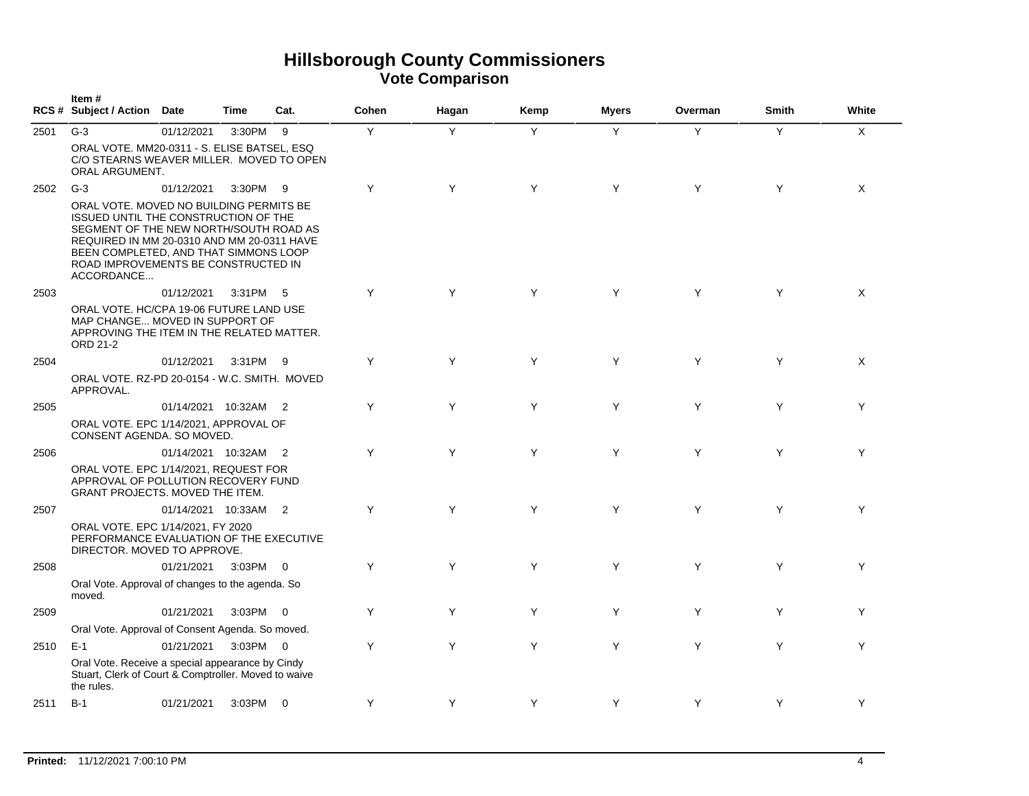|      | Item#<br>RCS # Subject / Action Date                                                                                                                                                                                                                                  |                      | <b>Time</b> | Cat.                       | Cohen | Hagan | Kemp | <b>Myers</b> | Overman | <b>Smith</b> | White    |
|------|-----------------------------------------------------------------------------------------------------------------------------------------------------------------------------------------------------------------------------------------------------------------------|----------------------|-------------|----------------------------|-------|-------|------|--------------|---------|--------------|----------|
| 2501 | $G-3$                                                                                                                                                                                                                                                                 | 01/12/2021           | 3:30PM      | - 9                        | Y     | Y     | Y    | Y            | Y       | Y            | X        |
|      | ORAL VOTE. MM20-0311 - S. ELISE BATSEL, ESQ<br>C/O STEARNS WEAVER MILLER. MOVED TO OPEN<br>ORAL ARGUMENT.                                                                                                                                                             |                      |             |                            |       |       |      |              |         |              |          |
| 2502 | $G-3$                                                                                                                                                                                                                                                                 | 01/12/2021           | 3:30PM 9    |                            | Y     | Y     | Y    | Y            | Y       | Y            | $\times$ |
|      | ORAL VOTE. MOVED NO BUILDING PERMITS BE<br>ISSUED UNTIL THE CONSTRUCTION OF THE<br>SEGMENT OF THE NEW NORTH/SOUTH ROAD AS<br>REQUIRED IN MM 20-0310 AND MM 20-0311 HAVE<br>BEEN COMPLETED, AND THAT SIMMONS LOOP<br>ROAD IMPROVEMENTS BE CONSTRUCTED IN<br>ACCORDANCE |                      |             |                            |       |       |      |              |         |              |          |
| 2503 |                                                                                                                                                                                                                                                                       | 01/12/2021           | 3:31PM      | - 5                        | Y     | Y     | Y    | Y            | Y       | Y            | $\times$ |
|      | ORAL VOTE, HC/CPA 19-06 FUTURE LAND USE<br>MAP CHANGE MOVED IN SUPPORT OF<br>APPROVING THE ITEM IN THE RELATED MATTER.<br>ORD 21-2                                                                                                                                    |                      |             |                            |       |       |      |              |         |              |          |
| 2504 |                                                                                                                                                                                                                                                                       | 01/12/2021           | 3:31PM      | - 9                        | Y     | Y     | Y    | Y            | Y       | Y            | X        |
|      | ORAL VOTE. RZ-PD 20-0154 - W.C. SMITH. MOVED<br>APPROVAL.                                                                                                                                                                                                             |                      |             |                            |       |       |      |              |         |              |          |
| 2505 |                                                                                                                                                                                                                                                                       | 01/14/2021 10:32AM   |             | $\overline{\phantom{0}}^2$ | Y     | Y     | Y    | Y            | Y       | Y            | Y        |
|      | ORAL VOTE. EPC 1/14/2021, APPROVAL OF<br>CONSENT AGENDA. SO MOVED.                                                                                                                                                                                                    |                      |             |                            |       |       |      |              |         |              |          |
| 2506 |                                                                                                                                                                                                                                                                       | 01/14/2021 10:32AM 2 |             |                            | Y     | Y     | Y    | Y            | Y       | Y            | Y        |
|      | ORAL VOTE. EPC 1/14/2021, REQUEST FOR<br>APPROVAL OF POLLUTION RECOVERY FUND<br>GRANT PROJECTS. MOVED THE ITEM.                                                                                                                                                       |                      |             |                            |       |       |      |              |         |              |          |
| 2507 |                                                                                                                                                                                                                                                                       | 01/14/2021 10:33AM   |             | $\overline{2}$             | Y     | Y     | Y    | Y            | Y       | Y            | Y        |
|      | ORAL VOTE. EPC 1/14/2021, FY 2020<br>PERFORMANCE EVALUATION OF THE EXECUTIVE<br>DIRECTOR. MOVED TO APPROVE.                                                                                                                                                           |                      |             |                            |       |       |      |              |         |              |          |
| 2508 |                                                                                                                                                                                                                                                                       | 01/21/2021           | 3:03PM 0    |                            | Y     | Y     | Y    | Y            | Y       | Y            | Y        |
|      | Oral Vote. Approval of changes to the agenda. So<br>moved.                                                                                                                                                                                                            |                      |             |                            |       |       |      |              |         |              |          |
| 2509 |                                                                                                                                                                                                                                                                       | 01/21/2021           | 3:03PM 0    |                            | Y     | Y     | Y    | Y            | Y       | Y            | Y        |
|      | Oral Vote. Approval of Consent Agenda. So moved.                                                                                                                                                                                                                      |                      |             |                            |       |       |      |              |         |              |          |
| 2510 | $E-1$                                                                                                                                                                                                                                                                 | 01/21/2021           | 3:03PM 0    |                            | Y     | Y     | Y    | Y            | Y       | Y            | Y        |
|      | Oral Vote. Receive a special appearance by Cindy<br>Stuart, Clerk of Court & Comptroller. Moved to waive<br>the rules.                                                                                                                                                |                      |             |                            |       |       |      |              |         |              |          |
| 2511 | $B-1$                                                                                                                                                                                                                                                                 | 01/21/2021           | 3:03PM 0    |                            | Y     | Y     | Y    | Y            | Y       | Y            | Y        |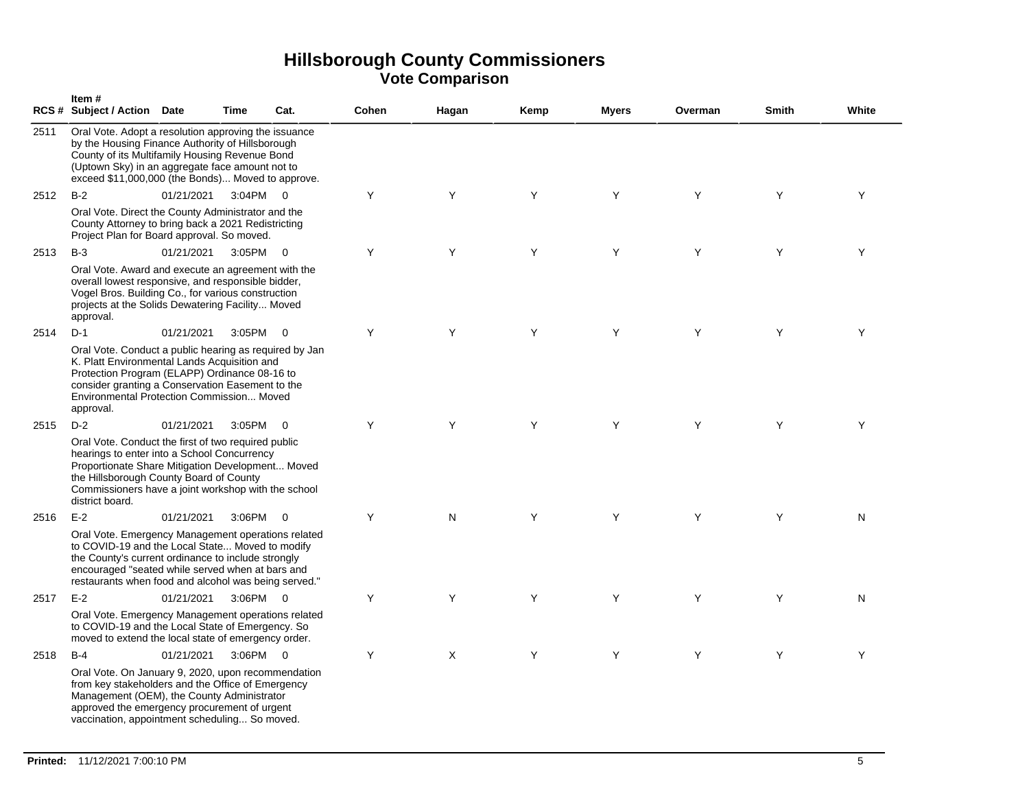|      | Item#<br>RCS # Subject / Action Date                                                                                                                                                                                                                                        |            | Time          | Cat.           | Cohen | Hagan | Kemp | <b>Myers</b> | Overman | <b>Smith</b> | White |
|------|-----------------------------------------------------------------------------------------------------------------------------------------------------------------------------------------------------------------------------------------------------------------------------|------------|---------------|----------------|-------|-------|------|--------------|---------|--------------|-------|
| 2511 | Oral Vote. Adopt a resolution approving the issuance<br>by the Housing Finance Authority of Hillsborough<br>County of its Multifamily Housing Revenue Bond<br>(Uptown Sky) in an aggregate face amount not to<br>exceed \$11,000,000 (the Bonds) Moved to approve.          |            |               |                |       |       |      |              |         |              |       |
| 2512 | $B-2$                                                                                                                                                                                                                                                                       | 01/21/2021 | 3:04PM 0      |                | Y     | Y     | Y    | Y            | Y       | Y            | Y     |
|      | Oral Vote. Direct the County Administrator and the<br>County Attorney to bring back a 2021 Redistricting<br>Project Plan for Board approval. So moved.                                                                                                                      |            |               |                |       |       |      |              |         |              |       |
| 2513 | $B-3$                                                                                                                                                                                                                                                                       | 01/21/2021 | 3:05PM 0      |                | Y     | Y     | Y    | Y            | Y       | Y            | Y     |
|      | Oral Vote. Award and execute an agreement with the<br>overall lowest responsive, and responsible bidder,<br>Vogel Bros. Building Co., for various construction<br>projects at the Solids Dewatering Facility Moved<br>approval.                                             |            |               |                |       |       |      |              |         |              |       |
| 2514 | $D-1$                                                                                                                                                                                                                                                                       | 01/21/2021 | $3:05PM$ 0    |                | Y     | Y     | Υ    | Y            | Y       | Y            | Y     |
|      | Oral Vote. Conduct a public hearing as required by Jan<br>K. Platt Environmental Lands Acquisition and<br>Protection Program (ELAPP) Ordinance 08-16 to<br>consider granting a Conservation Easement to the<br>Environmental Protection Commission Moved<br>approval.       |            |               |                |       |       |      |              |         |              |       |
| 2515 | $D-2$                                                                                                                                                                                                                                                                       | 01/21/2021 | $3:05$ PM $0$ |                | Y     | Y     | Y    | Y            | Y       | Y            | Y     |
|      | Oral Vote. Conduct the first of two required public<br>hearings to enter into a School Concurrency<br>Proportionate Share Mitigation Development Moved<br>the Hillsborough County Board of County<br>Commissioners have a joint workshop with the school<br>district board. |            |               |                |       |       |      |              |         |              |       |
| 2516 | $E-2$                                                                                                                                                                                                                                                                       | 01/21/2021 | 3:06PM        | $\overline{0}$ | Y     | N     | Y    | Y            | Y       | Y            | N     |
|      | Oral Vote. Emergency Management operations related<br>to COVID-19 and the Local State Moved to modify<br>the County's current ordinance to include strongly<br>encouraged "seated while served when at bars and<br>restaurants when food and alcohol was being served."     |            |               |                |       |       |      |              |         |              |       |
| 2517 | $E-2$                                                                                                                                                                                                                                                                       | 01/21/2021 | 3:06PM 0      |                | Y     | Y     | Y    | Y            | Y       | Y            | N     |
|      | Oral Vote. Emergency Management operations related<br>to COVID-19 and the Local State of Emergency. So<br>moved to extend the local state of emergency order.                                                                                                               |            |               |                |       |       |      |              |         |              |       |
| 2518 | $B-4$                                                                                                                                                                                                                                                                       | 01/21/2021 | 3:06PM 0      |                | Y     | X     | Y    | Y            | Y       | Y            | Y     |
|      | Oral Vote. On January 9, 2020, upon recommendation<br>from key stakeholders and the Office of Emergency<br>Management (OEM), the County Administrator<br>approved the emergency procurement of urgent<br>vaccination, appointment scheduling So moved.                      |            |               |                |       |       |      |              |         |              |       |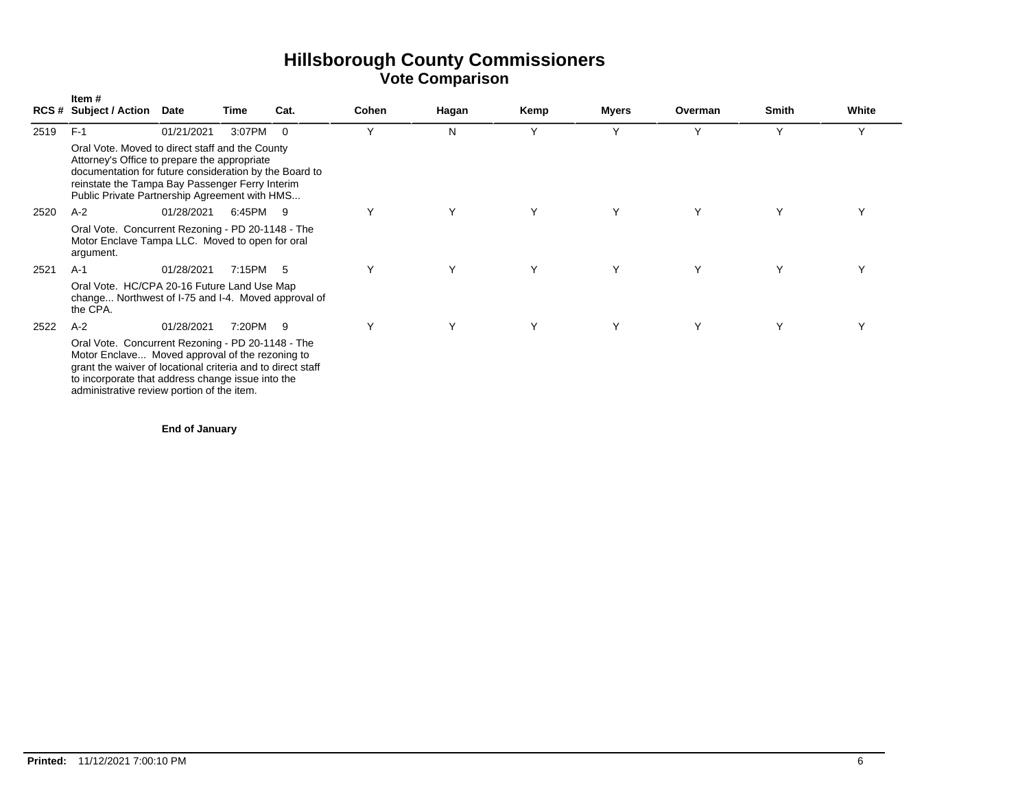|      | Item #<br>RCS# Subject / Action Date                                                                                                                                                                                                                                   |            | Time     | Cat.           | Cohen | Hagan | Kemp | <b>Myers</b> | Overman      | Smith | White |
|------|------------------------------------------------------------------------------------------------------------------------------------------------------------------------------------------------------------------------------------------------------------------------|------------|----------|----------------|-------|-------|------|--------------|--------------|-------|-------|
| 2519 | $F-1$                                                                                                                                                                                                                                                                  | 01/21/2021 | 3:07PM   | $\overline{0}$ | Y     | N     | Y    | Υ            | $\checkmark$ | Y     | Y     |
|      | Oral Vote. Moved to direct staff and the County<br>Attorney's Office to prepare the appropriate<br>documentation for future consideration by the Board to<br>reinstate the Tampa Bay Passenger Ferry Interim<br>Public Private Partnership Agreement with HMS          |            |          |                |       |       |      |              |              |       |       |
| 2520 | $A-2$                                                                                                                                                                                                                                                                  | 01/28/2021 | 6:45PM 9 |                | Y     | Y     | Y    | Y            | Y            | Y     |       |
|      | Oral Vote. Concurrent Rezoning - PD 20-1148 - The<br>Motor Enclave Tampa LLC. Moved to open for oral<br>argument.                                                                                                                                                      |            |          |                |       |       |      |              |              |       |       |
| 2521 | $A-1$                                                                                                                                                                                                                                                                  | 01/28/2021 | 7:15PM 5 |                | Υ     | Y     | Y    | Y            | Y            | Y     | Υ     |
|      | Oral Vote. HC/CPA 20-16 Future Land Use Map<br>change Northwest of I-75 and I-4. Moved approval of<br>the CPA.                                                                                                                                                         |            |          |                |       |       |      |              |              |       |       |
| 2522 | $A-2$                                                                                                                                                                                                                                                                  | 01/28/2021 | 7:20PM   | - 9            | Υ     | Y     | Υ    | Υ            | Υ            | Υ     |       |
|      | Oral Vote. Concurrent Rezoning - PD 20-1148 - The<br>Motor Enclave Moved approval of the rezoning to<br>grant the waiver of locational criteria and to direct staff<br>to incorporate that address change issue into the<br>administrative review portion of the item. |            |          |                |       |       |      |              |              |       |       |

**End of January**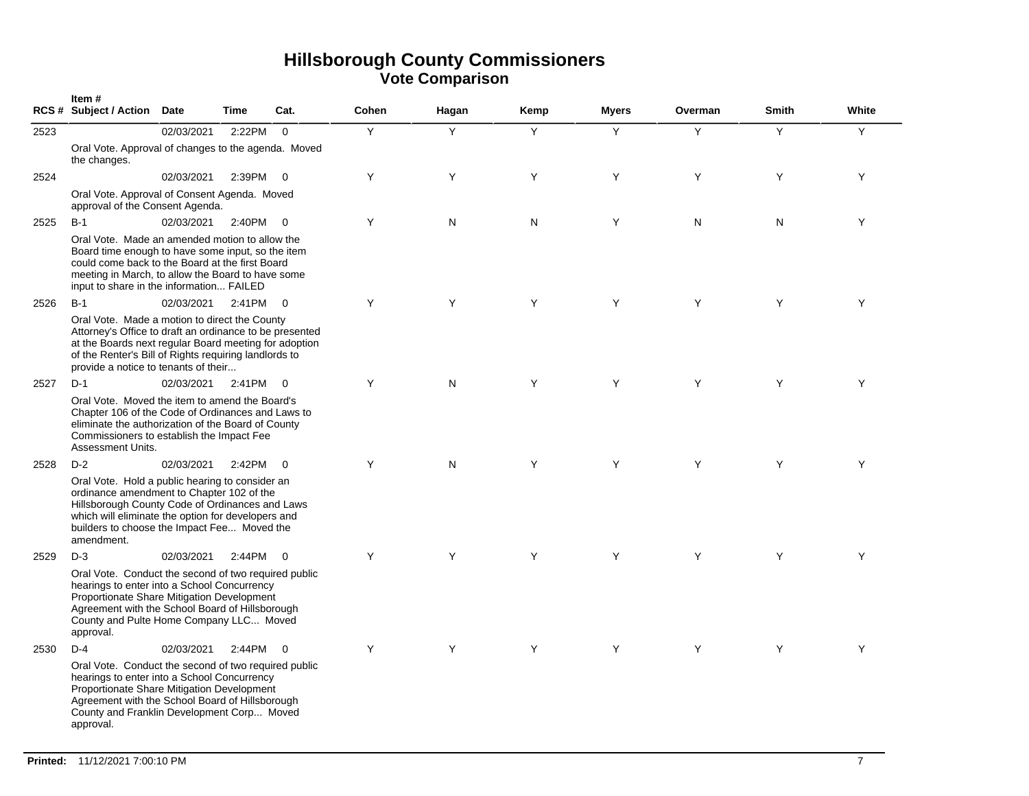|      | Item#<br>RCS # Subject / Action Date                                                                                                                                                                                                                               |            | <b>Time</b> | Cat.                    | Cohen | Hagan | Kemp | <b>Myers</b> | Overman | <b>Smith</b> | White |
|------|--------------------------------------------------------------------------------------------------------------------------------------------------------------------------------------------------------------------------------------------------------------------|------------|-------------|-------------------------|-------|-------|------|--------------|---------|--------------|-------|
| 2523 |                                                                                                                                                                                                                                                                    | 02/03/2021 | 2:22PM      | $\overline{0}$          | Y     | Y     | Υ    | Y            | Y       | Y            | Y     |
|      | Oral Vote. Approval of changes to the agenda. Moved<br>the changes.                                                                                                                                                                                                |            |             |                         |       |       |      |              |         |              |       |
| 2524 |                                                                                                                                                                                                                                                                    | 02/03/2021 | 2:39PM      | $\overline{0}$          | Y     | Y     | Y    | Y            | Y       | Y            | Y     |
|      | Oral Vote. Approval of Consent Agenda. Moved<br>approval of the Consent Agenda.                                                                                                                                                                                    |            |             |                         |       |       |      |              |         |              |       |
| 2525 | $B-1$                                                                                                                                                                                                                                                              | 02/03/2021 | 2:40PM      | $\Omega$                | Y     | N     | N    | Y            | N       | N            | Y     |
|      | Oral Vote. Made an amended motion to allow the<br>Board time enough to have some input, so the item<br>could come back to the Board at the first Board<br>meeting in March, to allow the Board to have some<br>input to share in the information FAILED            |            |             |                         |       |       |      |              |         |              |       |
| 2526 | $B-1$                                                                                                                                                                                                                                                              | 02/03/2021 | 2:41PM      | $\overline{0}$          | Y     | Y     | Y    | Y            | Y       | Y            | Y     |
|      | Oral Vote. Made a motion to direct the County<br>Attorney's Office to draft an ordinance to be presented<br>at the Boards next regular Board meeting for adoption<br>of the Renter's Bill of Rights requiring landlords to<br>provide a notice to tenants of their |            |             |                         |       |       |      |              |         |              |       |
| 2527 | $D-1$                                                                                                                                                                                                                                                              | 02/03/2021 | 2:41PM      | $\overline{0}$          | Y     | N     | Y    | Y            | Y       | Y            | Y     |
|      | Oral Vote. Moved the item to amend the Board's<br>Chapter 106 of the Code of Ordinances and Laws to<br>eliminate the authorization of the Board of County<br>Commissioners to establish the Impact Fee<br>Assessment Units.                                        |            |             |                         |       |       |      |              |         |              |       |
| 2528 | $D-2$                                                                                                                                                                                                                                                              | 02/03/2021 | 2:42PM      | $\overline{0}$          | Y     | N     | Y    | Y            | Y       | Y            | Y     |
|      | Oral Vote. Hold a public hearing to consider an<br>ordinance amendment to Chapter 102 of the<br>Hillsborough County Code of Ordinances and Laws<br>which will eliminate the option for developers and<br>builders to choose the Impact Fee Moved the<br>amendment. |            |             |                         |       |       |      |              |         |              |       |
| 2529 | $D-3$                                                                                                                                                                                                                                                              | 02/03/2021 | 2:44PM      | $\overline{0}$          | Y     | Y     | Y    | Y            | Y       | Y            | Y     |
|      | Oral Vote. Conduct the second of two required public<br>hearings to enter into a School Concurrency<br>Proportionate Share Mitigation Development<br>Agreement with the School Board of Hillsborough<br>County and Pulte Home Company LLC Moved<br>approval.       |            |             |                         |       |       |      |              |         |              |       |
| 2530 | $D-4$                                                                                                                                                                                                                                                              | 02/03/2021 | 2:44PM      | $\overline{\mathbf{0}}$ | Y     | Y     | Y    | Y            | Y       | Y            | Y     |
|      | Oral Vote. Conduct the second of two required public<br>hearings to enter into a School Concurrency<br>Proportionate Share Mitigation Development<br>Agreement with the School Board of Hillsborough<br>County and Franklin Development Corp Moved<br>approval.    |            |             |                         |       |       |      |              |         |              |       |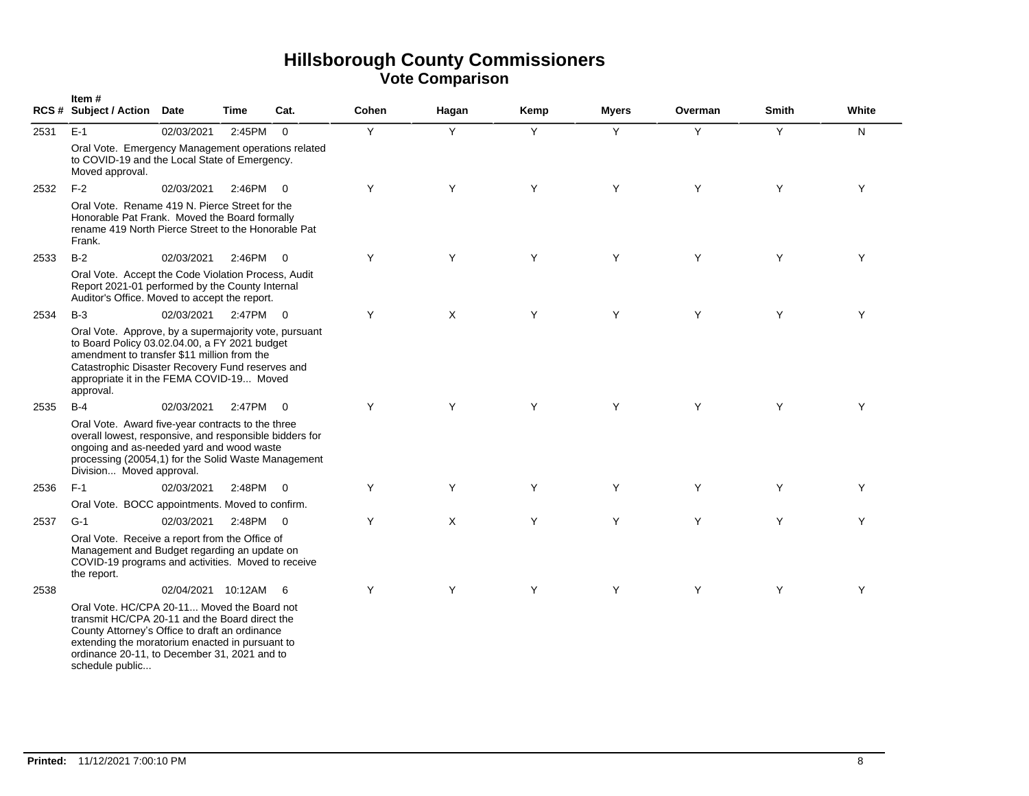|      | Item#<br>RCS # Subject / Action Date                                                                                                                                                                                                                                  |                    | Time     | Cat.                     | Cohen | Hagan | Kemp | Myers | Overman | <b>Smith</b> | White |
|------|-----------------------------------------------------------------------------------------------------------------------------------------------------------------------------------------------------------------------------------------------------------------------|--------------------|----------|--------------------------|-------|-------|------|-------|---------|--------------|-------|
| 2531 | $E-1$                                                                                                                                                                                                                                                                 | 02/03/2021         | 2:45PM   | $\overline{0}$           | Y     | Y     | Y    | Y     | Y       | Y            | N.    |
|      | Oral Vote. Emergency Management operations related<br>to COVID-19 and the Local State of Emergency.<br>Moved approval.                                                                                                                                                |                    |          |                          |       |       |      |       |         |              |       |
| 2532 | $F-2$                                                                                                                                                                                                                                                                 | 02/03/2021         | 2:46PM   | $\overline{0}$           | Y     | Y     | Y    | Y     | Y       | Y            | Y     |
|      | Oral Vote. Rename 419 N. Pierce Street for the<br>Honorable Pat Frank. Moved the Board formally<br>rename 419 North Pierce Street to the Honorable Pat<br>Frank.                                                                                                      |                    |          |                          |       |       |      |       |         |              |       |
| 2533 | $B-2$                                                                                                                                                                                                                                                                 | 02/03/2021         | 2:46PM   | $\overline{\mathbf{0}}$  | Y     | Y     | Y    | Y     | Y       | Y            | Y     |
|      | Oral Vote. Accept the Code Violation Process, Audit<br>Report 2021-01 performed by the County Internal<br>Auditor's Office. Moved to accept the report.                                                                                                               |                    |          |                          |       |       |      |       |         |              |       |
| 2534 | $B-3$                                                                                                                                                                                                                                                                 | 02/03/2021         | 2:47PM 0 |                          | Y     | X     | Y    | Υ     | Y       | Y            | Y     |
|      | Oral Vote. Approve, by a supermajority vote, pursuant<br>to Board Policy 03.02.04.00, a FY 2021 budget<br>amendment to transfer \$11 million from the<br>Catastrophic Disaster Recovery Fund reserves and<br>appropriate it in the FEMA COVID-19 Moved<br>approval.   |                    |          |                          |       |       |      |       |         |              |       |
| 2535 | $B-4$                                                                                                                                                                                                                                                                 | 02/03/2021         | 2:47PM   | $\overline{\mathbf{0}}$  | Y     | Y     | Y    | Y     | Y       | Y            | Y     |
|      | Oral Vote. Award five-year contracts to the three<br>overall lowest, responsive, and responsible bidders for<br>ongoing and as-needed yard and wood waste<br>processing (20054,1) for the Solid Waste Management<br>Division Moved approval.                          |                    |          |                          |       |       |      |       |         |              |       |
| 2536 | $F-1$                                                                                                                                                                                                                                                                 | 02/03/2021         | 2:48PM   | $\overline{\phantom{0}}$ | Y     | Y     | Y    | Y     | Y       | Y            | Y     |
|      | Oral Vote. BOCC appointments. Moved to confirm.                                                                                                                                                                                                                       |                    |          |                          |       |       |      |       |         |              |       |
| 2537 | $G-1$                                                                                                                                                                                                                                                                 | 02/03/2021         | 2:48PM   | $\overline{0}$           | Y     | X     | Y    | Y     | Y       | Y            | Y     |
|      | Oral Vote. Receive a report from the Office of<br>Management and Budget regarding an update on<br>COVID-19 programs and activities. Moved to receive<br>the report.                                                                                                   |                    |          |                          |       |       |      |       |         |              |       |
| 2538 |                                                                                                                                                                                                                                                                       | 02/04/2021 10:12AM |          | - 6                      | Y     | Y     | Y    | Y     | Y       | Y            | Y     |
|      | Oral Vote. HC/CPA 20-11 Moved the Board not<br>transmit HC/CPA 20-11 and the Board direct the<br>County Attorney's Office to draft an ordinance<br>extending the moratorium enacted in pursuant to<br>ordinance 20-11, to December 31, 2021 and to<br>schedule public |                    |          |                          |       |       |      |       |         |              |       |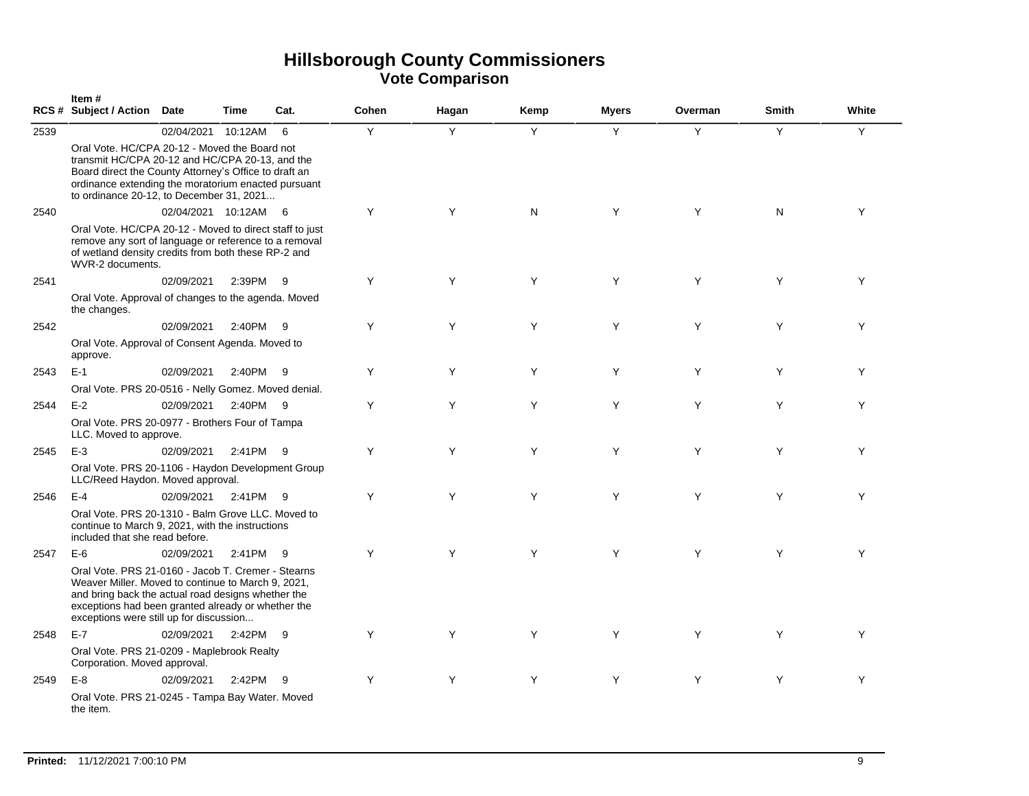|      | Item#<br>RCS # Subject / Action Date                                                                                                                                                                                                                                     |                      | Time     | Cat. | Cohen | Hagan | Kemp | <b>Myers</b> | Overman | <b>Smith</b> | White |
|------|--------------------------------------------------------------------------------------------------------------------------------------------------------------------------------------------------------------------------------------------------------------------------|----------------------|----------|------|-------|-------|------|--------------|---------|--------------|-------|
| 2539 | Oral Vote. HC/CPA 20-12 - Moved the Board not<br>transmit HC/CPA 20-12 and HC/CPA 20-13, and the<br>Board direct the County Attorney's Office to draft an<br>ordinance extending the moratorium enacted pursuant<br>to ordinance 20-12, to December 31, 2021             | 02/04/2021           | 10:12AM  | 6    | Y     | Y     | Y    | Y            | Y       | Y            | Y     |
| 2540 | Oral Vote. HC/CPA 20-12 - Moved to direct staff to just<br>remove any sort of language or reference to a removal<br>of wetland density credits from both these RP-2 and<br>WVR-2 documents.                                                                              | 02/04/2021 10:12AM 6 |          |      | Y     | Y     | N    | Y            | Y       | N            | Y     |
| 2541 | Oral Vote. Approval of changes to the agenda. Moved<br>the changes.                                                                                                                                                                                                      | 02/09/2021           | 2:39PM 9 |      | Y     | Y     | Y    | Y            | Y       | Y            | Y     |
| 2542 | Oral Vote. Approval of Consent Agenda. Moved to<br>approve.                                                                                                                                                                                                              | 02/09/2021           | 2:40PM   | - 9  | Y     | Y     | Y    | Y            | Y       | Y            | Y     |
| 2543 | $E-1$<br>Oral Vote. PRS 20-0516 - Nelly Gomez. Moved denial.                                                                                                                                                                                                             | 02/09/2021           | 2:40PM   | - 9  | Y     | Y     | Y    | Y            | Y       | Y            | Y     |
| 2544 | $E-2$<br>Oral Vote. PRS 20-0977 - Brothers Four of Tampa<br>LLC. Moved to approve.                                                                                                                                                                                       | 02/09/2021           | 2:40PM 9 |      | Y     | Y     | Y    | Y            | Y       | Y            | Y     |
| 2545 | $E-3$<br>Oral Vote. PRS 20-1106 - Haydon Development Group<br>LLC/Reed Haydon. Moved approval.                                                                                                                                                                           | 02/09/2021           | 2:41PM 9 |      | Y     | Y     | Y    | Y            | Y       | Y            | Y     |
| 2546 | $E-4$<br>Oral Vote. PRS 20-1310 - Balm Grove LLC. Moved to<br>continue to March 9, 2021, with the instructions<br>included that she read before.                                                                                                                         | 02/09/2021           | 2:41PM 9 |      | Y     | Y     | Y    | Y            | Y       | Y            | Y     |
| 2547 | $E-6$<br>Oral Vote, PRS 21-0160 - Jacob T. Cremer - Stearns<br>Weaver Miller. Moved to continue to March 9, 2021,<br>and bring back the actual road designs whether the<br>exceptions had been granted already or whether the<br>exceptions were still up for discussion | 02/09/2021           | 2:41PM   | -9   | Y     | Y     | Y    | Y            | Y       | Y            | Y     |
| 2548 | $E-7$<br>Oral Vote. PRS 21-0209 - Maplebrook Realty<br>Corporation. Moved approval.                                                                                                                                                                                      | 02/09/2021           | 2:42PM 9 |      | Y     | Y     | Y    | Y            | Y       | Y            | Y     |
| 2549 | $E-8$<br>Oral Vote. PRS 21-0245 - Tampa Bay Water. Moved<br>the item.                                                                                                                                                                                                    | 02/09/2021           | 2:42PM 9 |      | Y     | Y     | Y    | Y            | Y       | Y            | Y     |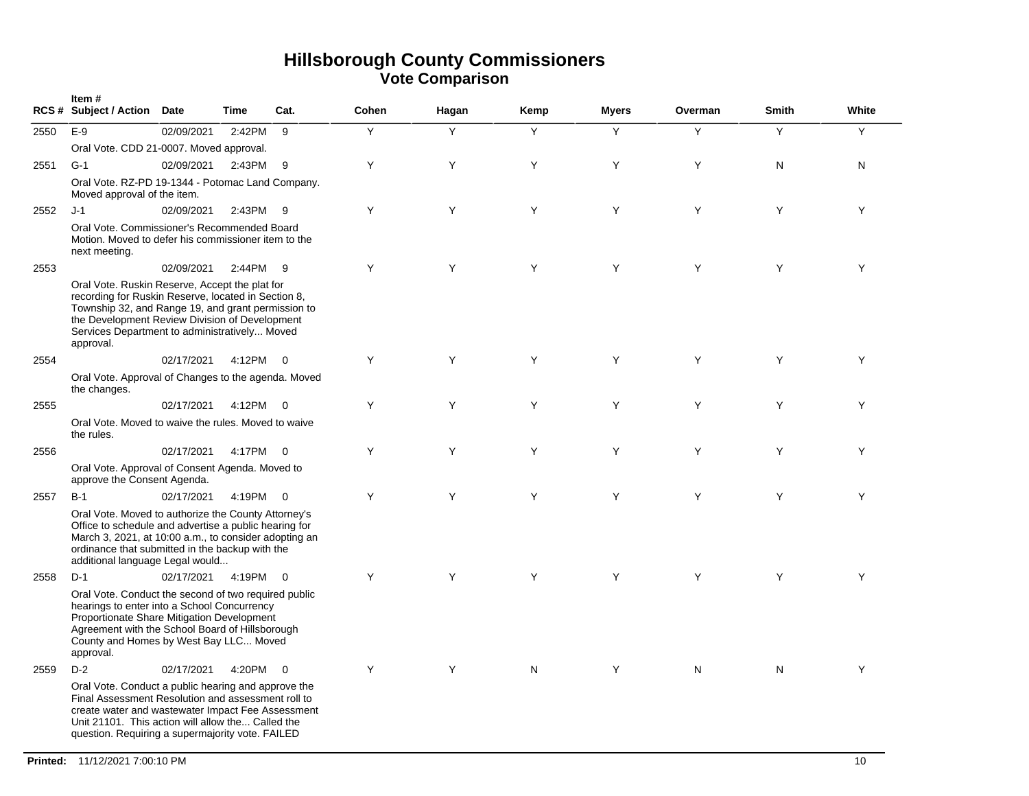|      | Item#<br><b>RCS # Subject / Action</b>                                                                                                                                                                                                                                      | Date       | Time     | Cat.                     | Cohen | Hagan | Kemp | <b>Myers</b> | Overman | <b>Smith</b> | White |
|------|-----------------------------------------------------------------------------------------------------------------------------------------------------------------------------------------------------------------------------------------------------------------------------|------------|----------|--------------------------|-------|-------|------|--------------|---------|--------------|-------|
| 2550 | $E-9$                                                                                                                                                                                                                                                                       | 02/09/2021 | 2:42PM   | 9                        | Υ     | Y     | Y    | Y            | Y       | Y            | Y     |
|      | Oral Vote. CDD 21-0007. Moved approval.                                                                                                                                                                                                                                     |            |          |                          |       |       |      |              |         |              |       |
| 2551 | $G-1$                                                                                                                                                                                                                                                                       | 02/09/2021 | 2:43PM   | - 9                      | Υ     | Υ     | Y    | Υ            | Y       | N            | N     |
|      | Oral Vote. RZ-PD 19-1344 - Potomac Land Company.<br>Moved approval of the item.                                                                                                                                                                                             |            |          |                          |       |       |      |              |         |              |       |
| 2552 | J-1                                                                                                                                                                                                                                                                         | 02/09/2021 | 2:43PM   | - 9                      | Y     | Y     | Y    | Y            | Y       | Y            | Y     |
|      | Oral Vote. Commissioner's Recommended Board<br>Motion. Moved to defer his commissioner item to the<br>next meeting.                                                                                                                                                         |            |          |                          |       |       |      |              |         |              |       |
| 2553 |                                                                                                                                                                                                                                                                             | 02/09/2021 | 2:44PM   | - 9                      | Y     | Υ     | Y    | Υ            | Y       | Υ            | Y     |
|      | Oral Vote. Ruskin Reserve, Accept the plat for<br>recording for Ruskin Reserve, located in Section 8,<br>Township 32, and Range 19, and grant permission to<br>the Development Review Division of Development<br>Services Department to administratively Moved<br>approval. |            |          |                          |       |       |      |              |         |              |       |
| 2554 |                                                                                                                                                                                                                                                                             | 02/17/2021 | 4:12PM   | $\overline{\mathbf{0}}$  | Y     | Y     | Y    | Y            | Y       | Y            | Y     |
|      | Oral Vote. Approval of Changes to the agenda. Moved<br>the changes.                                                                                                                                                                                                         |            |          |                          |       |       |      |              |         |              |       |
| 2555 |                                                                                                                                                                                                                                                                             | 02/17/2021 | 4:12PM   | $\overline{0}$           | Y     | Y     | Y    | Y            | Y       | Y            | Y     |
|      | Oral Vote. Moved to waive the rules. Moved to waive<br>the rules.                                                                                                                                                                                                           |            |          |                          |       |       |      |              |         |              |       |
| 2556 |                                                                                                                                                                                                                                                                             | 02/17/2021 | 4:17PM   | $\overline{\mathbf{0}}$  | Y     | Y     | Y    | Y            | Y       | Y            | Y     |
|      | Oral Vote. Approval of Consent Agenda. Moved to<br>approve the Consent Agenda.                                                                                                                                                                                              |            |          |                          |       |       |      |              |         |              |       |
| 2557 | $B-1$                                                                                                                                                                                                                                                                       | 02/17/2021 | 4:19PM   | $\overline{\phantom{0}}$ | Y     | Y     | Y    | Y            | Y       | Y            | Y     |
|      | Oral Vote. Moved to authorize the County Attorney's<br>Office to schedule and advertise a public hearing for<br>March 3, 2021, at 10:00 a.m., to consider adopting an<br>ordinance that submitted in the backup with the<br>additional language Legal would                 |            |          |                          |       |       |      |              |         |              |       |
| 2558 | $D-1$                                                                                                                                                                                                                                                                       | 02/17/2021 | 4:19PM   | $\overline{0}$           | Y     | Y     | Y    | Y            | Y       | Y            | Y     |
|      | Oral Vote. Conduct the second of two required public<br>hearings to enter into a School Concurrency<br>Proportionate Share Mitigation Development<br>Agreement with the School Board of Hillsborough<br>County and Homes by West Bay LLC Moved<br>approval.                 |            |          |                          |       |       |      |              |         |              |       |
| 2559 | $D-2$                                                                                                                                                                                                                                                                       | 02/17/2021 | 4:20PM 0 |                          | Y     | Y     | N    | Y            | N       | N            | Y     |
|      | Oral Vote. Conduct a public hearing and approve the<br>Final Assessment Resolution and assessment roll to<br>create water and wastewater Impact Fee Assessment<br>Unit 21101. This action will allow the Called the<br>question. Requiring a supermajority vote. FAILED     |            |          |                          |       |       |      |              |         |              |       |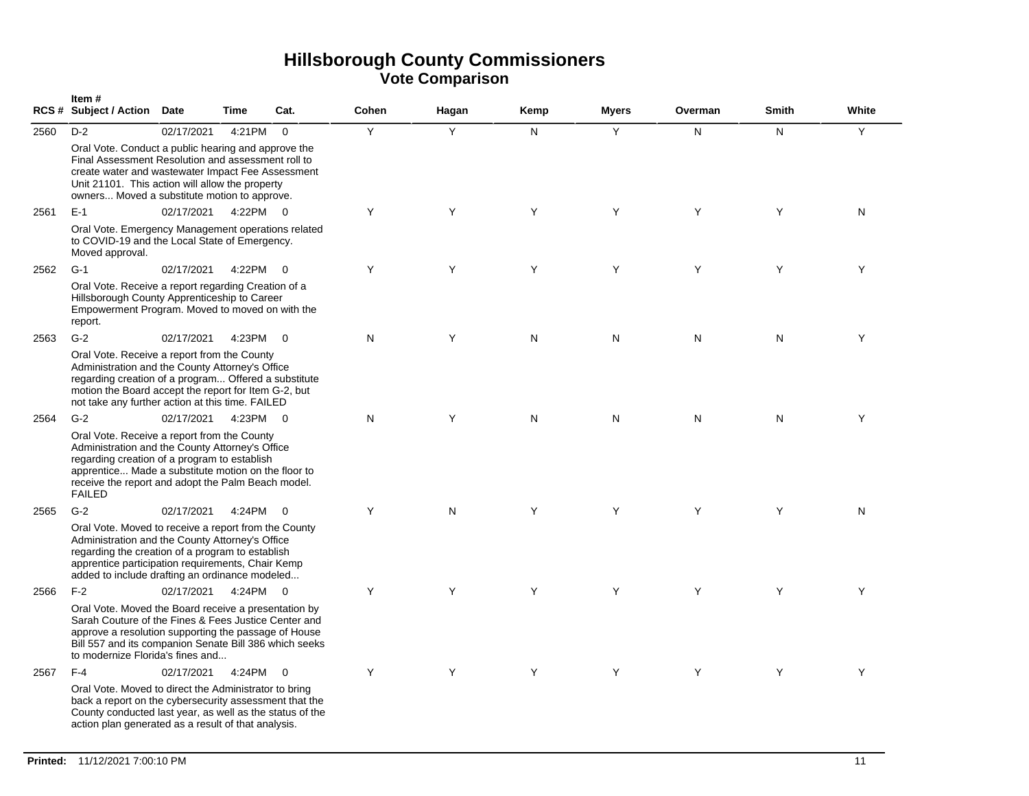|      | Item#<br><b>RCS # Subject / Action</b>                                                                                                                                                                                                                                                | Date       | <b>Time</b> | Cat.           | Cohen | Hagan | Kemp | <b>Myers</b> | Overman | <b>Smith</b> | White |
|------|---------------------------------------------------------------------------------------------------------------------------------------------------------------------------------------------------------------------------------------------------------------------------------------|------------|-------------|----------------|-------|-------|------|--------------|---------|--------------|-------|
| 2560 | $D-2$<br>Oral Vote. Conduct a public hearing and approve the<br>Final Assessment Resolution and assessment roll to<br>create water and wastewater Impact Fee Assessment<br>Unit 21101. This action will allow the property<br>owners Moved a substitute motion to approve.            | 02/17/2021 | 4:21PM      | $\Omega$       | Y     | Y     | N.   | Y            | N       | N            | Y     |
| 2561 | $E-1$<br>Oral Vote. Emergency Management operations related<br>to COVID-19 and the Local State of Emergency.<br>Moved approval.                                                                                                                                                       | 02/17/2021 | 4:22PM 0    |                | Y     | Y     | Y    | Y            | Y       | Y            | N     |
| 2562 | $G-1$<br>Oral Vote. Receive a report regarding Creation of a<br>Hillsborough County Apprenticeship to Career<br>Empowerment Program. Moved to moved on with the<br>report.                                                                                                            | 02/17/2021 | 4:22PM 0    |                | Y     | Y     | Y    | Y            | Y       | Y            | Y     |
| 2563 | $G-2$<br>Oral Vote. Receive a report from the County<br>Administration and the County Attorney's Office<br>regarding creation of a program Offered a substitute<br>motion the Board accept the report for Item G-2, but<br>not take any further action at this time. FAILED           | 02/17/2021 | 4:23PM      | $\overline{0}$ | N     | Y     | N    | N            | N       | N            | Y     |
| 2564 | $G-2$<br>Oral Vote. Receive a report from the County<br>Administration and the County Attorney's Office<br>regarding creation of a program to establish<br>apprentice Made a substitute motion on the floor to<br>receive the report and adopt the Palm Beach model.<br><b>FAILED</b> | 02/17/2021 | 4:23PM 0    |                | N     | Υ     | N    | N            | N       | N            | Y     |
| 2565 | $G-2$<br>Oral Vote. Moved to receive a report from the County<br>Administration and the County Attorney's Office<br>regarding the creation of a program to establish<br>apprentice participation requirements, Chair Kemp<br>added to include drafting an ordinance modeled           | 02/17/2021 | 4:24PM      | $\overline{0}$ | Y     | N     | Y    | Y            | Y       | Y            | N     |
| 2566 | $F-2$<br>Oral Vote. Moved the Board receive a presentation by<br>Sarah Couture of the Fines & Fees Justice Center and<br>approve a resolution supporting the passage of House<br>Bill 557 and its companion Senate Bill 386 which seeks<br>to modernize Florida's fines and           | 02/17/2021 | 4:24PM 0    |                | Y     | Y     | Y    | Y            | Y       | Y            | Y     |
| 2567 | $F-4$<br>Oral Vote. Moved to direct the Administrator to bring<br>back a report on the cybersecurity assessment that the<br>County conducted last year, as well as the status of the<br>action plan generated as a result of that analysis.                                           | 02/17/2021 | 4:24PM      | $\overline{0}$ | Y     | Y     | Y    | Y            | Y       | Y            | Y     |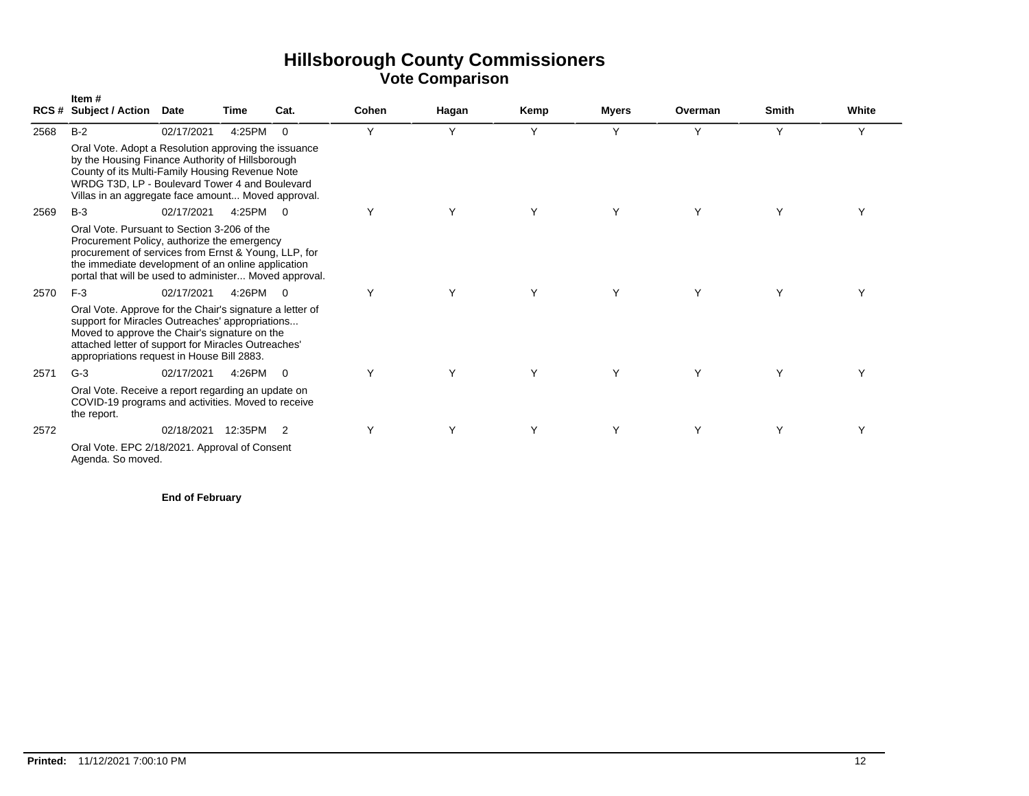|      | Item#<br><b>RCS # Subject / Action</b>                                                                                                                                                                                                                              | <b>Date</b> | Time    | Cat.           | Cohen | Hagan | Kemp | <b>Myers</b> | Overman | <b>Smith</b> | White |
|------|---------------------------------------------------------------------------------------------------------------------------------------------------------------------------------------------------------------------------------------------------------------------|-------------|---------|----------------|-------|-------|------|--------------|---------|--------------|-------|
| 2568 | $B-2$                                                                                                                                                                                                                                                               | 02/17/2021  | 4:25PM  | $\overline{0}$ | Y     | Y     | Y    | Υ            | Y       | Υ            | Y     |
|      | Oral Vote. Adopt a Resolution approving the issuance<br>by the Housing Finance Authority of Hillsborough<br>County of its Multi-Family Housing Revenue Note<br>WRDG T3D, LP - Boulevard Tower 4 and Boulevard<br>Villas in an aggregate face amount Moved approval. |             |         |                |       |       |      |              |         |              |       |
| 2569 | $B-3$                                                                                                                                                                                                                                                               | 02/17/2021  | 4:25PM  | $\overline{0}$ | Y     | Y     | Y    | Υ            | Y       | Y            |       |
|      | Oral Vote, Pursuant to Section 3-206 of the<br>Procurement Policy, authorize the emergency<br>procurement of services from Ernst & Young, LLP, for<br>the immediate development of an online application<br>portal that will be used to administer Moved approval.  |             |         |                |       |       |      |              |         |              |       |
| 2570 | $F-3$                                                                                                                                                                                                                                                               | 02/17/2021  | 4:26PM  | $\overline{0}$ | Υ     | Υ     | Y    | Y            | Y       | Y            | Υ     |
|      | Oral Vote. Approve for the Chair's signature a letter of<br>support for Miracles Outreaches' appropriations<br>Moved to approve the Chair's signature on the<br>attached letter of support for Miracles Outreaches'<br>appropriations request in House Bill 2883.   |             |         |                |       |       |      |              |         |              |       |
| 2571 | $G-3$                                                                                                                                                                                                                                                               | 02/17/2021  | 4:26PM  | $\Omega$       | Y     | Y     | Y    | Y            | Y       | Y            | Υ     |
|      | Oral Vote. Receive a report regarding an update on<br>COVID-19 programs and activities. Moved to receive<br>the report.                                                                                                                                             |             |         |                |       |       |      |              |         |              |       |
| 2572 |                                                                                                                                                                                                                                                                     | 02/18/2021  | 12:35PM | $\overline{2}$ | Υ     | Y     | Y    | Υ            | Y       | Υ            | Υ     |
|      | Oral Vote. EPC 2/18/2021. Approval of Consent<br>Agenda. So moved.                                                                                                                                                                                                  |             |         |                |       |       |      |              |         |              |       |

**End of February**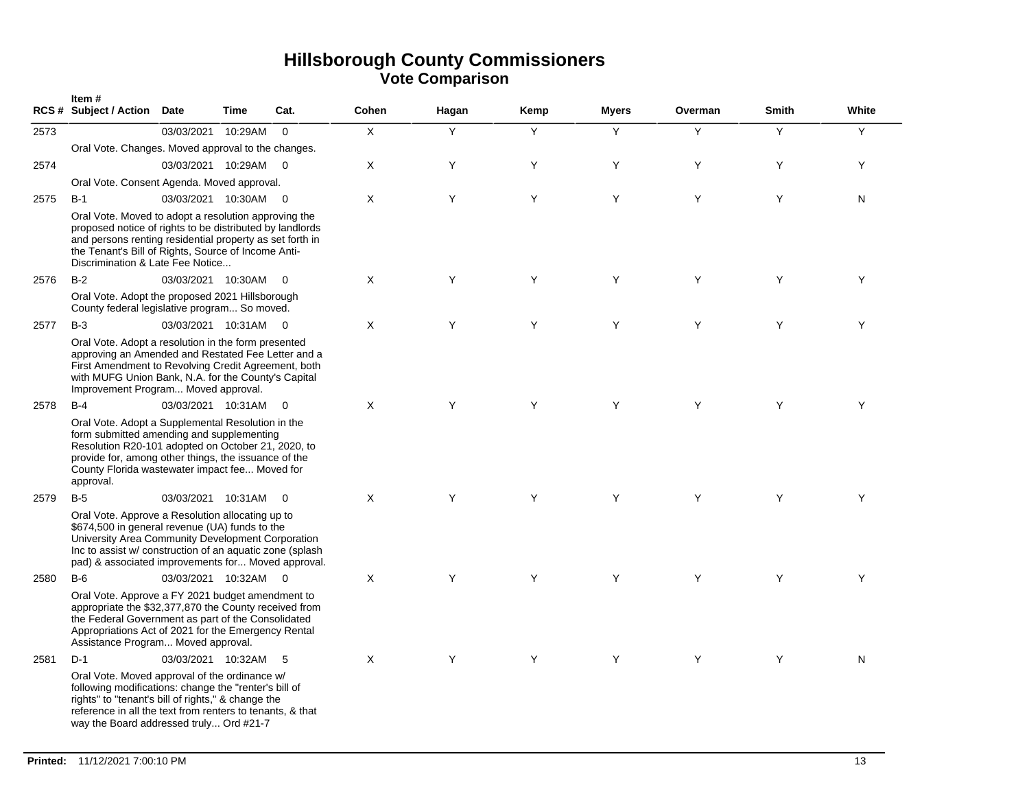|      | Item#<br>RCS # Subject / Action Date                                                                                                                                                                                                                                        |                      | Time    | Cat.                    | Cohen | Hagan | Kemp | <b>Myers</b> | Overman | <b>Smith</b> | White     |
|------|-----------------------------------------------------------------------------------------------------------------------------------------------------------------------------------------------------------------------------------------------------------------------------|----------------------|---------|-------------------------|-------|-------|------|--------------|---------|--------------|-----------|
| 2573 |                                                                                                                                                                                                                                                                             | 03/03/2021           | 10:29AM | $\Omega$                | X     | Y     | Y    | Y            | Y       | Y            | Y         |
|      | Oral Vote. Changes. Moved approval to the changes.                                                                                                                                                                                                                          |                      |         |                         |       |       |      |              |         |              |           |
| 2574 |                                                                                                                                                                                                                                                                             | 03/03/2021 10:29AM   |         | $\overline{0}$          | X     | Υ     | Υ    | Υ            | Y       | Υ            | Y         |
|      | Oral Vote. Consent Agenda. Moved approval.                                                                                                                                                                                                                                  |                      |         |                         |       |       |      |              |         |              |           |
| 2575 | $B-1$                                                                                                                                                                                                                                                                       | 03/03/2021 10:30AM   |         | $\overline{\mathbf{0}}$ | Χ     | Υ     | Υ    | Υ            | Y       | Υ            | ${\sf N}$ |
|      | Oral Vote. Moved to adopt a resolution approving the<br>proposed notice of rights to be distributed by landlords<br>and persons renting residential property as set forth in<br>the Tenant's Bill of Rights, Source of Income Anti-<br>Discrimination & Late Fee Notice     |                      |         |                         |       |       |      |              |         |              |           |
| 2576 | $B-2$                                                                                                                                                                                                                                                                       | 03/03/2021 10:30AM   |         | $\overline{0}$          | X     | Y     | Y    | Y            | Y       | Y            | Y         |
|      | Oral Vote. Adopt the proposed 2021 Hillsborough<br>County federal legislative program So moved.                                                                                                                                                                             |                      |         |                         |       |       |      |              |         |              |           |
| 2577 | $B-3$                                                                                                                                                                                                                                                                       | 03/03/2021 10:31AM 0 |         |                         | X     | Y     | Y    | Y            | Y       | Y            | Y         |
|      | Oral Vote. Adopt a resolution in the form presented<br>approving an Amended and Restated Fee Letter and a<br>First Amendment to Revolving Credit Agreement, both<br>with MUFG Union Bank, N.A. for the County's Capital<br>Improvement Program Moved approval.              |                      |         |                         |       |       |      |              |         |              |           |
| 2578 | $B-4$                                                                                                                                                                                                                                                                       | 03/03/2021 10:31AM   |         | $\overline{0}$          | X     | Y     | Y    | Y            | Y       | Y            | Y         |
|      | Oral Vote. Adopt a Supplemental Resolution in the<br>form submitted amending and supplementing<br>Resolution R20-101 adopted on October 21, 2020, to<br>provide for, among other things, the issuance of the<br>County Florida wastewater impact fee Moved for<br>approval. |                      |         |                         |       |       |      |              |         |              |           |
| 2579 | $B-5$                                                                                                                                                                                                                                                                       | 03/03/2021 10:31AM   |         | $\overline{0}$          | X     | Y     | Y    | Y            | Y       | Y            | Y         |
|      | Oral Vote. Approve a Resolution allocating up to<br>\$674,500 in general revenue (UA) funds to the<br>University Area Community Development Corporation<br>Inc to assist w/ construction of an aquatic zone (splash)<br>pad) & associated improvements for Moved approval.  |                      |         |                         |       |       |      |              |         |              |           |
| 2580 | $B-6$                                                                                                                                                                                                                                                                       | 03/03/2021 10:32AM   |         | $\overline{0}$          | X     | Y     | Y    | Y            | Y       | Y            | Y         |
|      | Oral Vote. Approve a FY 2021 budget amendment to<br>appropriate the \$32,377,870 the County received from<br>the Federal Government as part of the Consolidated<br>Appropriations Act of 2021 for the Emergency Rental<br>Assistance Program Moved approval.                |                      |         |                         |       |       |      |              |         |              |           |
| 2581 | $D-1$                                                                                                                                                                                                                                                                       | 03/03/2021 10:32AM   |         | - 5                     | X     | Y     | Y    | Y            | Y       | Y            | N         |
|      | Oral Vote. Moved approval of the ordinance w/<br>following modifications: change the "renter's bill of<br>rights" to "tenant's bill of rights," & change the<br>reference in all the text from renters to tenants, & that<br>way the Board addressed truly Ord #21-7        |                      |         |                         |       |       |      |              |         |              |           |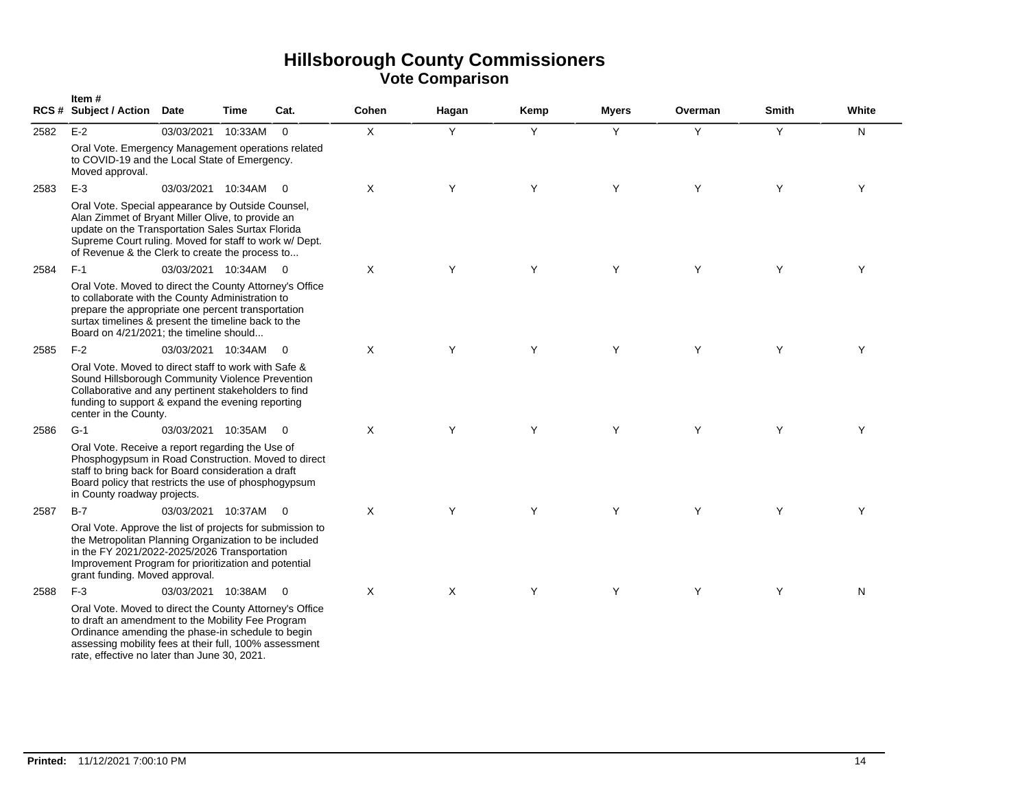|      | Item#<br><b>RCS # Subject / Action</b>                                                                                                                                                                                                                                      | <b>Date</b>          | Time    | Cat.                     | Cohen | Hagan   | Kemp | <b>Myers</b> | Overman | <b>Smith</b> | White |
|------|-----------------------------------------------------------------------------------------------------------------------------------------------------------------------------------------------------------------------------------------------------------------------------|----------------------|---------|--------------------------|-------|---------|------|--------------|---------|--------------|-------|
| 2582 | $E-2$                                                                                                                                                                                                                                                                       | 03/03/2021           | 10:33AM | $\Omega$                 | X     | Y       | Y    | Y            | Y       | Y            | N     |
|      | Oral Vote. Emergency Management operations related<br>to COVID-19 and the Local State of Emergency.<br>Moved approval.                                                                                                                                                      |                      |         |                          |       |         |      |              |         |              |       |
| 2583 | $E-3$                                                                                                                                                                                                                                                                       | 03/03/2021 10:34AM 0 |         |                          | X     | Y       | Y    | Y            | Y       | Y            | Y     |
|      | Oral Vote. Special appearance by Outside Counsel,<br>Alan Zimmet of Bryant Miller Olive, to provide an<br>update on the Transportation Sales Surtax Florida<br>Supreme Court ruling. Moved for staff to work w/ Dept.<br>of Revenue & the Clerk to create the process to    |                      |         |                          |       |         |      |              |         |              |       |
| 2584 | $F-1$                                                                                                                                                                                                                                                                       | 03/03/2021 10:34AM 0 |         |                          | X     | Y       | Y    | Y            | Y       | Y            | Y     |
|      | Oral Vote. Moved to direct the County Attorney's Office<br>to collaborate with the County Administration to<br>prepare the appropriate one percent transportation<br>surtax timelines & present the timeline back to the<br>Board on 4/21/2021; the timeline should         |                      |         |                          |       |         |      |              |         |              |       |
| 2585 | $F-2$                                                                                                                                                                                                                                                                       | 03/03/2021 10:34AM   |         | $\overline{\phantom{0}}$ | X     | Y       | Y    | Y            | Y       | Y            | Y     |
|      | Oral Vote. Moved to direct staff to work with Safe &<br>Sound Hillsborough Community Violence Prevention<br>Collaborative and any pertinent stakeholders to find<br>funding to support & expand the evening reporting<br>center in the County.                              |                      |         |                          |       |         |      |              |         |              |       |
| 2586 | $G-1$                                                                                                                                                                                                                                                                       | 03/03/2021 10:35AM   |         | $\overline{\mathbf{0}}$  | X     | Y       | Y    | Y            | Y       | Y            | Y     |
|      | Oral Vote. Receive a report regarding the Use of<br>Phosphogypsum in Road Construction. Moved to direct<br>staff to bring back for Board consideration a draft<br>Board policy that restricts the use of phosphogypsum<br>in County roadway projects.                       |                      |         |                          |       |         |      |              |         |              |       |
| 2587 | $B-7$                                                                                                                                                                                                                                                                       | 03/03/2021 10:37AM   |         | $\overline{0}$           | X     | Y       | Y    | Y            | Y       | Y            | Y     |
|      | Oral Vote. Approve the list of projects for submission to<br>the Metropolitan Planning Organization to be included<br>in the FY 2021/2022-2025/2026 Transportation<br>Improvement Program for prioritization and potential<br>grant funding. Moved approval.                |                      |         |                          |       |         |      |              |         |              |       |
| 2588 | $F-3$                                                                                                                                                                                                                                                                       | 03/03/2021 10:38AM   |         | $\overline{0}$           | X     | $\sf X$ | Y    | Y            | Y       | Y            | N     |
|      | Oral Vote. Moved to direct the County Attorney's Office<br>to draft an amendment to the Mobility Fee Program<br>Ordinance amending the phase-in schedule to begin<br>assessing mobility fees at their full, 100% assessment<br>rate, effective no later than June 30, 2021. |                      |         |                          |       |         |      |              |         |              |       |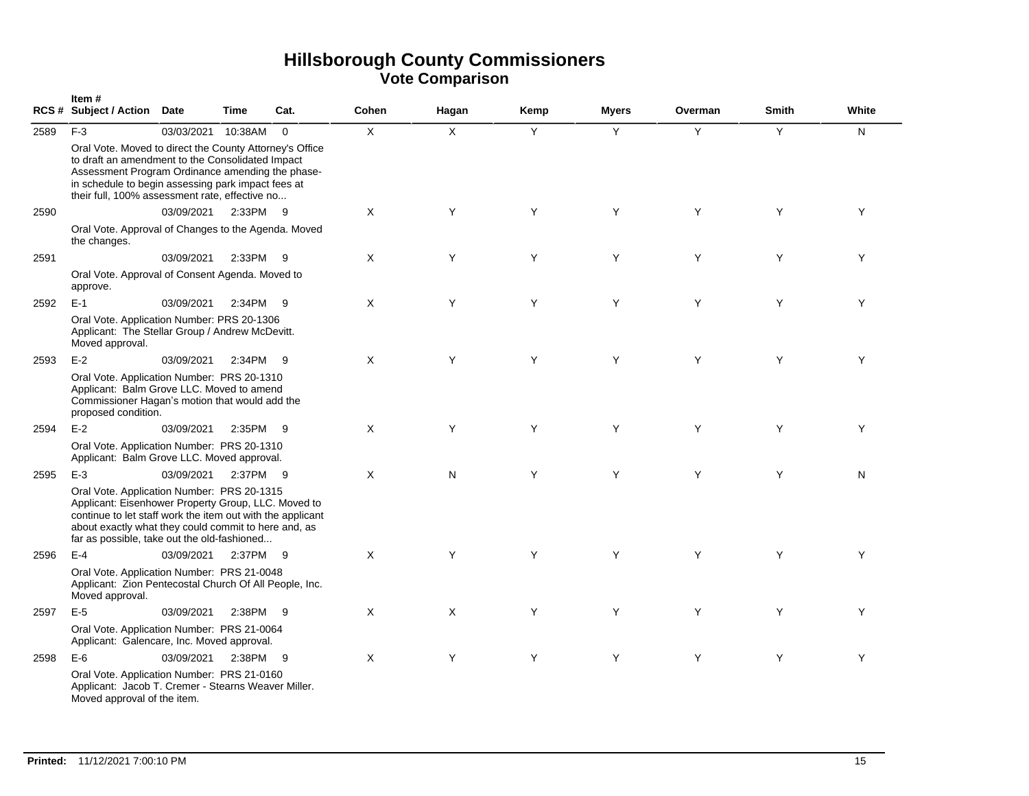|      | Item#<br>RCS # Subject / Action Date                                                                                                                                                                                                                                    |            | Time     | Cat.        | Cohen | Hagan        | Kemp | <b>Myers</b> | Overman | <b>Smith</b> | White |
|------|-------------------------------------------------------------------------------------------------------------------------------------------------------------------------------------------------------------------------------------------------------------------------|------------|----------|-------------|-------|--------------|------|--------------|---------|--------------|-------|
| 2589 | $F-3$                                                                                                                                                                                                                                                                   | 03/03/2021 | 10:38AM  | $\mathbf 0$ | X     | $\mathsf{X}$ | Y    | Y            | Y       | Y            | N     |
|      | Oral Vote. Moved to direct the County Attorney's Office<br>to draft an amendment to the Consolidated Impact<br>Assessment Program Ordinance amending the phase-<br>in schedule to begin assessing park impact fees at<br>their full, 100% assessment rate, effective no |            |          |             |       |              |      |              |         |              |       |
| 2590 |                                                                                                                                                                                                                                                                         | 03/09/2021 | 2:33PM   | - 9         | Χ     | Y            | Y    | Y            | Y       | Y            | Y     |
|      | Oral Vote. Approval of Changes to the Agenda. Moved<br>the changes.                                                                                                                                                                                                     |            |          |             |       |              |      |              |         |              |       |
| 2591 |                                                                                                                                                                                                                                                                         | 03/09/2021 | 2:33PM   | -9          | X     | Y            | Y    | Y            | Y       | Y            | Y     |
|      | Oral Vote. Approval of Consent Agenda. Moved to<br>approve.                                                                                                                                                                                                             |            |          |             |       |              |      |              |         |              |       |
| 2592 | $E-1$                                                                                                                                                                                                                                                                   | 03/09/2021 | 2:34PM   | - 9         | X     | Y            | Y    | Y            | Y       | Y            | Y     |
|      | Oral Vote. Application Number: PRS 20-1306<br>Applicant: The Stellar Group / Andrew McDevitt.<br>Moved approval.                                                                                                                                                        |            |          |             |       |              |      |              |         |              |       |
| 2593 | $E-2$                                                                                                                                                                                                                                                                   | 03/09/2021 | 2:34PM   | - 9         | X     | Y            | Y    | Y            | Y       | Y            | Y     |
|      | Oral Vote. Application Number: PRS 20-1310<br>Applicant: Balm Grove LLC. Moved to amend<br>Commissioner Hagan's motion that would add the<br>proposed condition.                                                                                                        |            |          |             |       |              |      |              |         |              |       |
| 2594 | $E-2$                                                                                                                                                                                                                                                                   | 03/09/2021 | 2:35PM   | - 9         | X     | Y            | Y    | Y            | Y       | Y            | Y     |
|      | Oral Vote. Application Number: PRS 20-1310<br>Applicant: Balm Grove LLC. Moved approval.                                                                                                                                                                                |            |          |             |       |              |      |              |         |              |       |
| 2595 | $E-3$                                                                                                                                                                                                                                                                   | 03/09/2021 | 2:37PM 9 |             | X     | N            | Y    | Y            | Y       | Y            | N     |
|      | Oral Vote. Application Number: PRS 20-1315<br>Applicant: Eisenhower Property Group, LLC. Moved to<br>continue to let staff work the item out with the applicant<br>about exactly what they could commit to here and, as<br>far as possible, take out the old-fashioned  |            |          |             |       |              |      |              |         |              |       |
| 2596 | $E-4$                                                                                                                                                                                                                                                                   | 03/09/2021 | 2:37PM 9 |             | X     | Y            | Y    | Y            | Y       | Y            | Y     |
|      | Oral Vote. Application Number: PRS 21-0048<br>Applicant: Zion Pentecostal Church Of All People, Inc.<br>Moved approval.                                                                                                                                                 |            |          |             |       |              |      |              |         |              |       |
| 2597 | $E-5$                                                                                                                                                                                                                                                                   | 03/09/2021 | 2:38PM   | -9          | Χ     | Χ            | Y    | Y            | Y       | Y            | Y     |
|      | Oral Vote. Application Number: PRS 21-0064<br>Applicant: Galencare, Inc. Moved approval.                                                                                                                                                                                |            |          |             |       |              |      |              |         |              |       |
| 2598 | $E-6$                                                                                                                                                                                                                                                                   | 03/09/2021 | 2:38PM   | - 9         | Χ     | Y            | Y    | Y            | Y       | Y            | Y     |
|      | Oral Vote. Application Number: PRS 21-0160<br>Applicant: Jacob T. Cremer - Stearns Weaver Miller.<br>Moved approval of the item.                                                                                                                                        |            |          |             |       |              |      |              |         |              |       |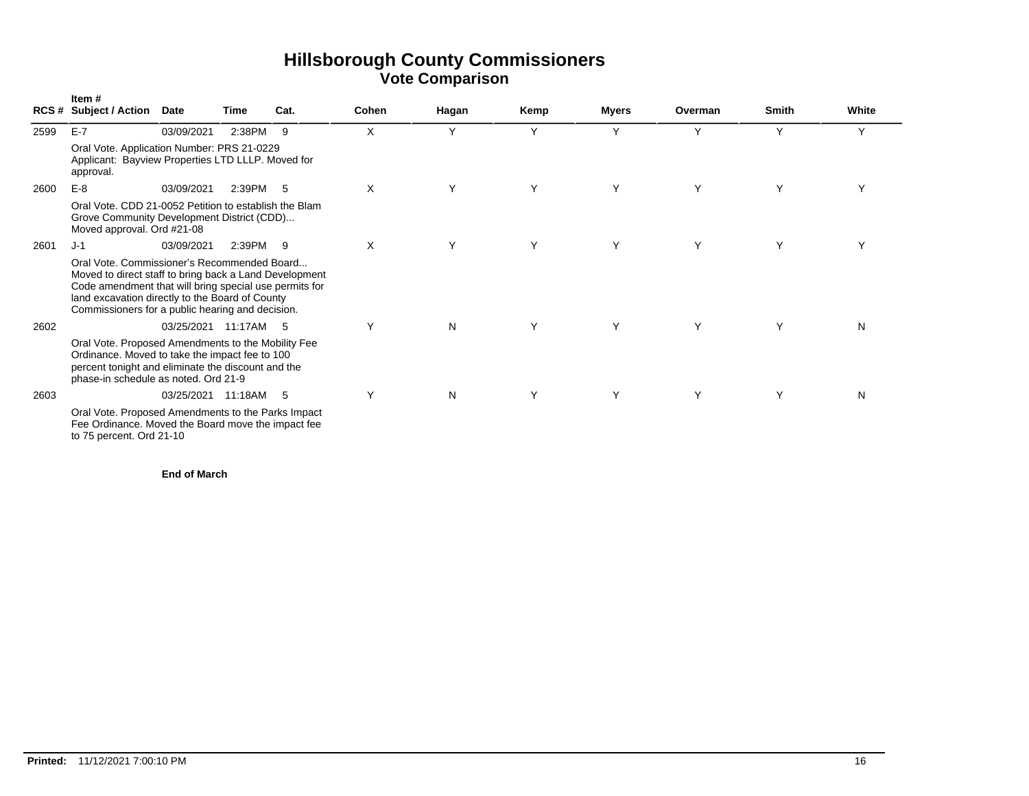|      | Item#<br><b>RCS # Subject / Action</b>                                                                                                                                                                                                                                 | <b>Date</b>          | Time     | Cat. | Cohen | Hagan | Kemp | <b>Myers</b> | Overman | <b>Smith</b> | White |
|------|------------------------------------------------------------------------------------------------------------------------------------------------------------------------------------------------------------------------------------------------------------------------|----------------------|----------|------|-------|-------|------|--------------|---------|--------------|-------|
| 2599 | $E-7$                                                                                                                                                                                                                                                                  | 03/09/2021           | 2:38PM   | 9    | X     | Υ     | Υ    | Υ            | Υ       | Υ            | Υ     |
|      | Oral Vote. Application Number: PRS 21-0229<br>Applicant: Bayview Properties LTD LLLP. Moved for<br>approval.                                                                                                                                                           |                      |          |      |       |       |      |              |         |              |       |
| 2600 | $E-8$                                                                                                                                                                                                                                                                  | 03/09/2021           | 2:39PM   | - 5  | X     | Υ     | Y    | Υ            | Υ       | Υ            |       |
|      | Oral Vote, CDD 21-0052 Petition to establish the Blam<br>Grove Community Development District (CDD)<br>Moved approval. Ord #21-08                                                                                                                                      |                      |          |      |       |       |      |              |         |              |       |
| 2601 | $J-1$                                                                                                                                                                                                                                                                  | 03/09/2021           | 2:39PM 9 |      | X     | Y     | Y    | Y            | Y       | Υ            |       |
|      | Oral Vote, Commissioner's Recommended Board<br>Moved to direct staff to bring back a Land Development<br>Code amendment that will bring special use permits for<br>land excavation directly to the Board of County<br>Commissioners for a public hearing and decision. |                      |          |      |       |       |      |              |         |              |       |
| 2602 |                                                                                                                                                                                                                                                                        | 03/25/2021 11:17AM 5 |          |      | Y     | N     | Y    | Υ            | Y       | Υ            | N     |
|      | Oral Vote. Proposed Amendments to the Mobility Fee<br>Ordinance. Moved to take the impact fee to 100<br>percent tonight and eliminate the discount and the<br>phase-in schedule as noted. Ord 21-9                                                                     |                      |          |      |       |       |      |              |         |              |       |
| 2603 |                                                                                                                                                                                                                                                                        | 03/25/2021           | 11:18AM  | - 5  | Υ     | N     | Υ    | Υ            | Υ       | Υ            | N     |
|      | Oral Vote. Proposed Amendments to the Parks Impact<br>Fee Ordinance. Moved the Board move the impact fee<br>to 75 percent. Ord 21-10                                                                                                                                   |                      |          |      |       |       |      |              |         |              |       |

**End of March**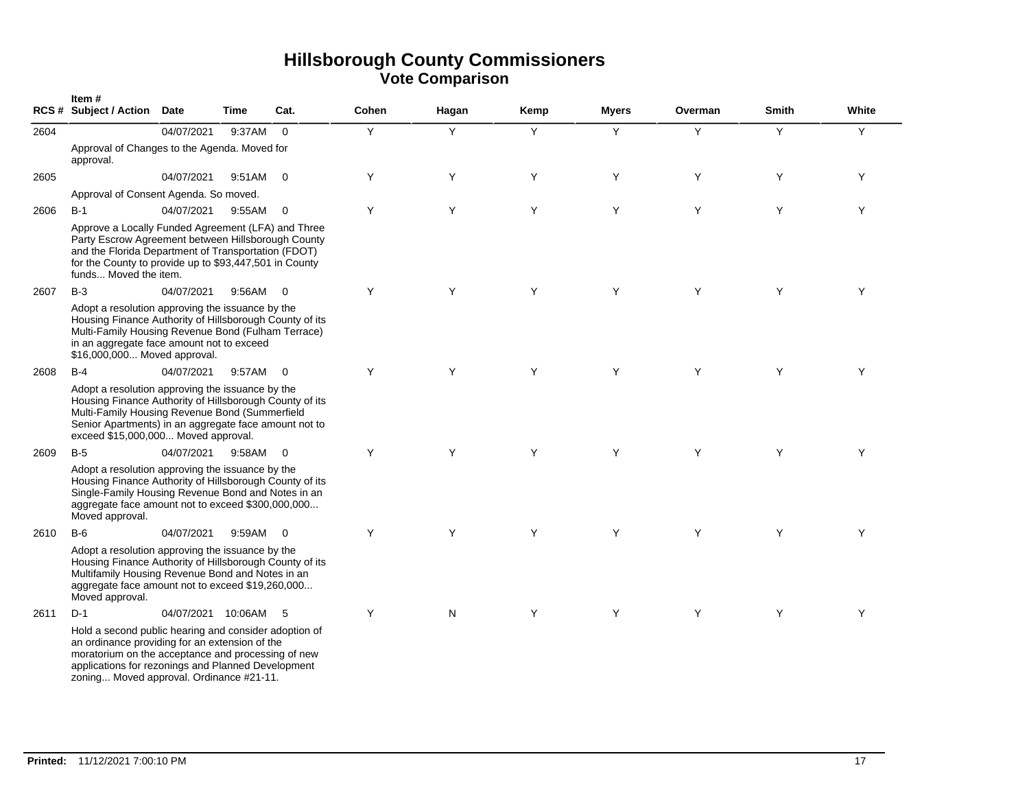|      | Item#<br><b>RCS # Subject / Action</b>                                                                                                                                                                                                                          | <b>Date</b>        | Time   | Cat.           | Cohen | Hagan | Kemp | <b>M</b> vers | Overman | <b>Smith</b> | White |
|------|-----------------------------------------------------------------------------------------------------------------------------------------------------------------------------------------------------------------------------------------------------------------|--------------------|--------|----------------|-------|-------|------|---------------|---------|--------------|-------|
| 2604 |                                                                                                                                                                                                                                                                 | 04/07/2021         | 9:37AM | $\Omega$       | Y     | Y     | Y    | Y             | Y       | Y            | Y     |
|      | Approval of Changes to the Agenda. Moved for<br>approval.                                                                                                                                                                                                       |                    |        |                |       |       |      |               |         |              |       |
| 2605 |                                                                                                                                                                                                                                                                 | 04/07/2021         | 9:51AM | $\overline{0}$ | Y     | Υ     | Y    | Υ             | Y       | Y            | Y     |
|      | Approval of Consent Agenda. So moved.                                                                                                                                                                                                                           |                    |        |                |       |       |      |               |         |              |       |
| 2606 | $B-1$                                                                                                                                                                                                                                                           | 04/07/2021         | 9:55AM | $\mathbf 0$    | Y     | Y     | Y    | Y             | Y       | Y            | Y     |
|      | Approve a Locally Funded Agreement (LFA) and Three<br>Party Escrow Agreement between Hillsborough County<br>and the Florida Department of Transportation (FDOT)<br>for the County to provide up to \$93,447,501 in County<br>funds Moved the item.              |                    |        |                |       |       |      |               |         |              |       |
| 2607 | $B-3$                                                                                                                                                                                                                                                           | 04/07/2021         | 9:56AM | $\Omega$       | Y     | Y     | Y    | Y             | Y       | Y            | Y     |
|      | Adopt a resolution approving the issuance by the<br>Housing Finance Authority of Hillsborough County of its<br>Multi-Family Housing Revenue Bond (Fulham Terrace)<br>in an aggregate face amount not to exceed<br>\$16,000,000 Moved approval.                  |                    |        |                |       |       |      |               |         |              |       |
| 2608 | $B-4$                                                                                                                                                                                                                                                           | 04/07/2021         | 9:57AM | $\overline{0}$ | Y     | Y     | Y    | Y             | Y       | Y            | Y     |
|      | Adopt a resolution approving the issuance by the<br>Housing Finance Authority of Hillsborough County of its<br>Multi-Family Housing Revenue Bond (Summerfield<br>Senior Apartments) in an aggregate face amount not to<br>exceed \$15,000,000 Moved approval.   |                    |        |                |       |       |      |               |         |              |       |
| 2609 | $B-5$                                                                                                                                                                                                                                                           | 04/07/2021         | 9:58AM | $\Omega$       | Y     | Y     | Y    | Y             | Y       | Y            | Υ     |
|      | Adopt a resolution approving the issuance by the<br>Housing Finance Authority of Hillsborough County of its<br>Single-Family Housing Revenue Bond and Notes in an<br>aggregate face amount not to exceed \$300,000,000<br>Moved approval.                       |                    |        |                |       |       |      |               |         |              |       |
| 2610 | $B-6$                                                                                                                                                                                                                                                           | 04/07/2021         | 9:59AM | $\Omega$       | Y     | Y     | Y    | Y             | Y       | Y            | Y     |
|      | Adopt a resolution approving the issuance by the<br>Housing Finance Authority of Hillsborough County of its<br>Multifamily Housing Revenue Bond and Notes in an<br>aggregate face amount not to exceed \$19,260,000<br>Moved approval.                          |                    |        |                |       |       |      |               |         |              |       |
| 2611 | $D-1$                                                                                                                                                                                                                                                           | 04/07/2021 10:06AM |        | - 5            | Υ     | N     | Y    | Y             | Y       | Y            | Y     |
|      | Hold a second public hearing and consider adoption of<br>an ordinance providing for an extension of the<br>moratorium on the acceptance and processing of new<br>applications for rezonings and Planned Development<br>zoning Moved approval. Ordinance #21-11. |                    |        |                |       |       |      |               |         |              |       |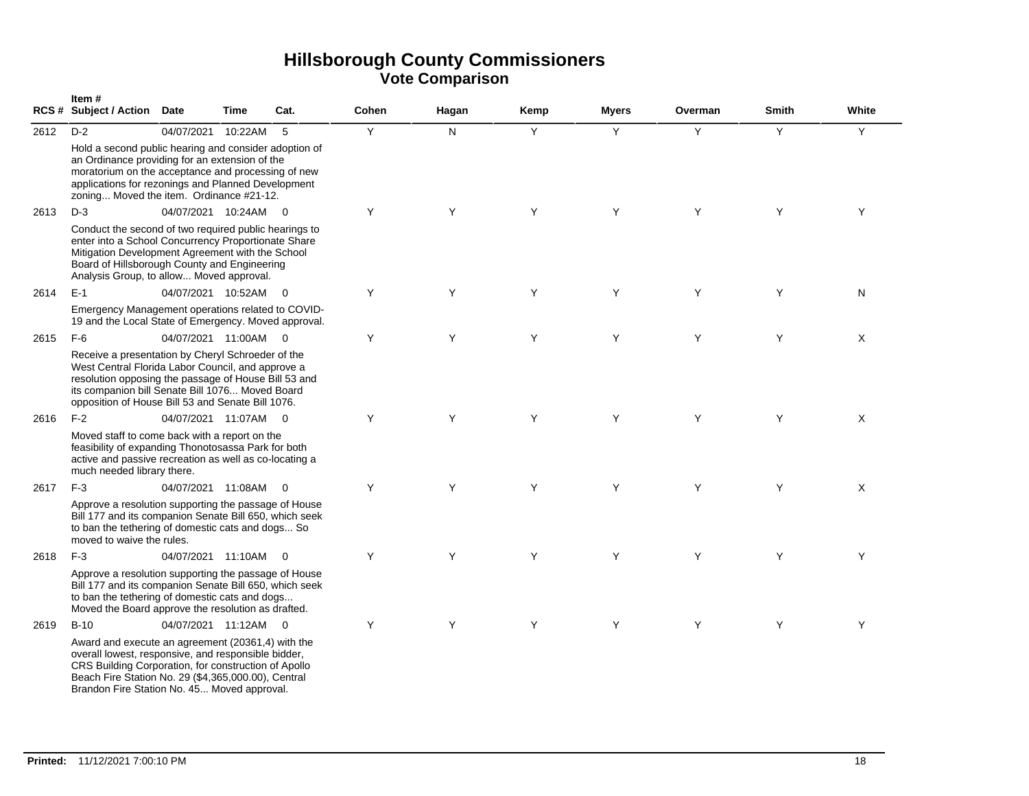|      | Item#<br>RCS # Subject / Action Date                                                                                                                                                                                                                                   |                    | Time    | Cat.           | Cohen | Hagan | Kemp | <b>Myers</b> | Overman | Smith | White |
|------|------------------------------------------------------------------------------------------------------------------------------------------------------------------------------------------------------------------------------------------------------------------------|--------------------|---------|----------------|-------|-------|------|--------------|---------|-------|-------|
| 2612 | $D-2$                                                                                                                                                                                                                                                                  | 04/07/2021         | 10:22AM | 5              | Y     | N.    | Y    | Y            | Y       | Y     | Y     |
|      | Hold a second public hearing and consider adoption of<br>an Ordinance providing for an extension of the<br>moratorium on the acceptance and processing of new<br>applications for rezonings and Planned Development<br>zoning Moved the item. Ordinance #21-12.        |                    |         |                |       |       |      |              |         |       |       |
| 2613 | $D-3$                                                                                                                                                                                                                                                                  | 04/07/2021 10:24AM |         | $\overline{0}$ | Y     | Y     | Y    | Y            | Y       | Y     | Y     |
|      | Conduct the second of two required public hearings to<br>enter into a School Concurrency Proportionate Share<br>Mitigation Development Agreement with the School<br>Board of Hillsborough County and Engineering<br>Analysis Group, to allow Moved approval.           |                    |         |                |       |       |      |              |         |       |       |
| 2614 | $E-1$                                                                                                                                                                                                                                                                  | 04/07/2021 10:52AM |         | $\overline{0}$ | Y     | Y     | Y    | Y            | Y       | Y     | N     |
|      | Emergency Management operations related to COVID-<br>19 and the Local State of Emergency. Moved approval.                                                                                                                                                              |                    |         |                |       |       |      |              |         |       |       |
| 2615 | $F-6$                                                                                                                                                                                                                                                                  | 04/07/2021 11:00AM |         | $\overline{0}$ | Y     | Y     | Y    | Y            | Y       | Y     | X     |
|      | Receive a presentation by Cheryl Schroeder of the<br>West Central Florida Labor Council, and approve a<br>resolution opposing the passage of House Bill 53 and<br>its companion bill Senate Bill 1076 Moved Board<br>opposition of House Bill 53 and Senate Bill 1076. |                    |         |                |       |       |      |              |         |       |       |
| 2616 | $F-2$                                                                                                                                                                                                                                                                  | 04/07/2021 11:07AM |         | $\overline{0}$ | Y     | Y     | Y    | Y            | Y       | Y     | X     |
|      | Moved staff to come back with a report on the<br>feasibility of expanding Thonotosassa Park for both<br>active and passive recreation as well as co-locating a<br>much needed library there.                                                                           |                    |         |                |       |       |      |              |         |       |       |
| 2617 | $F-3$                                                                                                                                                                                                                                                                  | 04/07/2021 11:08AM |         | $\overline{0}$ | Y     | Y     | Y    | Y            | Y       | Y     | X     |
|      | Approve a resolution supporting the passage of House<br>Bill 177 and its companion Senate Bill 650, which seek<br>to ban the tethering of domestic cats and dogs So<br>moved to waive the rules.                                                                       |                    |         |                |       |       |      |              |         |       |       |
| 2618 | $F-3$                                                                                                                                                                                                                                                                  | 04/07/2021 11:10AM |         | $\overline{0}$ | Y     | Y     | Y    | Y            | Y       | Y     | Y     |
|      | Approve a resolution supporting the passage of House<br>Bill 177 and its companion Senate Bill 650, which seek<br>to ban the tethering of domestic cats and dogs<br>Moved the Board approve the resolution as drafted.                                                 |                    |         |                |       |       |      |              |         |       |       |
| 2619 | $B-10$                                                                                                                                                                                                                                                                 | 04/07/2021 11:12AM |         | $\overline{0}$ | Y     | Y     | Y    | Y            | Y       | Y     | Y     |
|      | Award and execute an agreement (20361,4) with the<br>overall lowest, responsive, and responsible bidder,<br>CRS Building Corporation, for construction of Apollo<br>Beach Fire Station No. 29 (\$4,365,000.00), Central<br>Brandon Fire Station No. 45 Moved approval. |                    |         |                |       |       |      |              |         |       |       |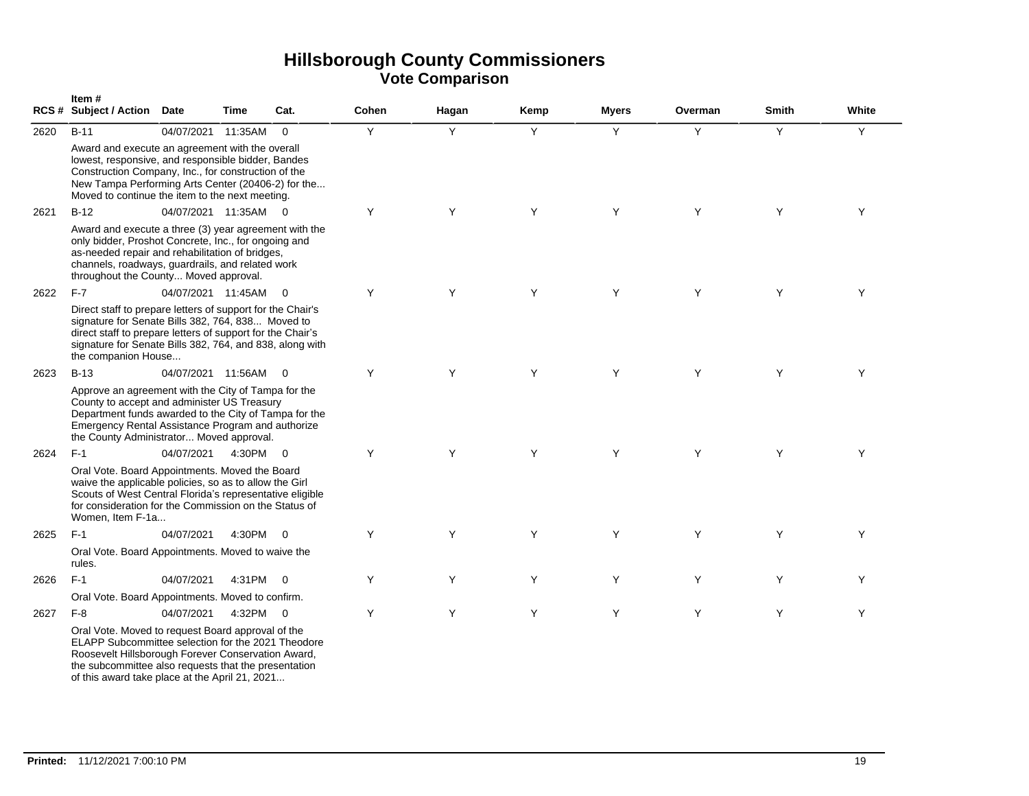|      | Item#<br>RCS # Subject / Action Date                                                                                                                                                                                                                                    |                    | <b>Time</b> | Cat.                    | Cohen | Hagan | Kemp | <b>Myers</b> | Overman | <b>Smith</b> | White |
|------|-------------------------------------------------------------------------------------------------------------------------------------------------------------------------------------------------------------------------------------------------------------------------|--------------------|-------------|-------------------------|-------|-------|------|--------------|---------|--------------|-------|
| 2620 | $B-11$                                                                                                                                                                                                                                                                  | 04/07/2021         | 11:35AM     | $\mathbf 0$             | Y     | Y     | Y    | Y            | Y       | Y            | Y     |
|      | Award and execute an agreement with the overall<br>lowest, responsive, and responsible bidder, Bandes<br>Construction Company, Inc., for construction of the<br>New Tampa Performing Arts Center (20406-2) for the<br>Moved to continue the item to the next meeting.   |                    |             |                         |       |       |      |              |         |              |       |
| 2621 | $B-12$                                                                                                                                                                                                                                                                  | 04/07/2021 11:35AM |             | $\Omega$                | Y     | Y     | Y    | Y            | Y       | Y            | Y     |
|      | Award and execute a three (3) year agreement with the<br>only bidder, Proshot Concrete, Inc., for ongoing and<br>as-needed repair and rehabilitation of bridges,<br>channels, roadways, guardrails, and related work<br>throughout the County Moved approval.           |                    |             |                         |       |       |      |              |         |              |       |
| 2622 | $F-7$                                                                                                                                                                                                                                                                   | 04/07/2021 11:45AM |             | $\Omega$                | Y     | Y     | Y    | Y            | Y       | Y            | Y     |
|      | Direct staff to prepare letters of support for the Chair's<br>signature for Senate Bills 382, 764, 838 Moved to<br>direct staff to prepare letters of support for the Chair's<br>signature for Senate Bills 382, 764, and 838, along with<br>the companion House        |                    |             |                         |       |       |      |              |         |              |       |
| 2623 | $B-13$                                                                                                                                                                                                                                                                  | 04/07/2021 11:56AM |             | $\overline{0}$          | Y     | Y     | Y    | Y            | Y       | Y            | Y     |
|      | Approve an agreement with the City of Tampa for the<br>County to accept and administer US Treasury<br>Department funds awarded to the City of Tampa for the<br>Emergency Rental Assistance Program and authorize<br>the County Administrator Moved approval.            |                    |             |                         |       |       |      |              |         |              |       |
| 2624 | $F-1$                                                                                                                                                                                                                                                                   | 04/07/2021         | 4:30PM      | $\Omega$                | Y     | Y     | Y    | Y            | Y       | Y            | Y     |
|      | Oral Vote. Board Appointments. Moved the Board<br>waive the applicable policies, so as to allow the Girl<br>Scouts of West Central Florida's representative eligible<br>for consideration for the Commission on the Status of<br>Women, Item F-1a                       |                    |             |                         |       |       |      |              |         |              |       |
| 2625 | $F-1$                                                                                                                                                                                                                                                                   | 04/07/2021         | 4:30PM      | $\overline{0}$          | Y     | Y     | Y    | Y            | Y       | Y            | Y     |
|      | Oral Vote. Board Appointments. Moved to waive the<br>rules.                                                                                                                                                                                                             |                    |             |                         |       |       |      |              |         |              |       |
| 2626 | $F-1$                                                                                                                                                                                                                                                                   | 04/07/2021         | 4:31PM      | $\overline{\mathbf{0}}$ | Y     | Y     | Y    | Y            | Y       | Y            | Y     |
|      | Oral Vote. Board Appointments. Moved to confirm.                                                                                                                                                                                                                        |                    |             |                         |       |       |      |              |         |              |       |
| 2627 | $F-8$                                                                                                                                                                                                                                                                   | 04/07/2021         | 4:32PM      | $\overline{\mathbf{0}}$ | Y     | Y     | Y    | Y            | Y       | Y            | Y     |
|      | Oral Vote. Moved to request Board approval of the<br>ELAPP Subcommittee selection for the 2021 Theodore<br>Roosevelt Hillsborough Forever Conservation Award,<br>the subcommittee also requests that the presentation<br>of this award take place at the April 21, 2021 |                    |             |                         |       |       |      |              |         |              |       |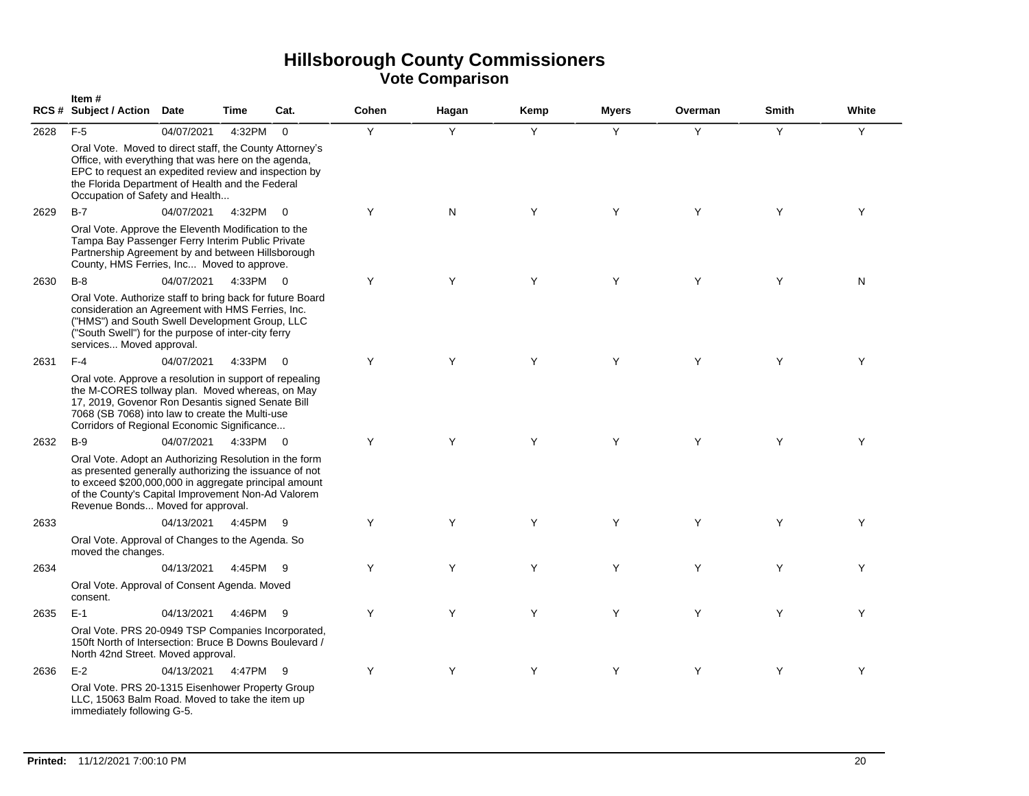|      | Item#<br>RCS# Subject / Action Date                                                                                                                                                                                                                                  |            | Time     | Cat.                     | Cohen | Hagan | Kemp | <b>Myers</b> | Overman | Smith | White |
|------|----------------------------------------------------------------------------------------------------------------------------------------------------------------------------------------------------------------------------------------------------------------------|------------|----------|--------------------------|-------|-------|------|--------------|---------|-------|-------|
| 2628 | $F-5$                                                                                                                                                                                                                                                                | 04/07/2021 | 4:32PM   | $\mathbf 0$              | Y     | Y     | Y    | Y            | Y       | Y     | Υ     |
|      | Oral Vote. Moved to direct staff, the County Attorney's<br>Office, with everything that was here on the agenda,<br>EPC to request an expedited review and inspection by<br>the Florida Department of Health and the Federal<br>Occupation of Safety and Health       |            |          |                          |       |       |      |              |         |       |       |
| 2629 | $B-7$                                                                                                                                                                                                                                                                | 04/07/2021 | 4:32PM   | - 0                      | Y     | N     | Y    | Y            | Y       | Y     | Y     |
|      | Oral Vote. Approve the Eleventh Modification to the<br>Tampa Bay Passenger Ferry Interim Public Private<br>Partnership Agreement by and between Hillsborough<br>County, HMS Ferries, Inc Moved to approve.                                                           |            |          |                          |       |       |      |              |         |       |       |
| 2630 | $B-8$                                                                                                                                                                                                                                                                | 04/07/2021 | 4:33PM   | $\overline{0}$           | Y     | Y     | Y    | Y            | Y       | Y     | N     |
|      | Oral Vote. Authorize staff to bring back for future Board<br>consideration an Agreement with HMS Ferries, Inc.<br>("HMS") and South Swell Development Group, LLC<br>("South Swell") for the purpose of inter-city ferry<br>services Moved approval.                  |            |          |                          |       |       |      |              |         |       |       |
| 2631 | $F-4$                                                                                                                                                                                                                                                                | 04/07/2021 | 4:33PM   | $\overline{0}$           | Y     | Y     | Y    | Y            | Y       | Y     | Y     |
|      | Oral vote. Approve a resolution in support of repealing<br>the M-CORES tollway plan. Moved whereas, on May<br>17, 2019, Govenor Ron Desantis signed Senate Bill<br>7068 (SB 7068) into law to create the Multi-use<br>Corridors of Regional Economic Significance    |            |          |                          |       |       |      |              |         |       |       |
| 2632 | $B-9$                                                                                                                                                                                                                                                                | 04/07/2021 | 4:33PM   | $\overline{\phantom{0}}$ | Y     | Y     | Y    | Y            | Y       | Y     | Y     |
|      | Oral Vote. Adopt an Authorizing Resolution in the form<br>as presented generally authorizing the issuance of not<br>to exceed \$200,000,000 in aggregate principal amount<br>of the County's Capital Improvement Non-Ad Valorem<br>Revenue Bonds Moved for approval. |            |          |                          |       |       |      |              |         |       |       |
| 2633 |                                                                                                                                                                                                                                                                      | 04/13/2021 | 4:45PM 9 |                          | Y     | Y     | Y    | Y            | Y       | Y     | Y     |
|      | Oral Vote. Approval of Changes to the Agenda. So<br>moved the changes.                                                                                                                                                                                               |            |          |                          |       |       |      |              |         |       |       |
| 2634 |                                                                                                                                                                                                                                                                      | 04/13/2021 | 4:45PM 9 |                          | Y     | Y     | Y    | Y            | Y       | Y     | Y     |
|      | Oral Vote. Approval of Consent Agenda. Moved<br>consent.                                                                                                                                                                                                             |            |          |                          |       |       |      |              |         |       |       |
| 2635 | $E-1$                                                                                                                                                                                                                                                                | 04/13/2021 | 4:46PM   | - 9                      | Y     | Y     | Y    | Y            | Y       | Y     | Y     |
|      | Oral Vote. PRS 20-0949 TSP Companies Incorporated,<br>150ft North of Intersection: Bruce B Downs Boulevard /<br>North 42nd Street. Moved approval.                                                                                                                   |            |          |                          |       |       |      |              |         |       |       |
| 2636 | $E-2$                                                                                                                                                                                                                                                                | 04/13/2021 | 4:47PM   | -9                       | Y     | Y     | Y    | Y            | Y       | Y     | Y     |
|      | Oral Vote. PRS 20-1315 Eisenhower Property Group<br>LLC, 15063 Balm Road. Moved to take the item up<br>immediately following G-5.                                                                                                                                    |            |          |                          |       |       |      |              |         |       |       |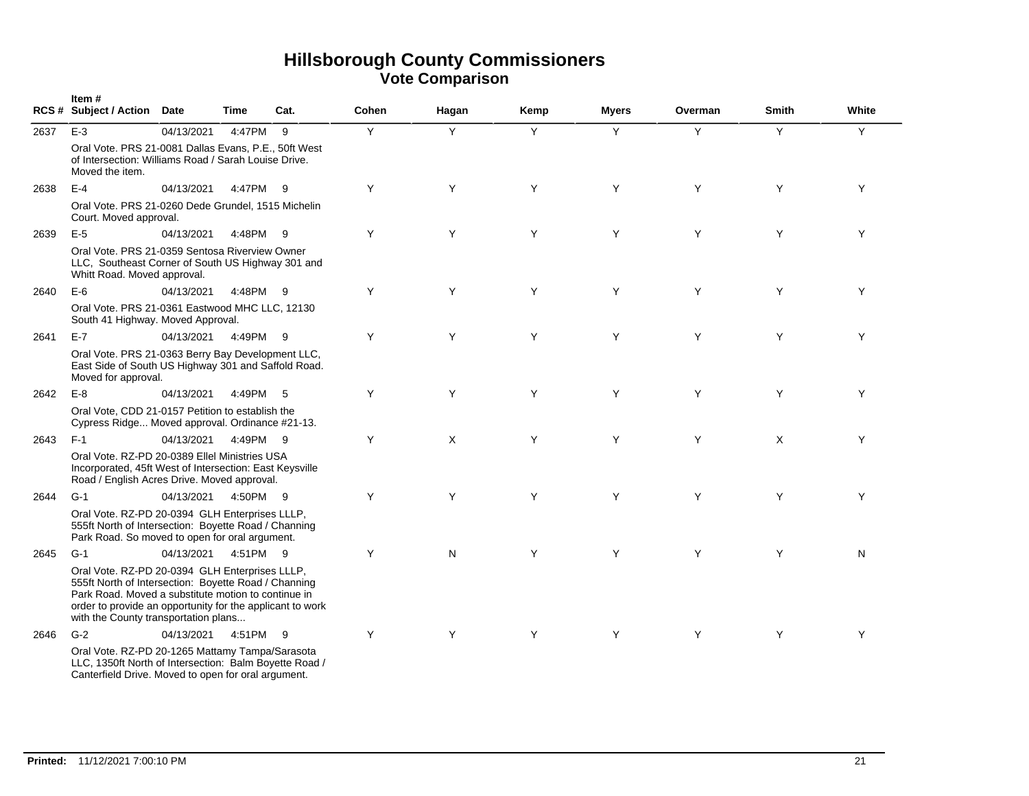|      | Item#<br>RCS # Subject / Action Date                                                                                                                                                                                                                               |            | <b>Time</b> | Cat. | Cohen | Hagan | Kemp | <b>Myers</b> | Overman | <b>Smith</b> | White |
|------|--------------------------------------------------------------------------------------------------------------------------------------------------------------------------------------------------------------------------------------------------------------------|------------|-------------|------|-------|-------|------|--------------|---------|--------------|-------|
| 2637 | $E-3$                                                                                                                                                                                                                                                              | 04/13/2021 | 4:47PM      | 9    | Y     | Y     | Y    | Y            | Y       | Y            | Y     |
|      | Oral Vote. PRS 21-0081 Dallas Evans, P.E., 50ft West<br>of Intersection: Williams Road / Sarah Louise Drive.<br>Moved the item.                                                                                                                                    |            |             |      |       |       |      |              |         |              |       |
| 2638 | $E-4$                                                                                                                                                                                                                                                              | 04/13/2021 | 4:47PM      | - 9  | Y     | Y     | Y    | Y            | Y       | Y            | Y     |
|      | Oral Vote. PRS 21-0260 Dede Grundel, 1515 Michelin<br>Court. Moved approval.                                                                                                                                                                                       |            |             |      |       |       |      |              |         |              |       |
| 2639 | $E-5$                                                                                                                                                                                                                                                              | 04/13/2021 | 4:48PM      | 9    | Y     | Y     | Y    | Y            | Y       | Y            | Y     |
|      | Oral Vote. PRS 21-0359 Sentosa Riverview Owner<br>LLC, Southeast Corner of South US Highway 301 and<br>Whitt Road. Moved approval.                                                                                                                                 |            |             |      |       |       |      |              |         |              |       |
| 2640 | $E-6$                                                                                                                                                                                                                                                              | 04/13/2021 | 4:48PM      | - 9  | Y     | Y     | Y    | Y            | Y       | Y            | Y     |
|      | Oral Vote. PRS 21-0361 Eastwood MHC LLC, 12130<br>South 41 Highway. Moved Approval.                                                                                                                                                                                |            |             |      |       |       |      |              |         |              |       |
| 2641 | $E-7$                                                                                                                                                                                                                                                              | 04/13/2021 | 4:49PM      | - 9  | Y     | Y     | Y    | Y            | Y       | Y            | Y     |
|      | Oral Vote. PRS 21-0363 Berry Bay Development LLC,<br>East Side of South US Highway 301 and Saffold Road.<br>Moved for approval.                                                                                                                                    |            |             |      |       |       |      |              |         |              |       |
| 2642 | $E-8$                                                                                                                                                                                                                                                              | 04/13/2021 | 4:49PM      | - 5  | Y     | Y     | Y    | Y            | Y       | Y            | Y     |
|      | Oral Vote, CDD 21-0157 Petition to establish the<br>Cypress Ridge Moved approval. Ordinance #21-13.                                                                                                                                                                |            |             |      |       |       |      |              |         |              |       |
| 2643 | $F-1$                                                                                                                                                                                                                                                              | 04/13/2021 | 4:49PM      | - 9  | Y     | X     | Y    | Y            | Y       | X            | Y     |
|      | Oral Vote, RZ-PD 20-0389 Ellel Ministries USA<br>Incorporated, 45ft West of Intersection: East Keysville<br>Road / English Acres Drive. Moved approval.                                                                                                            |            |             |      |       |       |      |              |         |              |       |
| 2644 | $G-1$                                                                                                                                                                                                                                                              | 04/13/2021 | 4:50PM 9    |      | Y     | Y     | Y    | Y            | Y       | Y            | Y     |
|      | Oral Vote. RZ-PD 20-0394 GLH Enterprises LLLP,<br>555ft North of Intersection: Boyette Road / Channing<br>Park Road. So moved to open for oral argument.                                                                                                           |            |             |      |       |       |      |              |         |              |       |
| 2645 | $G-1$                                                                                                                                                                                                                                                              | 04/13/2021 | 4:51PM 9    |      | Y     | N     | Y    | Y            | Y       | Y            | N     |
|      | Oral Vote. RZ-PD 20-0394 GLH Enterprises LLLP,<br>555ft North of Intersection: Boyette Road / Channing<br>Park Road. Moved a substitute motion to continue in<br>order to provide an opportunity for the applicant to work<br>with the County transportation plans |            |             |      |       |       |      |              |         |              |       |
| 2646 | $G-2$                                                                                                                                                                                                                                                              | 04/13/2021 | 4:51PM 9    |      | Y     | Y     | Y    | Y            | Y       | Y            | Y     |
|      | Oral Vote. RZ-PD 20-1265 Mattamy Tampa/Sarasota<br>LLC, 1350ft North of Intersection: Balm Boyette Road /<br>Canterfield Drive. Moved to open for oral argument.                                                                                                   |            |             |      |       |       |      |              |         |              |       |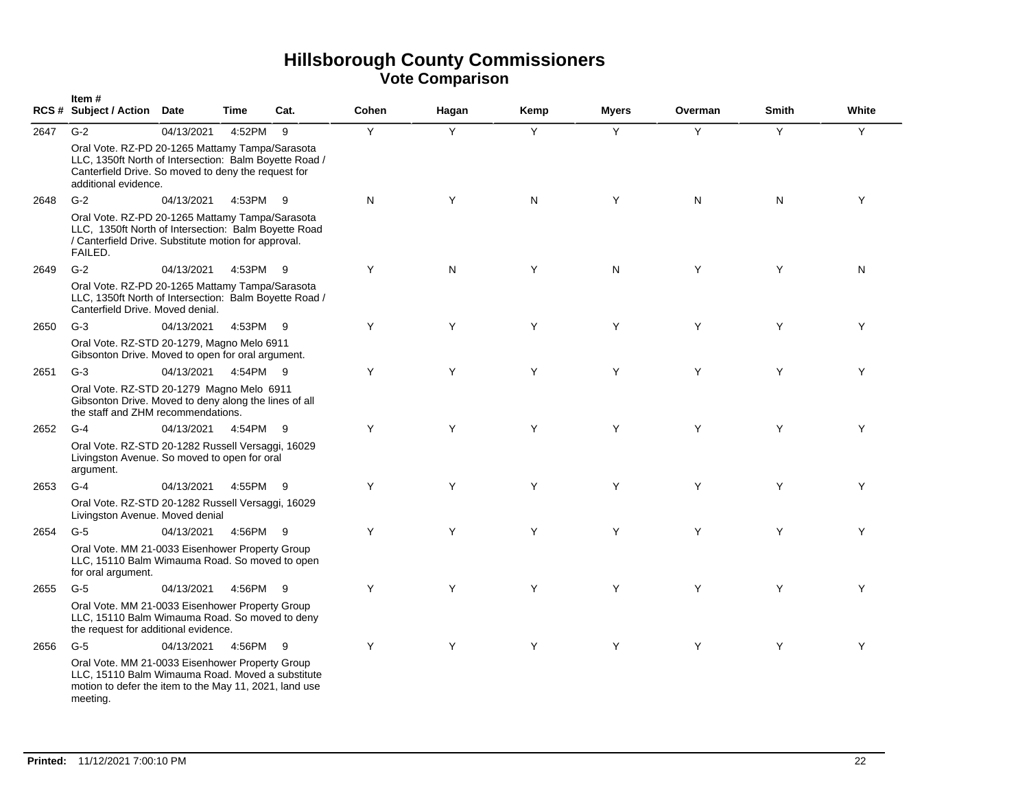|      | Item#<br>RCS # Subject / Action Date                                                                                                                                                     |                       | <b>Time</b> | Cat. | Cohen | Hagan | Kemp | <b>Myers</b> | Overman | <b>Smith</b> | White |
|------|------------------------------------------------------------------------------------------------------------------------------------------------------------------------------------------|-----------------------|-------------|------|-------|-------|------|--------------|---------|--------------|-------|
| 2647 | $G-2$                                                                                                                                                                                    | 04/13/2021            | 4:52PM      | 9    | Y     | Y     | Y    | Y            | Y       | Y            | Y     |
|      | Oral Vote. RZ-PD 20-1265 Mattamy Tampa/Sarasota<br>LLC, 1350ft North of Intersection: Balm Boyette Road /<br>Canterfield Drive. So moved to deny the request for<br>additional evidence. |                       |             |      |       |       |      |              |         |              |       |
| 2648 | $G-2$                                                                                                                                                                                    | 04/13/2021            | 4:53PM      | -9   | N     | Y     | N    | Y            | N       | N            | Y     |
|      | Oral Vote. RZ-PD 20-1265 Mattamy Tampa/Sarasota<br>LLC, 1350ft North of Intersection: Balm Boyette Road<br>/ Canterfield Drive. Substitute motion for approval.<br>FAILED.               |                       |             |      |       |       |      |              |         |              |       |
| 2649 | $G-2$                                                                                                                                                                                    | 04/13/2021            | 4:53PM 9    |      | Y     | N     | Y    | N            | Y       | Y            | N     |
|      | Oral Vote. RZ-PD 20-1265 Mattamy Tampa/Sarasota<br>LLC, 1350ft North of Intersection: Balm Boyette Road /<br>Canterfield Drive. Moved denial.                                            |                       |             |      |       |       |      |              |         |              |       |
| 2650 | $G-3$                                                                                                                                                                                    | 04/13/2021            | 4:53PM 9    |      | Y     | Y     | Y    | Y            | Y       | Y            | Y     |
|      | Oral Vote. RZ-STD 20-1279, Magno Melo 6911<br>Gibsonton Drive. Moved to open for oral argument.                                                                                          |                       |             |      |       |       |      |              |         |              |       |
| 2651 | $G-3$                                                                                                                                                                                    | 04/13/2021  4:54PM  9 |             |      | Y     | Y     | Y    | Y            | Y       | Y            | Y     |
|      | Oral Vote. RZ-STD 20-1279 Magno Melo 6911<br>Gibsonton Drive. Moved to deny along the lines of all<br>the staff and ZHM recommendations.                                                 |                       |             |      |       |       |      |              |         |              |       |
| 2652 | $G-4$                                                                                                                                                                                    | 04/13/2021  4:54PM  9 |             |      | Y     | Y     | Y    | Y            | Y       | Y            | Y     |
|      | Oral Vote. RZ-STD 20-1282 Russell Versaggi, 16029<br>Livingston Avenue. So moved to open for oral<br>argument.                                                                           |                       |             |      |       |       |      |              |         |              |       |
| 2653 | $G-4$                                                                                                                                                                                    | 04/13/2021            | 4:55PM 9    |      | Y     | Y     | Y    | Y            | Y       | Y            | Y     |
|      | Oral Vote. RZ-STD 20-1282 Russell Versaggi, 16029<br>Livingston Avenue. Moved denial                                                                                                     |                       |             |      |       |       |      |              |         |              |       |
| 2654 | $G-5$                                                                                                                                                                                    | 04/13/2021            | 4:56PM      | - 9  | Y     | Y     | Y    | Y            | Y       | Y            | Y     |
|      | Oral Vote. MM 21-0033 Eisenhower Property Group<br>LLC, 15110 Balm Wimauma Road. So moved to open<br>for oral argument.                                                                  |                       |             |      |       |       |      |              |         |              |       |
| 2655 | $G-5$                                                                                                                                                                                    | 04/13/2021            | 4:56PM      | -9   | Y     | Y     | Y    | Y            | Y       | Y            | Y     |
|      | Oral Vote. MM 21-0033 Eisenhower Property Group<br>LLC, 15110 Balm Wimauma Road. So moved to deny<br>the request for additional evidence.                                                |                       |             |      |       |       |      |              |         |              |       |
| 2656 | $G-5$                                                                                                                                                                                    | 04/13/2021            | 4:56PM      | - 9  | Y     | Y     | Y    | Y            | Y       | Y            | Y     |
|      | Oral Vote. MM 21-0033 Eisenhower Property Group<br>LLC, 15110 Balm Wimauma Road. Moved a substitute<br>motion to defer the item to the May 11, 2021, land use<br>meeting.                |                       |             |      |       |       |      |              |         |              |       |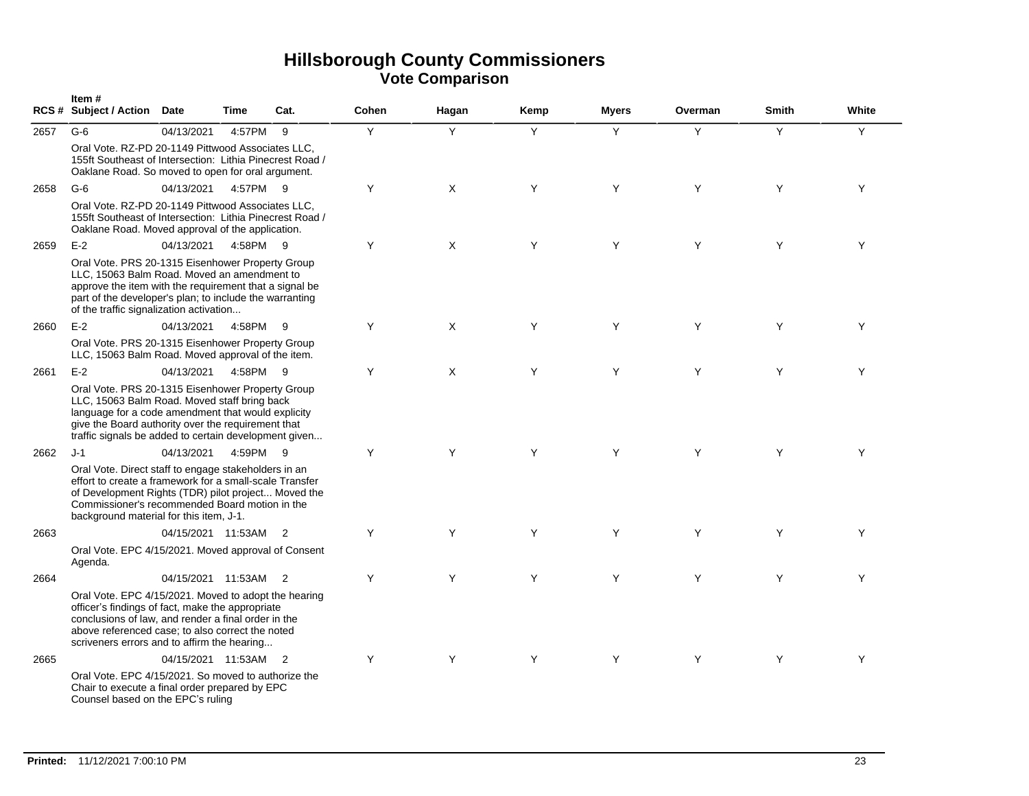|      | Item#<br>RCS # Subject / Action Date                                                                                                                                                                                                                                           |                      | Time     | Cat.           | Cohen | Hagan | Kemp | <b>Myers</b> | Overman | <b>Smith</b> | White |
|------|--------------------------------------------------------------------------------------------------------------------------------------------------------------------------------------------------------------------------------------------------------------------------------|----------------------|----------|----------------|-------|-------|------|--------------|---------|--------------|-------|
| 2657 | $G-6$<br>Oral Vote. RZ-PD 20-1149 Pittwood Associates LLC.<br>155ft Southeast of Intersection: Lithia Pinecrest Road /<br>Oaklane Road. So moved to open for oral argument.                                                                                                    | 04/13/2021           | 4:57PM   | 9              | Y     | Y     | Y    | Y            | Y       | Y            | Y     |
| 2658 | $G-6$<br>Oral Vote. RZ-PD 20-1149 Pittwood Associates LLC,<br>155ft Southeast of Intersection: Lithia Pinecrest Road /<br>Oaklane Road. Moved approval of the application.                                                                                                     | 04/13/2021           | 4:57PM 9 |                | Y     | X     | Y    | Y            | Y       | Y            | Y     |
| 2659 | $E-2$<br>Oral Vote. PRS 20-1315 Eisenhower Property Group<br>LLC, 15063 Balm Road. Moved an amendment to<br>approve the item with the requirement that a signal be<br>part of the developer's plan; to include the warranting<br>of the traffic signalization activation       | 04/13/2021           | 4:58PM 9 |                | Y     | X     | Y    | Y            | Y       | Υ            | Y     |
| 2660 | $E-2$<br>Oral Vote. PRS 20-1315 Eisenhower Property Group<br>LLC, 15063 Balm Road. Moved approval of the item.                                                                                                                                                                 | 04/13/2021           | 4:58PM   | - 9            | Υ     | Χ     | Y    | Y            | Y       | Y            | Υ     |
| 2661 | $E-2$<br>Oral Vote. PRS 20-1315 Eisenhower Property Group<br>LLC, 15063 Balm Road. Moved staff bring back<br>language for a code amendment that would explicity<br>give the Board authority over the requirement that<br>traffic signals be added to certain development given | 04/13/2021           | 4:58PM   | - 9            | Y     | X     | Y    | Y            | Y       | Y            | Y     |
| 2662 | $J-1$<br>Oral Vote. Direct staff to engage stakeholders in an<br>effort to create a framework for a small-scale Transfer<br>of Development Rights (TDR) pilot project Moved the<br>Commissioner's recommended Board motion in the<br>background material for this item, J-1.   | 04/13/2021           | 4:59PM 9 |                | Y     | Y     | Y    | Y            | Y       | Y            | Y     |
| 2663 | Oral Vote. EPC 4/15/2021. Moved approval of Consent<br>Agenda.                                                                                                                                                                                                                 | 04/15/2021 11:53AM 2 |          |                | Y     | Y     | Y    | Y            | Y       | Y            | Y     |
| 2664 | Oral Vote. EPC 4/15/2021. Moved to adopt the hearing<br>officer's findings of fact, make the appropriate<br>conclusions of law, and render a final order in the<br>above referenced case; to also correct the noted<br>scriveners errors and to affirm the hearing             | 04/15/2021 11:53AM 2 |          |                | Y     | Y     | Y    | Y            | Y       | Y            | Y     |
| 2665 | Oral Vote. EPC 4/15/2021. So moved to authorize the<br>Chair to execute a final order prepared by EPC<br>Counsel based on the EPC's ruling                                                                                                                                     | 04/15/2021 11:53AM   |          | $\overline{2}$ | Y     | Y     | Y    | Y            | Y       | Y            | Y     |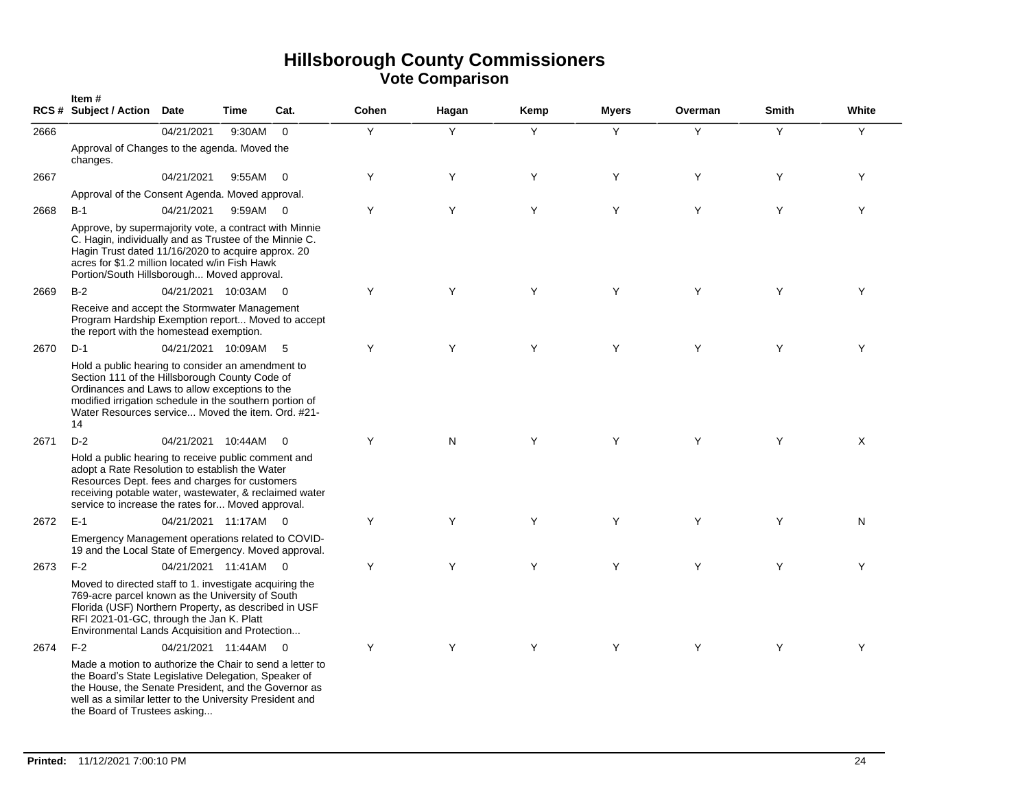|      | Item#<br><b>RCS # Subject / Action</b>                                                                                                                                                                                                                                      | Date                 | Time   | Cat.                     | Cohen | Hagan | Kemp | <b>Myers</b> | Overman | <b>Smith</b> | White |
|------|-----------------------------------------------------------------------------------------------------------------------------------------------------------------------------------------------------------------------------------------------------------------------------|----------------------|--------|--------------------------|-------|-------|------|--------------|---------|--------------|-------|
| 2666 |                                                                                                                                                                                                                                                                             | 04/21/2021           | 9:30AM | $\mathbf 0$              | Y     | Y     | Y    | Y            | Y       | Y            | Υ     |
|      | Approval of Changes to the agenda. Moved the<br>changes.                                                                                                                                                                                                                    |                      |        |                          |       |       |      |              |         |              |       |
| 2667 |                                                                                                                                                                                                                                                                             | 04/21/2021           | 9:55AM | $\overline{\phantom{0}}$ | Y     | Υ     | Y    | Y            | Y       | Y            | Y     |
|      | Approval of the Consent Agenda. Moved approval.                                                                                                                                                                                                                             |                      |        |                          |       |       |      |              |         |              |       |
| 2668 | $B-1$                                                                                                                                                                                                                                                                       | 04/21/2021           | 9:59AM | $\overline{\phantom{0}}$ | Y     | Υ     | Y    | Y            | Y       | Y            | Y     |
|      | Approve, by supermajority vote, a contract with Minnie<br>C. Hagin, individually and as Trustee of the Minnie C.<br>Hagin Trust dated 11/16/2020 to acquire approx. 20<br>acres for \$1.2 million located w/in Fish Hawk<br>Portion/South Hillsborough Moved approval.      |                      |        |                          |       |       |      |              |         |              |       |
| 2669 | $B-2$                                                                                                                                                                                                                                                                       | 04/21/2021 10:03AM   |        | $\overline{\mathbf{0}}$  | Y     | Υ     | Y    | Y            | Y       | Y            | Y     |
|      | Receive and accept the Stormwater Management<br>Program Hardship Exemption report Moved to accept<br>the report with the homestead exemption.                                                                                                                               |                      |        |                          |       |       |      |              |         |              |       |
| 2670 | $D-1$                                                                                                                                                                                                                                                                       | 04/21/2021 10:09AM   |        | 5                        | Y     | Y     | Y    | Y            | Y       | Y            | Υ     |
|      | Hold a public hearing to consider an amendment to<br>Section 111 of the Hillsborough County Code of<br>Ordinances and Laws to allow exceptions to the<br>modified irrigation schedule in the southern portion of<br>Water Resources service Moved the item. Ord. #21-<br>14 |                      |        |                          |       |       |      |              |         |              |       |
| 2671 | $D-2$                                                                                                                                                                                                                                                                       | 04/21/2021 10:44AM   |        | $\overline{\mathbf{0}}$  | Y     | N     | Y    | Y            | Y       | Y            | X     |
|      | Hold a public hearing to receive public comment and<br>adopt a Rate Resolution to establish the Water<br>Resources Dept. fees and charges for customers<br>receiving potable water, wastewater, & reclaimed water<br>service to increase the rates for Moved approval.      |                      |        |                          |       |       |      |              |         |              |       |
| 2672 | $E-1$                                                                                                                                                                                                                                                                       | 04/21/2021 11:17AM 0 |        |                          | Y     | Y     | Y    | Y            | Y       | Y            | N     |
|      | Emergency Management operations related to COVID-<br>19 and the Local State of Emergency. Moved approval.                                                                                                                                                                   |                      |        |                          |       |       |      |              |         |              |       |
| 2673 | $F-2$                                                                                                                                                                                                                                                                       | 04/21/2021 11:41AM 0 |        |                          | Y     | Y     | Y    | Y            | Y       | Y            | Y     |
|      | Moved to directed staff to 1. investigate acquiring the<br>769-acre parcel known as the University of South<br>Florida (USF) Northern Property, as described in USF<br>RFI 2021-01-GC, through the Jan K. Platt<br>Environmental Lands Acquisition and Protection           |                      |        |                          |       |       |      |              |         |              |       |
| 2674 | $F-2$                                                                                                                                                                                                                                                                       | 04/21/2021 11:44AM   |        | $\overline{0}$           | Y     | Y     | Y    | Y            | Y       | Y            | Y     |
|      | Made a motion to authorize the Chair to send a letter to<br>the Board's State Legislative Delegation, Speaker of<br>the House, the Senate President, and the Governor as<br>well as a similar letter to the University President and<br>the Board of Trustees asking        |                      |        |                          |       |       |      |              |         |              |       |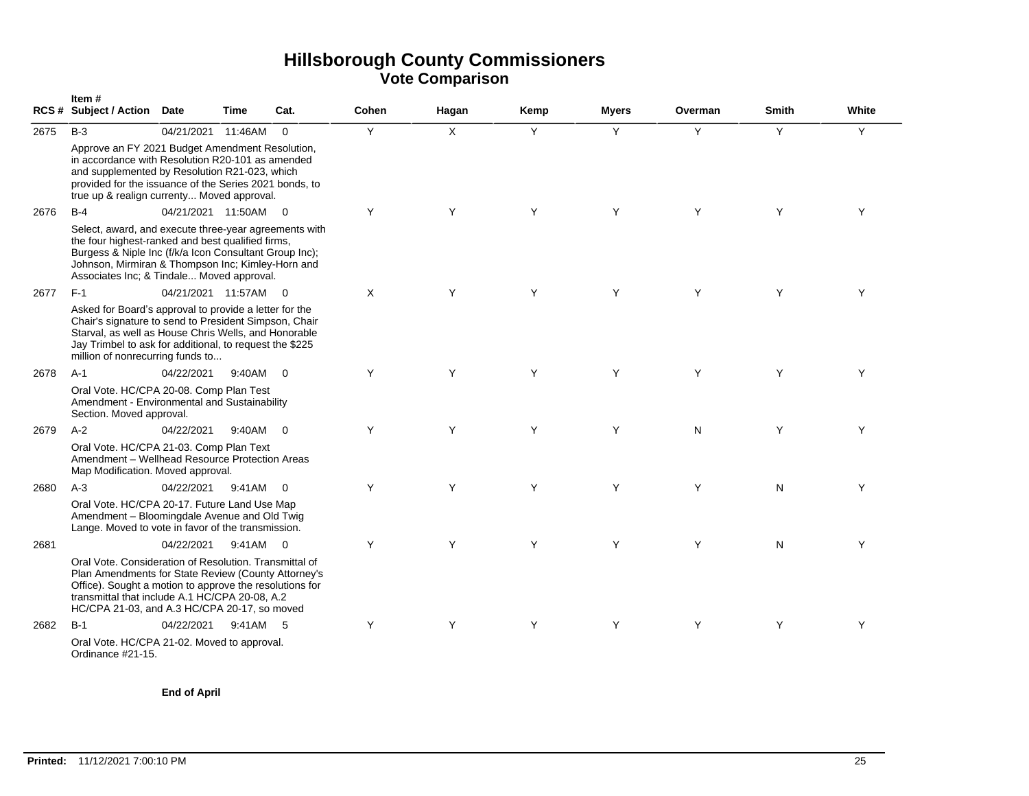|      | Item#<br><b>RCS # Subject / Action</b>                                                                                                                                                                                                                                     | Date                 | Time     | Cat.                    | Cohen | Hagan        | Kemp | Myers | Overman | Smith | White |
|------|----------------------------------------------------------------------------------------------------------------------------------------------------------------------------------------------------------------------------------------------------------------------------|----------------------|----------|-------------------------|-------|--------------|------|-------|---------|-------|-------|
| 2675 | $B-3$                                                                                                                                                                                                                                                                      | 04/21/2021           | 11:46AM  | $\Omega$                | Y     | $\mathsf{X}$ | Y    | Y     | Y       | Y     | Y     |
|      | Approve an FY 2021 Budget Amendment Resolution,<br>in accordance with Resolution R20-101 as amended<br>and supplemented by Resolution R21-023, which<br>provided for the issuance of the Series 2021 bonds, to<br>true up & realign currenty Moved approval.               |                      |          |                         |       |              |      |       |         |       |       |
| 2676 | $B-4$                                                                                                                                                                                                                                                                      | 04/21/2021 11:50AM 0 |          |                         | Y     | Y            | Y    | Y     | Y       | Y     | Y     |
|      | Select, award, and execute three-year agreements with<br>the four highest-ranked and best qualified firms,<br>Burgess & Niple Inc (f/k/a Icon Consultant Group Inc);<br>Johnson, Mirmiran & Thompson Inc; Kimley-Horn and<br>Associates Inc; & Tindale Moved approval.     |                      |          |                         |       |              |      |       |         |       |       |
| 2677 | $F-1$                                                                                                                                                                                                                                                                      | 04/21/2021 11:57AM 0 |          |                         | X     | Y            | Y    | Y     | Y       | Y     | Υ     |
|      | Asked for Board's approval to provide a letter for the<br>Chair's signature to send to President Simpson, Chair<br>Starval, as well as House Chris Wells, and Honorable<br>Jay Trimbel to ask for additional, to request the \$225<br>million of nonrecurring funds to     |                      |          |                         |       |              |      |       |         |       |       |
| 2678 | $A-1$                                                                                                                                                                                                                                                                      | 04/22/2021           | 9:40AM   | $\Omega$                | Y     | Y            | Y    | Y     | Y       | Y     | Y     |
|      | Oral Vote. HC/CPA 20-08. Comp Plan Test<br>Amendment - Environmental and Sustainability<br>Section. Moved approval.                                                                                                                                                        |                      |          |                         |       |              |      |       |         |       |       |
| 2679 | $A-2$                                                                                                                                                                                                                                                                      | 04/22/2021           | 9:40AM   | $\overline{0}$          | Y     | Y            | Y    | Y     | N       | Y     | Y     |
|      | Oral Vote. HC/CPA 21-03. Comp Plan Text<br>Amendment - Wellhead Resource Protection Areas<br>Map Modification. Moved approval.                                                                                                                                             |                      |          |                         |       |              |      |       |         |       |       |
| 2680 | $A-3$                                                                                                                                                                                                                                                                      | 04/22/2021           | 9:41AM   | $\Omega$                | Y     | Y            | Y    | Y     | Y       | N     | Y     |
|      | Oral Vote. HC/CPA 20-17. Future Land Use Map<br>Amendment - Bloomingdale Avenue and Old Twig<br>Lange. Moved to vote in favor of the transmission.                                                                                                                         |                      |          |                         |       |              |      |       |         |       |       |
| 2681 |                                                                                                                                                                                                                                                                            | 04/22/2021           | 9:41AM   | $\overline{\mathbf{0}}$ | Y     | Y            | Y    | Y     | Y       | N     | Y     |
|      | Oral Vote. Consideration of Resolution. Transmittal of<br>Plan Amendments for State Review (County Attorney's<br>Office). Sought a motion to approve the resolutions for<br>transmittal that include A.1 HC/CPA 20-08, A.2<br>HC/CPA 21-03, and A.3 HC/CPA 20-17, so moved |                      |          |                         |       |              |      |       |         |       |       |
| 2682 | $B-1$                                                                                                                                                                                                                                                                      | 04/22/2021           | 9:41AM 5 |                         | Υ     | Y            | Y    | Y     | Y       | Y     | Υ     |
|      | Oral Vote. HC/CPA 21-02. Moved to approval.<br>Ordinance #21-15.                                                                                                                                                                                                           |                      |          |                         |       |              |      |       |         |       |       |

**End of April**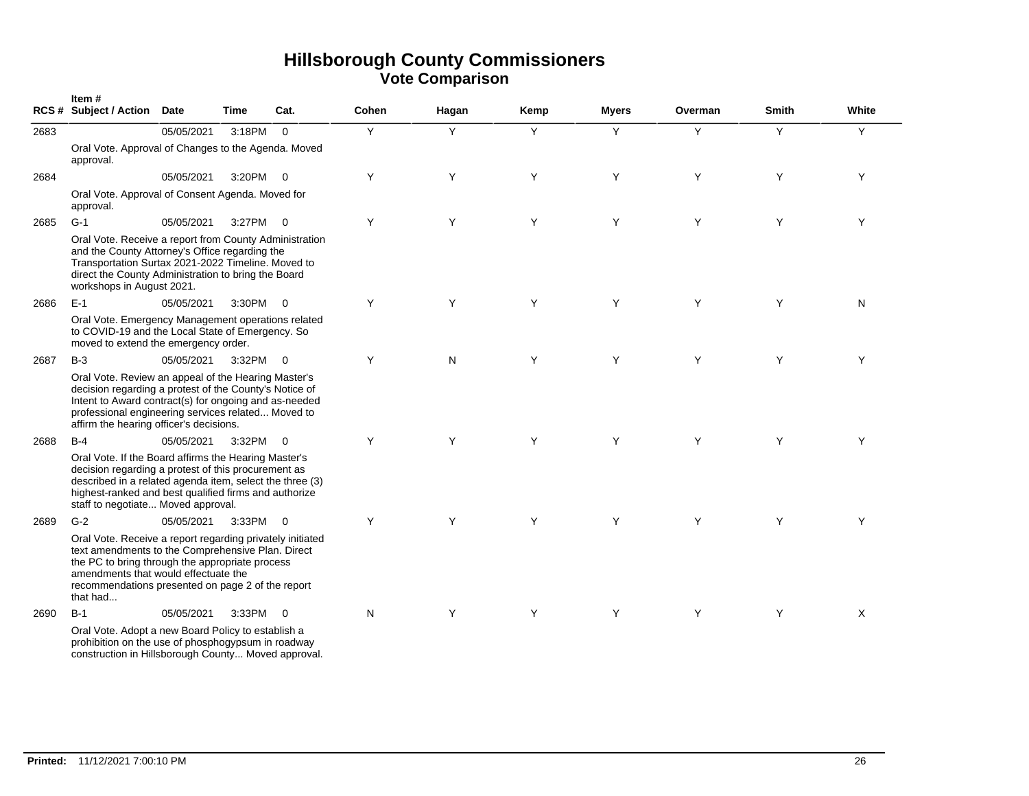|      | Item#<br>RCS # Subject / Action Date                                                                                                                                                                                                                                       |            | Time       | Cat.                     | Cohen | Hagan | Kemp | <b>Myers</b> | Overman | Smith | White |
|------|----------------------------------------------------------------------------------------------------------------------------------------------------------------------------------------------------------------------------------------------------------------------------|------------|------------|--------------------------|-------|-------|------|--------------|---------|-------|-------|
| 2683 |                                                                                                                                                                                                                                                                            | 05/05/2021 | 3:18PM     | $\Omega$                 | Y     | Y     | Y    | Y            | Y       | Y     | Y     |
|      | Oral Vote. Approval of Changes to the Agenda. Moved<br>approval.                                                                                                                                                                                                           |            |            |                          |       |       |      |              |         |       |       |
| 2684 |                                                                                                                                                                                                                                                                            | 05/05/2021 | 3:20PM     | $\overline{0}$           | Y     | Y     | Y    | Y            | Y       | Y     | Y     |
|      | Oral Vote. Approval of Consent Agenda. Moved for<br>approval.                                                                                                                                                                                                              |            |            |                          |       |       |      |              |         |       |       |
| 2685 | $G-1$                                                                                                                                                                                                                                                                      | 05/05/2021 | 3:27PM     | $\overline{0}$           | Y     | Y     | Y    | Y            | Y       | Y     | Y     |
|      | Oral Vote. Receive a report from County Administration<br>and the County Attorney's Office regarding the<br>Transportation Surtax 2021-2022 Timeline. Moved to<br>direct the County Administration to bring the Board<br>workshops in August 2021.                         |            |            |                          |       |       |      |              |         |       |       |
| 2686 | $E-1$                                                                                                                                                                                                                                                                      | 05/05/2021 | $3:30PM$ 0 |                          | Y     | Y     | Y    | Y            | Y       | Y     | N     |
|      | Oral Vote. Emergency Management operations related<br>to COVID-19 and the Local State of Emergency. So<br>moved to extend the emergency order.                                                                                                                             |            |            |                          |       |       |      |              |         |       |       |
| 2687 | $B-3$                                                                                                                                                                                                                                                                      | 05/05/2021 | $3:32PM$ 0 |                          | Y     | N     | Y    | Y            | Y       | Y     | Y     |
|      | Oral Vote. Review an appeal of the Hearing Master's<br>decision regarding a protest of the County's Notice of<br>Intent to Award contract(s) for ongoing and as-needed<br>professional engineering services related Moved to<br>affirm the hearing officer's decisions.    |            |            |                          |       |       |      |              |         |       |       |
| 2688 | $B-4$                                                                                                                                                                                                                                                                      | 05/05/2021 | 3:32PM     | $\overline{\phantom{0}}$ | Y     | Y     | Y    | Y            | Y       | Y     | Y     |
|      | Oral Vote. If the Board affirms the Hearing Master's<br>decision regarding a protest of this procurement as<br>described in a related agenda item, select the three (3)<br>highest-ranked and best qualified firms and authorize<br>staff to negotiate Moved approval.     |            |            |                          |       |       |      |              |         |       |       |
| 2689 | $G-2$                                                                                                                                                                                                                                                                      | 05/05/2021 | 3:33PM     | $\overline{0}$           | Y     | Y     | Y    | Y            | Y       | Y     | Y     |
|      | Oral Vote. Receive a report regarding privately initiated<br>text amendments to the Comprehensive Plan. Direct<br>the PC to bring through the appropriate process<br>amendments that would effectuate the<br>recommendations presented on page 2 of the report<br>that had |            |            |                          |       |       |      |              |         |       |       |
| 2690 | $B-1$                                                                                                                                                                                                                                                                      | 05/05/2021 | 3:33PM 0   |                          | N     | Y     | Y    | Y            | Y       | Y     | X     |
|      | Oral Vote. Adopt a new Board Policy to establish a<br>prohibition on the use of phosphogypsum in roadway<br>construction in Hillsborough County Moved approval.                                                                                                            |            |            |                          |       |       |      |              |         |       |       |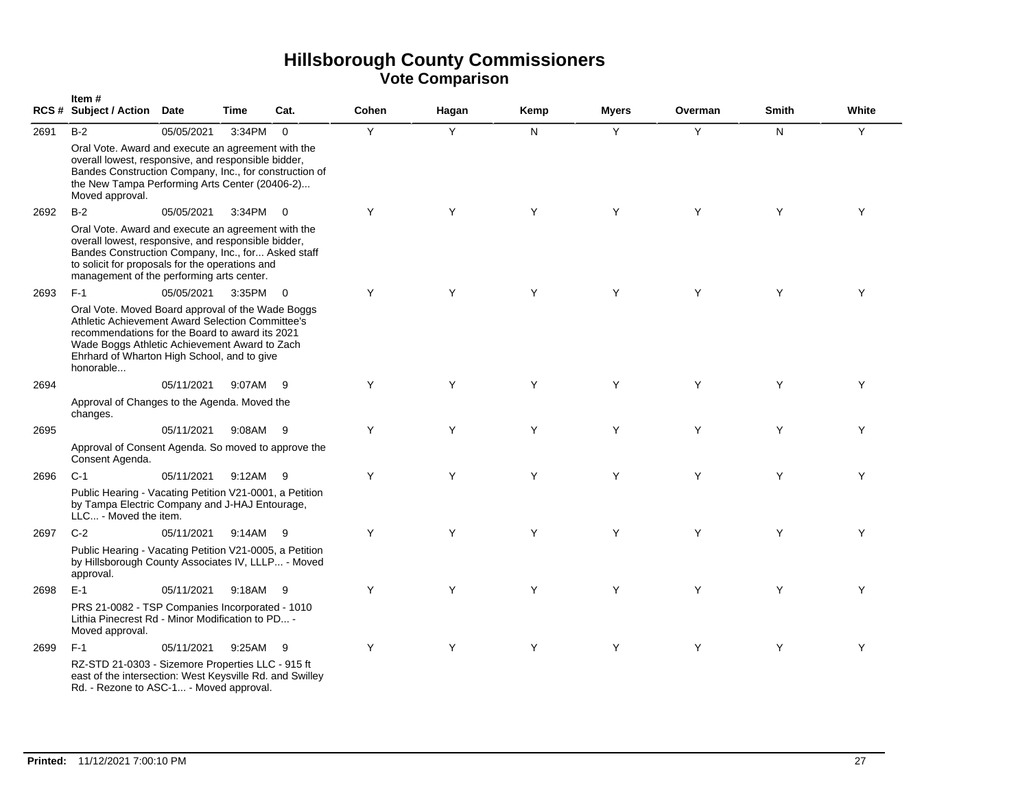|      | Item#<br>RCS # Subject / Action Date                                                                                                                                                                                                                                  |            | Time   | Cat.                     | Cohen | Hagan | Kemp | Myers | Overman | <b>Smith</b> | White |
|------|-----------------------------------------------------------------------------------------------------------------------------------------------------------------------------------------------------------------------------------------------------------------------|------------|--------|--------------------------|-------|-------|------|-------|---------|--------------|-------|
| 2691 | $B-2$                                                                                                                                                                                                                                                                 | 05/05/2021 | 3:34PM | $\overline{0}$           | Y     | Y     | N    | Y     | Y       | N.           | Y     |
|      | Oral Vote. Award and execute an agreement with the<br>overall lowest, responsive, and responsible bidder,<br>Bandes Construction Company, Inc., for construction of<br>the New Tampa Performing Arts Center (20406-2)<br>Moved approval.                              |            |        |                          |       |       |      |       |         |              |       |
| 2692 | $B-2$                                                                                                                                                                                                                                                                 | 05/05/2021 | 3:34PM | $\overline{0}$           | Y     | Y     | Y    | Y     | Y       | Y            | Y     |
|      | Oral Vote. Award and execute an agreement with the<br>overall lowest, responsive, and responsible bidder,<br>Bandes Construction Company, Inc., for Asked staff<br>to solicit for proposals for the operations and<br>management of the performing arts center.       |            |        |                          |       |       |      |       |         |              |       |
| 2693 | $F-1$                                                                                                                                                                                                                                                                 | 05/05/2021 | 3:35PM | $\overline{\phantom{0}}$ | Y     | Y     | Y    | Y     | Y       | Y            | Y     |
|      | Oral Vote. Moved Board approval of the Wade Boggs<br>Athletic Achievement Award Selection Committee's<br>recommendations for the Board to award its 2021<br>Wade Boggs Athletic Achievement Award to Zach<br>Ehrhard of Wharton High School, and to give<br>honorable |            |        |                          |       |       |      |       |         |              |       |
| 2694 |                                                                                                                                                                                                                                                                       | 05/11/2021 | 9:07AM | -9                       | Y     | Y     | Y    | Y     | Y       | Y            | Y     |
|      | Approval of Changes to the Agenda. Moved the<br>changes.                                                                                                                                                                                                              |            |        |                          |       |       |      |       |         |              |       |
| 2695 |                                                                                                                                                                                                                                                                       | 05/11/2021 | 9:08AM | - 9                      | Y     | Y     | Y    | Y     | Y       | Y            | Y     |
|      | Approval of Consent Agenda. So moved to approve the<br>Consent Agenda.                                                                                                                                                                                                |            |        |                          |       |       |      |       |         |              |       |
| 2696 | $C-1$                                                                                                                                                                                                                                                                 | 05/11/2021 | 9:12AM | - 9                      | Y     | Y     | Y    | Y     | Y       | Y            | Y     |
|      | Public Hearing - Vacating Petition V21-0001, a Petition<br>by Tampa Electric Company and J-HAJ Entourage,<br>LLC - Moved the item.                                                                                                                                    |            |        |                          |       |       |      |       |         |              |       |
| 2697 | $C-2$                                                                                                                                                                                                                                                                 | 05/11/2021 | 9:14AM | - 9                      | Y     | Y     | Y    | Y     | Y       | Y            | Y     |
|      | Public Hearing - Vacating Petition V21-0005, a Petition<br>by Hillsborough County Associates IV, LLLP - Moved<br>approval.                                                                                                                                            |            |        |                          |       |       |      |       |         |              |       |
| 2698 | $E-1$                                                                                                                                                                                                                                                                 | 05/11/2021 | 9:18AM | - 9                      | Y     | Y     | Y    | Y     | Y       | Y            | Y     |
|      | PRS 21-0082 - TSP Companies Incorporated - 1010<br>Lithia Pinecrest Rd - Minor Modification to PD -<br>Moved approval.                                                                                                                                                |            |        |                          |       |       |      |       |         |              |       |
| 2699 | $F-1$                                                                                                                                                                                                                                                                 | 05/11/2021 | 9:25AM | - 9                      | Y     | Y     | Y    | Y     | Y       | Y            | Y     |
|      | RZ-STD 21-0303 - Sizemore Properties LLC - 915 ft<br>east of the intersection: West Keysville Rd. and Swilley<br>Rd. - Rezone to ASC-1 - Moved approval.                                                                                                              |            |        |                          |       |       |      |       |         |              |       |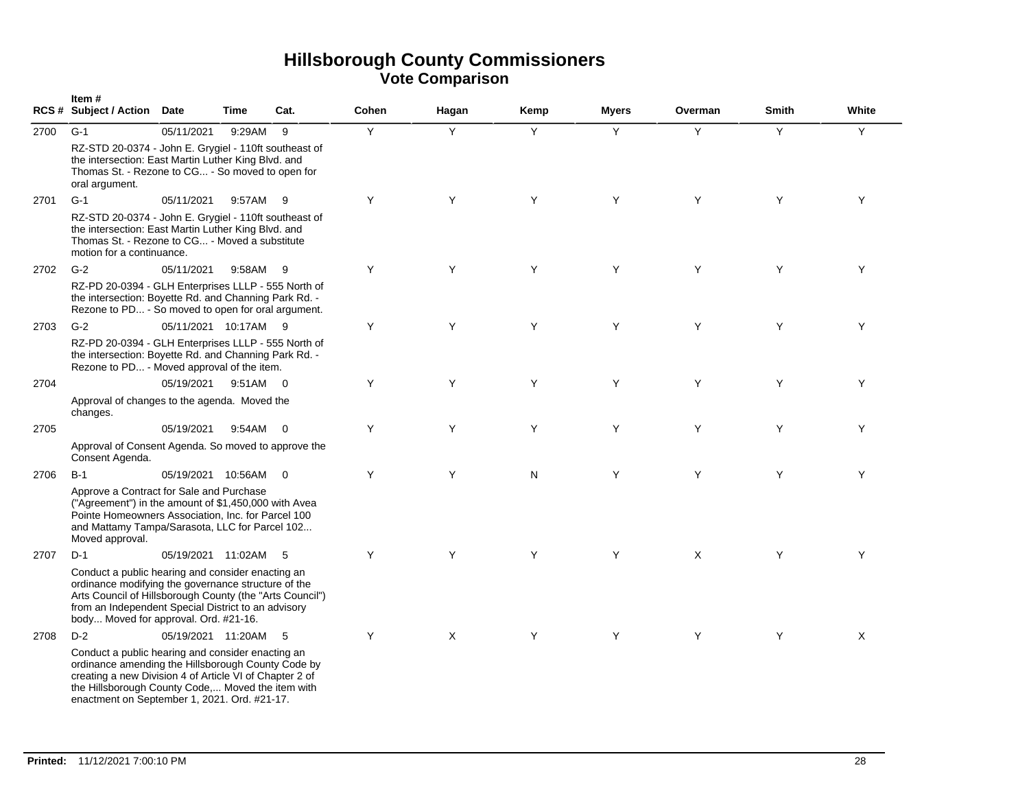|      | Item#<br>RCS # Subject / Action Date                                                                                                                                                                                                                                    |                      | Time     | Cat.           | Cohen | Hagan | Kemp | <b>Myers</b> | Overman | <b>Smith</b> | White |
|------|-------------------------------------------------------------------------------------------------------------------------------------------------------------------------------------------------------------------------------------------------------------------------|----------------------|----------|----------------|-------|-------|------|--------------|---------|--------------|-------|
| 2700 | $G-1$                                                                                                                                                                                                                                                                   | 05/11/2021           | 9:29AM   | 9              | Y     | Y     | Y    | Y            | Y       | Y            | Y     |
|      | RZ-STD 20-0374 - John E. Grygiel - 110ft southeast of<br>the intersection: East Martin Luther King Blvd. and<br>Thomas St. - Rezone to CG - So moved to open for<br>oral argument.                                                                                      |                      |          |                |       |       |      |              |         |              |       |
| 2701 | $G-1$                                                                                                                                                                                                                                                                   | 05/11/2021           | 9:57AM   | 9              | Y     | Y     | Y    | Y            | Y       | Y            | Y     |
|      | RZ-STD 20-0374 - John E. Grygiel - 110ft southeast of<br>the intersection: East Martin Luther King Blvd. and<br>Thomas St. - Rezone to CG - Moved a substitute<br>motion for a continuance.                                                                             |                      |          |                |       |       |      |              |         |              |       |
| 2702 | $G-2$                                                                                                                                                                                                                                                                   | 05/11/2021           | 9:58AM   | - 9            | Y     | Y     | Y    | Y            | Y       | Y            | Y     |
|      | RZ-PD 20-0394 - GLH Enterprises LLLP - 555 North of<br>the intersection: Boyette Rd. and Channing Park Rd. -<br>Rezone to PD - So moved to open for oral argument.                                                                                                      |                      |          |                |       |       |      |              |         |              |       |
| 2703 | $G-2$                                                                                                                                                                                                                                                                   | 05/11/2021 10:17AM 9 |          |                | Υ     | Y     | Y    | Y            | Y       | Y            | Y     |
|      | RZ-PD 20-0394 - GLH Enterprises LLLP - 555 North of<br>the intersection: Boyette Rd. and Channing Park Rd. -<br>Rezone to PD - Moved approval of the item.                                                                                                              |                      |          |                |       |       |      |              |         |              |       |
| 2704 |                                                                                                                                                                                                                                                                         | 05/19/2021           | 9:51AM 0 |                | Y     | Y     | Y    | Y            | Y       | Y            | Y     |
|      | Approval of changes to the agenda. Moved the<br>changes.                                                                                                                                                                                                                |                      |          |                |       |       |      |              |         |              |       |
| 2705 |                                                                                                                                                                                                                                                                         | 05/19/2021           | 9:54AM 0 |                | Y     | Y     | Y    | Y            | Y       | Y            | Y     |
|      | Approval of Consent Agenda. So moved to approve the<br>Consent Agenda.                                                                                                                                                                                                  |                      |          |                |       |       |      |              |         |              |       |
| 2706 | $B-1$                                                                                                                                                                                                                                                                   | 05/19/2021 10:56AM   |          | $\overline{0}$ | Y     | Y     | N    | Y            | Y       | Y            | Y     |
|      | Approve a Contract for Sale and Purchase<br>("Agreement") in the amount of \$1,450,000 with Avea<br>Pointe Homeowners Association, Inc. for Parcel 100<br>and Mattamy Tampa/Sarasota, LLC for Parcel 102<br>Moved approval.                                             |                      |          |                |       |       |      |              |         |              |       |
| 2707 | $D-1$                                                                                                                                                                                                                                                                   | 05/19/2021 11:02AM   |          | - 5            | Y     | Y     | Y    | Y            | X       | Y            | Y     |
|      | Conduct a public hearing and consider enacting an<br>ordinance modifying the governance structure of the<br>Arts Council of Hillsborough County (the "Arts Council")<br>from an Independent Special District to an advisory<br>body Moved for approval. Ord. #21-16.    |                      |          |                |       |       |      |              |         |              |       |
| 2708 | $D-2$                                                                                                                                                                                                                                                                   | 05/19/2021 11:20AM   |          | $-5$           | Y     | X     | Y    | Y            | Y       | Y            | Χ     |
|      | Conduct a public hearing and consider enacting an<br>ordinance amending the Hillsborough County Code by<br>creating a new Division 4 of Article VI of Chapter 2 of<br>the Hillsborough County Code, Moved the item with<br>enactment on September 1, 2021. Ord. #21-17. |                      |          |                |       |       |      |              |         |              |       |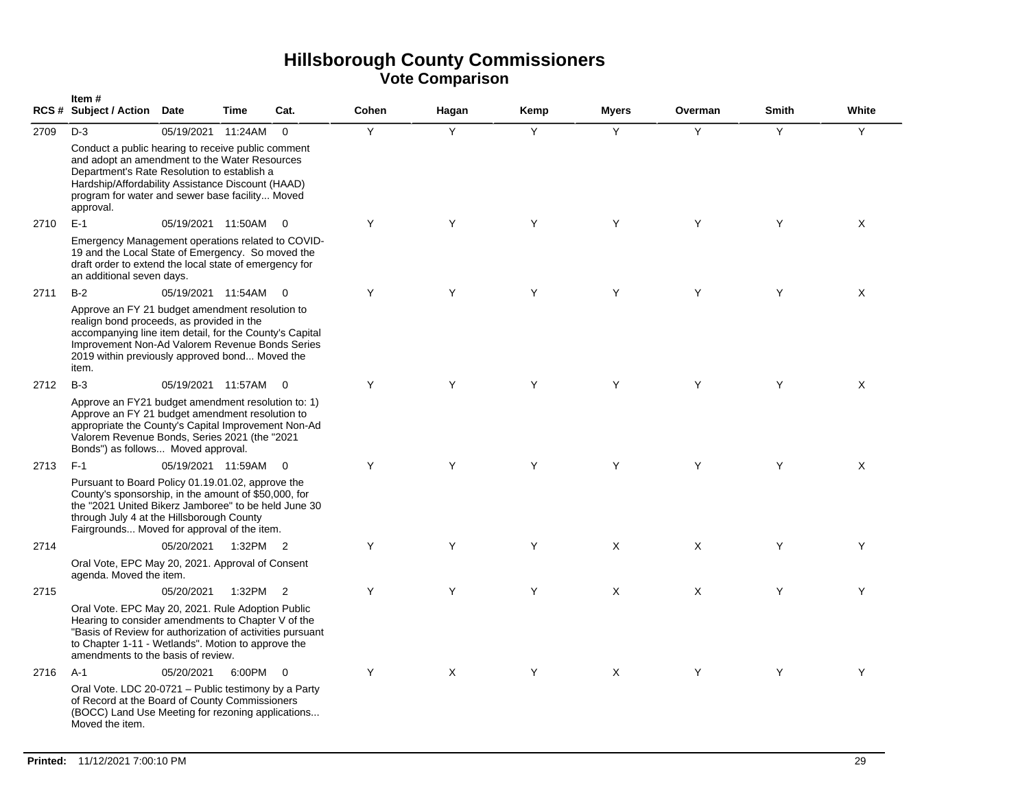|      | Item#<br><b>RCS # Subject / Action</b>                                                                                                                                                                                                                                | Date               | <b>Time</b> | Cat.                     | Cohen | Hagan | Kemp | <b>Myers</b> | Overman  | <b>Smith</b> | White |
|------|-----------------------------------------------------------------------------------------------------------------------------------------------------------------------------------------------------------------------------------------------------------------------|--------------------|-------------|--------------------------|-------|-------|------|--------------|----------|--------------|-------|
| 2709 | $D-3$<br>Conduct a public hearing to receive public comment<br>and adopt an amendment to the Water Resources<br>Department's Rate Resolution to establish a<br>Hardship/Affordability Assistance Discount (HAAD)                                                      | 05/19/2021         | 11:24AM     | $\Omega$                 | Y     | Y     | Y    | Y            | Y        | Y            | Y     |
|      | program for water and sewer base facility Moved<br>approval.                                                                                                                                                                                                          |                    |             |                          |       |       |      |              |          |              |       |
| 2710 | $E-1$                                                                                                                                                                                                                                                                 | 05/19/2021 11:50AM |             | $\overline{0}$           | Y     | Y     | Y    | Y            | Y        | Y            | X     |
|      | Emergency Management operations related to COVID-<br>19 and the Local State of Emergency. So moved the<br>draft order to extend the local state of emergency for<br>an additional seven days.                                                                         |                    |             |                          |       |       |      |              |          |              |       |
| 2711 | $B-2$                                                                                                                                                                                                                                                                 | 05/19/2021 11:54AM |             | $\bigcirc$               | Y     | Y     | Y    | Y            | Y        | Y            | Χ     |
|      | Approve an FY 21 budget amendment resolution to<br>realign bond proceeds, as provided in the<br>accompanying line item detail, for the County's Capital<br>Improvement Non-Ad Valorem Revenue Bonds Series<br>2019 within previously approved bond Moved the<br>item. |                    |             |                          |       |       |      |              |          |              |       |
| 2712 | $B-3$                                                                                                                                                                                                                                                                 | 05/19/2021 11:57AM |             | $\overline{\phantom{0}}$ | Y     | Y     | Y    | Y            | Y        | Y            | X     |
|      | Approve an FY21 budget amendment resolution to: 1)<br>Approve an FY 21 budget amendment resolution to<br>appropriate the County's Capital Improvement Non-Ad<br>Valorem Revenue Bonds, Series 2021 (the "2021<br>Bonds") as follows Moved approval.                   |                    |             |                          |       |       |      |              |          |              |       |
| 2713 | $F-1$                                                                                                                                                                                                                                                                 | 05/19/2021 11:59AM |             | $\overline{0}$           | Y     | Y     | Y    | Y            | Y        | Y            | X     |
|      | Pursuant to Board Policy 01.19.01.02, approve the<br>County's sponsorship, in the amount of \$50,000, for<br>the "2021 United Bikerz Jamboree" to be held June 30<br>through July 4 at the Hillsborough County<br>Fairgrounds Moved for approval of the item.         |                    |             |                          |       |       |      |              |          |              |       |
| 2714 |                                                                                                                                                                                                                                                                       | 05/20/2021         | 1:32PM 2    |                          | Y     | Y     | Y    | X            | X        | Y            | Y     |
|      | Oral Vote, EPC May 20, 2021. Approval of Consent<br>agenda. Moved the item.                                                                                                                                                                                           |                    |             |                          |       |       |      |              |          |              |       |
| 2715 |                                                                                                                                                                                                                                                                       | 05/20/2021         | 1:32PM 2    |                          | Y     | Y     | Y    | X            | $\times$ | Y            | Y     |
|      | Oral Vote. EPC May 20, 2021. Rule Adoption Public<br>Hearing to consider amendments to Chapter V of the<br>"Basis of Review for authorization of activities pursuant<br>to Chapter 1-11 - Wetlands". Motion to approve the<br>amendments to the basis of review.      |                    |             |                          |       |       |      |              |          |              |       |
| 2716 | $A-1$                                                                                                                                                                                                                                                                 | 05/20/2021         | 6:00PM      | $\overline{0}$           | Y     | X     | Y    | X            | Y        | Y            | Y     |
|      | Oral Vote. LDC 20-0721 - Public testimony by a Party<br>of Record at the Board of County Commissioners<br>(BOCC) Land Use Meeting for rezoning applications<br>Moved the item.                                                                                        |                    |             |                          |       |       |      |              |          |              |       |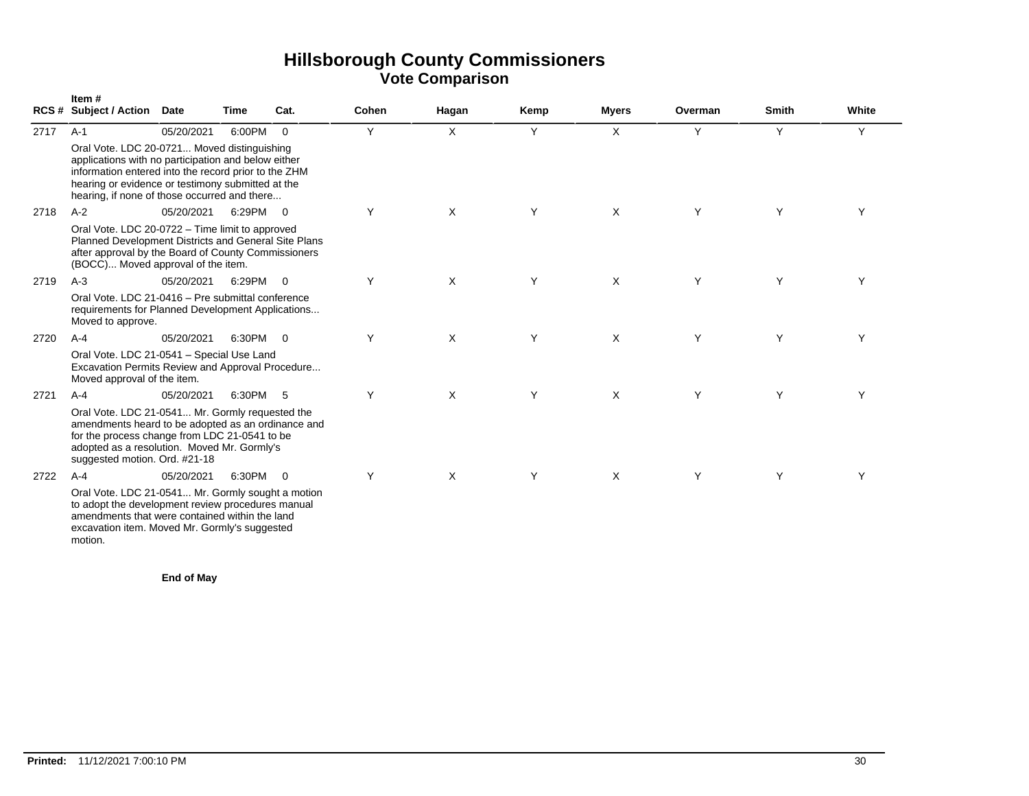|      | Item#<br><b>RCS # Subject / Action</b>                                                                                                                                                                                                                          | <b>Date</b> | Time   | Cat.           | Cohen | Hagan | Kemp | <b>Myers</b> | Overman | <b>Smith</b> | White |  |  |  |
|------|-----------------------------------------------------------------------------------------------------------------------------------------------------------------------------------------------------------------------------------------------------------------|-------------|--------|----------------|-------|-------|------|--------------|---------|--------------|-------|--|--|--|
| 2717 | $A-1$                                                                                                                                                                                                                                                           | 05/20/2021  | 6:00PM | $\Omega$       | Y     | X     | Y    | X            | Y       | Y            | Y     |  |  |  |
|      | Oral Vote. LDC 20-0721 Moved distinguishing<br>applications with no participation and below either<br>information entered into the record prior to the ZHM<br>hearing or evidence or testimony submitted at the<br>hearing, if none of those occurred and there |             |        |                |       |       |      |              |         |              |       |  |  |  |
| 2718 | $A-2$                                                                                                                                                                                                                                                           | 05/20/2021  | 6:29PM | $\overline{0}$ | Y     | X     | Y    | X            | Y       | Y            | Υ     |  |  |  |
|      | Oral Vote. LDC 20-0722 - Time limit to approved<br>Planned Development Districts and General Site Plans<br>after approval by the Board of County Commissioners<br>(BOCC) Moved approval of the item.                                                            |             |        |                |       |       |      |              |         |              |       |  |  |  |
| 2719 | $A-3$                                                                                                                                                                                                                                                           | 05/20/2021  | 6:29PM | $\Omega$       | Y     | X     | Y    | X            | Y       | Y            | Υ     |  |  |  |
|      | Oral Vote, LDC 21-0416 - Pre submittal conference<br>requirements for Planned Development Applications<br>Moved to approve.                                                                                                                                     |             |        |                |       |       |      |              |         |              |       |  |  |  |
| 2720 | $A-4$                                                                                                                                                                                                                                                           | 05/20/2021  | 6:30PM | $\overline{0}$ | Υ     | X     | Y    | X            | Y       | Y            | Y     |  |  |  |
|      | Oral Vote. LDC 21-0541 - Special Use Land<br>Excavation Permits Review and Approval Procedure<br>Moved approval of the item.                                                                                                                                    |             |        |                |       |       |      |              |         |              |       |  |  |  |
| 2721 | $A - 4$                                                                                                                                                                                                                                                         | 05/20/2021  | 6:30PM | - 5            | Y     | X     | Y    | X            | Y       | Y            | Y     |  |  |  |
|      | Oral Vote. LDC 21-0541 Mr. Gormly requested the<br>amendments heard to be adopted as an ordinance and<br>for the process change from LDC 21-0541 to be<br>adopted as a resolution. Moved Mr. Gormly's<br>suggested motion. Ord. #21-18                          |             |        |                |       |       |      |              |         |              |       |  |  |  |
| 2722 | $A - 4$                                                                                                                                                                                                                                                         | 05/20/2021  | 6:30PM | $\overline{0}$ | Y     | X     | Y    | X            | Y       | Y            | Υ     |  |  |  |
|      | Oral Vote. LDC 21-0541 Mr. Gormly sought a motion<br>to adopt the development review procedures manual<br>amendments that were contained within the land<br>excavation item. Moved Mr. Gormly's suggested<br>motion.                                            |             |        |                |       |       |      |              |         |              |       |  |  |  |

**End of May**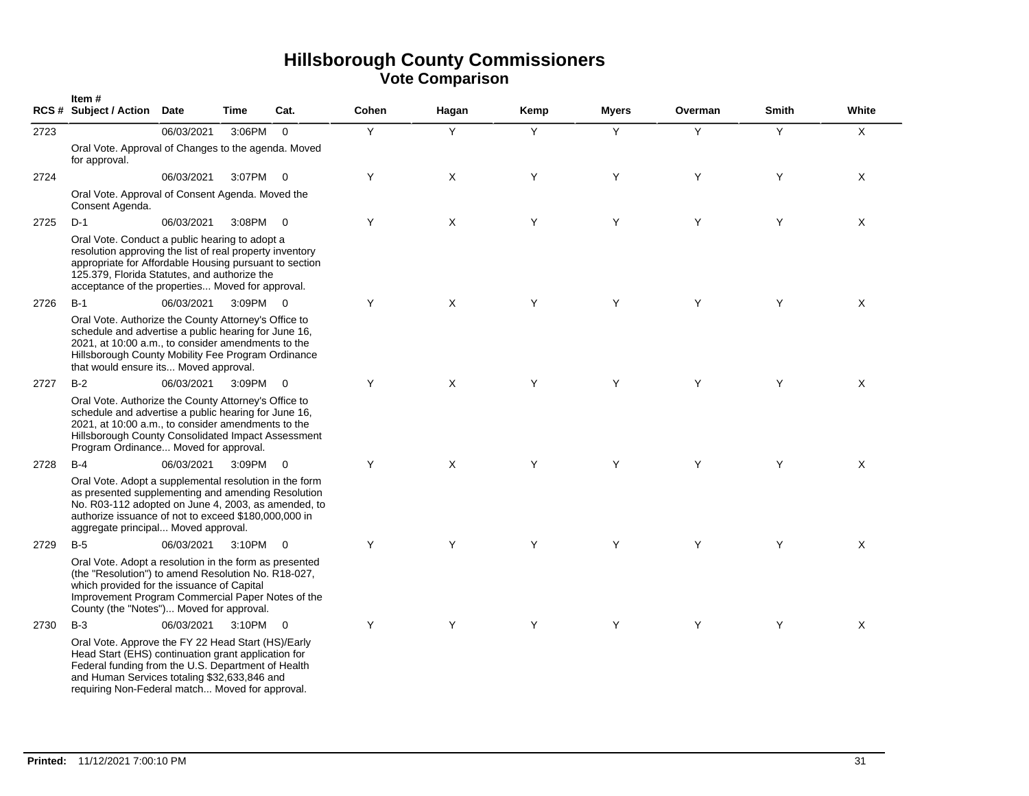|      | Item#<br><b>RCS # Subject / Action</b>                                                                                                                                                                                                                                   | <b>Date</b> | Time     | Cat.                    | Cohen | Hagan | Kemp | <b>Myers</b> | Overman | <b>Smith</b> | White |
|------|--------------------------------------------------------------------------------------------------------------------------------------------------------------------------------------------------------------------------------------------------------------------------|-------------|----------|-------------------------|-------|-------|------|--------------|---------|--------------|-------|
| 2723 |                                                                                                                                                                                                                                                                          | 06/03/2021  | 3:06PM   | $\mathbf{0}$            | Y     | Y     | Y    | Y            | Y       | Y            | X     |
|      | Oral Vote. Approval of Changes to the agenda. Moved<br>for approval.                                                                                                                                                                                                     |             |          |                         |       |       |      |              |         |              |       |
| 2724 |                                                                                                                                                                                                                                                                          | 06/03/2021  | 3:07PM   | $\overline{0}$          | Y     | X     | Y    | Y            | Y       | Y            | X     |
|      | Oral Vote. Approval of Consent Agenda. Moved the<br>Consent Agenda.                                                                                                                                                                                                      |             |          |                         |       |       |      |              |         |              |       |
| 2725 | $D-1$                                                                                                                                                                                                                                                                    | 06/03/2021  | 3:08PM   | $\overline{0}$          | Y     | X     | Y    | Y            | Y       | Y            | X     |
|      | Oral Vote. Conduct a public hearing to adopt a<br>resolution approving the list of real property inventory<br>appropriate for Affordable Housing pursuant to section<br>125.379, Florida Statutes, and authorize the<br>acceptance of the properties Moved for approval. |             |          |                         |       |       |      |              |         |              |       |
| 2726 | $B-1$                                                                                                                                                                                                                                                                    | 06/03/2021  | 3:09PM 0 |                         | Υ     | X     | Y    | Υ            | Y       | Y            | X     |
|      | Oral Vote. Authorize the County Attorney's Office to<br>schedule and advertise a public hearing for June 16,<br>2021, at 10:00 a.m., to consider amendments to the<br>Hillsborough County Mobility Fee Program Ordinance<br>that would ensure its Moved approval.        |             |          |                         |       |       |      |              |         |              |       |
| 2727 | $B-2$                                                                                                                                                                                                                                                                    | 06/03/2021  | 3:09PM   | $\overline{\mathbf{0}}$ | Y     | X     | Y    | Υ            | Y       | Y            | X     |
|      | Oral Vote. Authorize the County Attorney's Office to<br>schedule and advertise a public hearing for June 16,<br>2021, at 10:00 a.m., to consider amendments to the<br>Hillsborough County Consolidated Impact Assessment<br>Program Ordinance Moved for approval.        |             |          |                         |       |       |      |              |         |              |       |
| 2728 | $B-4$                                                                                                                                                                                                                                                                    | 06/03/2021  | 3:09PM   | $\mathbf 0$             | Y     | X     | Y    | Υ            | Y       | Y            | X     |
|      | Oral Vote. Adopt a supplemental resolution in the form<br>as presented supplementing and amending Resolution<br>No. R03-112 adopted on June 4, 2003, as amended, to<br>authorize issuance of not to exceed \$180,000,000 in<br>aggregate principal Moved approval.       |             |          |                         |       |       |      |              |         |              |       |
| 2729 | $B-5$                                                                                                                                                                                                                                                                    | 06/03/2021  | 3:10PM 0 |                         | Y     | Y     | Y    | Y            | Y       | Y            | X     |
|      | Oral Vote. Adopt a resolution in the form as presented<br>(the "Resolution") to amend Resolution No. R18-027,<br>which provided for the issuance of Capital<br>Improvement Program Commercial Paper Notes of the<br>County (the "Notes") Moved for approval.             |             |          |                         |       |       |      |              |         |              |       |
| 2730 | $B-3$                                                                                                                                                                                                                                                                    | 06/03/2021  | 3:10PM 0 |                         | Y     | Y     | Y    | Y            | Y       | Y            | X     |
|      | Oral Vote. Approve the FY 22 Head Start (HS)/Early<br>Head Start (EHS) continuation grant application for<br>Federal funding from the U.S. Department of Health<br>and Human Services totaling \$32,633,846 and<br>requiring Non-Federal match Moved for approval.       |             |          |                         |       |       |      |              |         |              |       |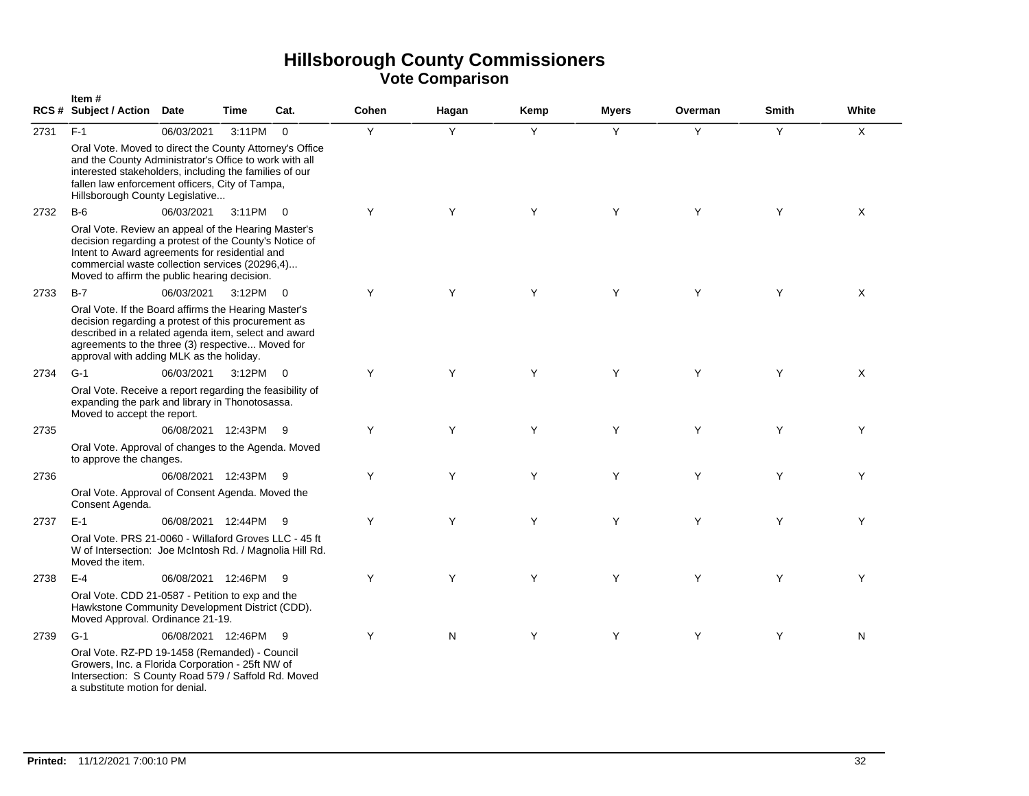|      | Item#<br>RCS # Subject / Action Date                                                                                                                                                                                                                                |                      | Time     | Cat.        | Cohen | Hagan | Kemp | <b>Myers</b> | Overman | <b>Smith</b> | White        |
|------|---------------------------------------------------------------------------------------------------------------------------------------------------------------------------------------------------------------------------------------------------------------------|----------------------|----------|-------------|-------|-------|------|--------------|---------|--------------|--------------|
| 2731 | $F-1$                                                                                                                                                                                                                                                               | 06/03/2021           | 3:11PM   | $\mathbf 0$ | Y     | Y     | Y    | Y            | Y       | Y            | $\mathsf{X}$ |
|      | Oral Vote. Moved to direct the County Attorney's Office<br>and the County Administrator's Office to work with all<br>interested stakeholders, including the families of our<br>fallen law enforcement officers, City of Tampa,<br>Hillsborough County Legislative   |                      |          |             |       |       |      |              |         |              |              |
| 2732 | $B-6$                                                                                                                                                                                                                                                               | 06/03/2021           | 3:11PM 0 |             | Y     | Y     | Y    | Y            | Y       | Y            | X            |
|      | Oral Vote. Review an appeal of the Hearing Master's<br>decision regarding a protest of the County's Notice of<br>Intent to Award agreements for residential and<br>commercial waste collection services (20296,4)<br>Moved to affirm the public hearing decision.   |                      |          |             |       |       |      |              |         |              |              |
| 2733 | $B-7$                                                                                                                                                                                                                                                               | 06/03/2021           | 3:12PM 0 |             | Y     | Y     | Y    | Y            | Y       | Y            | X            |
|      | Oral Vote. If the Board affirms the Hearing Master's<br>decision regarding a protest of this procurement as<br>described in a related agenda item, select and award<br>agreements to the three (3) respective Moved for<br>approval with adding MLK as the holiday. |                      |          |             |       |       |      |              |         |              |              |
| 2734 | $G-1$                                                                                                                                                                                                                                                               | 06/03/2021           | 3:12PM 0 |             | Y     | Y     | Y    | Y            | Y       | Y            | X            |
|      | Oral Vote. Receive a report regarding the feasibility of<br>expanding the park and library in Thonotosassa.<br>Moved to accept the report.                                                                                                                          |                      |          |             |       |       |      |              |         |              |              |
| 2735 |                                                                                                                                                                                                                                                                     | 06/08/2021 12:43PM   |          | - 9         | Y     | Y     | Y    | Y            | Y       | Y            | Y            |
|      | Oral Vote. Approval of changes to the Agenda. Moved<br>to approve the changes.                                                                                                                                                                                      |                      |          |             |       |       |      |              |         |              |              |
| 2736 |                                                                                                                                                                                                                                                                     | 06/08/2021 12:43PM 9 |          |             | Y     | Y     | Y    | Y            | Y       | Y            | Y            |
|      | Oral Vote. Approval of Consent Agenda. Moved the<br>Consent Agenda.                                                                                                                                                                                                 |                      |          |             |       |       |      |              |         |              |              |
| 2737 | $E-1$                                                                                                                                                                                                                                                               | 06/08/2021 12:44PM   |          | 9           | Y     | Y     | Y    | Y            | Y       | Y            | Y            |
|      | Oral Vote. PRS 21-0060 - Willaford Groves LLC - 45 ft<br>W of Intersection: Joe McIntosh Rd. / Magnolia Hill Rd.<br>Moved the item.                                                                                                                                 |                      |          |             |       |       |      |              |         |              |              |
| 2738 | $E-4$                                                                                                                                                                                                                                                               | 06/08/2021 12:46PM   |          | 9           | Y     | Y     | Y    | Y            | Y       | Y            | Y            |
|      | Oral Vote. CDD 21-0587 - Petition to exp and the<br>Hawkstone Community Development District (CDD).<br>Moved Approval. Ordinance 21-19.                                                                                                                             |                      |          |             |       |       |      |              |         |              |              |
| 2739 | $G-1$                                                                                                                                                                                                                                                               | 06/08/2021 12:46PM   |          | -9          | Y     | N     | Y    | Y            | Y       | Y            | N            |
|      | Oral Vote. RZ-PD 19-1458 (Remanded) - Council<br>Growers, Inc. a Florida Corporation - 25ft NW of<br>Intersection: S County Road 579 / Saffold Rd. Moved<br>a substitute motion for denial.                                                                         |                      |          |             |       |       |      |              |         |              |              |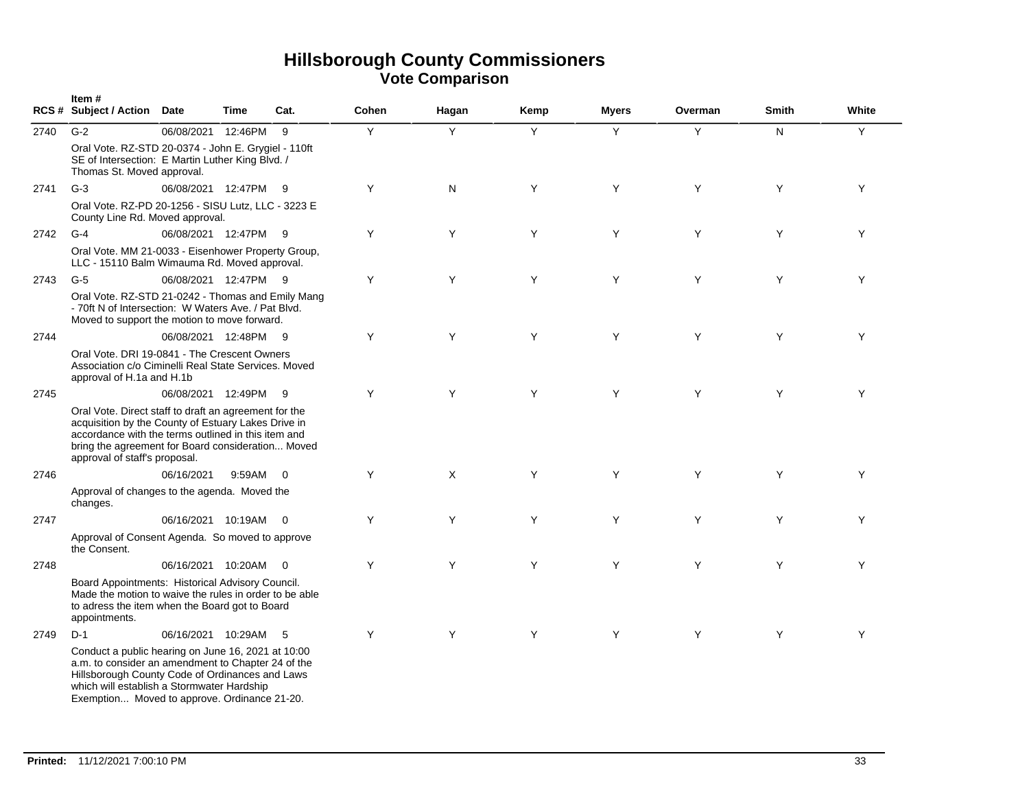|      | Item#<br>RCS # Subject / Action Date                                                                                                                                                                                                                      |                      | Time   | Cat.           | Cohen | Hagan | Kemp | <b>Myers</b> | Overman | <b>Smith</b> | White |
|------|-----------------------------------------------------------------------------------------------------------------------------------------------------------------------------------------------------------------------------------------------------------|----------------------|--------|----------------|-------|-------|------|--------------|---------|--------------|-------|
| 2740 | $G-2$<br>Oral Vote. RZ-STD 20-0374 - John E. Grygiel - 110ft<br>SE of Intersection: E Martin Luther King Blvd. /<br>Thomas St. Moved approval.                                                                                                            | 06/08/2021 12:46PM   |        | 9              | Y     | Y     | Y    | Y            | Y       | N.           | Y     |
| 2741 | $G-3$                                                                                                                                                                                                                                                     | 06/08/2021 12:47PM 9 |        |                | Y     | N     | Y    | Y            | Y       | Y            | Y     |
|      | Oral Vote. RZ-PD 20-1256 - SISU Lutz, LLC - 3223 E<br>County Line Rd. Moved approval.                                                                                                                                                                     |                      |        |                |       |       |      |              |         |              |       |
| 2742 | $G-4$                                                                                                                                                                                                                                                     | 06/08/2021 12:47PM 9 |        |                | Y     | Y     | Y    | Y            | Y       | Y            | Y     |
|      | Oral Vote. MM 21-0033 - Eisenhower Property Group,<br>LLC - 15110 Balm Wimauma Rd. Moved approval.                                                                                                                                                        |                      |        |                |       |       |      |              |         |              |       |
| 2743 | $G-5$                                                                                                                                                                                                                                                     | 06/08/2021 12:47PM 9 |        |                | Y     | Y     | Y    | Y            | Y       | Y            | Y     |
|      | Oral Vote. RZ-STD 21-0242 - Thomas and Emily Mang<br>- 70ft N of Intersection: W Waters Ave. / Pat Blvd.<br>Moved to support the motion to move forward.                                                                                                  |                      |        |                |       |       |      |              |         |              |       |
| 2744 |                                                                                                                                                                                                                                                           | 06/08/2021 12:48PM 9 |        |                | Y     | Y     | Y    | Y            | Y       | Y            | Y     |
|      | Oral Vote, DRI 19-0841 - The Crescent Owners<br>Association c/o Ciminelli Real State Services. Moved<br>approval of H.1a and H.1b                                                                                                                         |                      |        |                |       |       |      |              |         |              |       |
| 2745 |                                                                                                                                                                                                                                                           | 06/08/2021 12:49PM 9 |        |                | Y     | Y     | Y    | Y            | Y       | Y            | Y     |
|      | Oral Vote. Direct staff to draft an agreement for the<br>acquisition by the County of Estuary Lakes Drive in<br>accordance with the terms outlined in this item and<br>bring the agreement for Board consideration Moved<br>approval of staff's proposal. |                      |        |                |       |       |      |              |         |              |       |
| 2746 |                                                                                                                                                                                                                                                           | 06/16/2021           | 9:59AM | $\overline{0}$ | Y     | X     | Y    | Y            | Y       | Y            | Y     |
|      | Approval of changes to the agenda. Moved the<br>changes.                                                                                                                                                                                                  |                      |        |                |       |       |      |              |         |              |       |
| 2747 |                                                                                                                                                                                                                                                           | 06/16/2021 10:19AM 0 |        |                | Y     | Y     | Y    | Y            | Y       | Y            | Y     |
|      | Approval of Consent Agenda. So moved to approve<br>the Consent.                                                                                                                                                                                           |                      |        |                |       |       |      |              |         |              |       |
| 2748 |                                                                                                                                                                                                                                                           | 06/16/2021 10:20AM   |        | $\overline{0}$ | Y     | Y     | Y    | Y            | Y       | Y            | Y     |
|      | Board Appointments: Historical Advisory Council.<br>Made the motion to waive the rules in order to be able<br>to adress the item when the Board got to Board<br>appointments.                                                                             |                      |        |                |       |       |      |              |         |              |       |
| 2749 | $D-1$                                                                                                                                                                                                                                                     | 06/16/2021 10:29AM   |        | - 5            | Y     | Y     | Y    | Y            | Y       | Y            | Y     |
|      | Conduct a public hearing on June 16, 2021 at 10:00<br>a.m. to consider an amendment to Chapter 24 of the<br>Hillsborough County Code of Ordinances and Laws<br>which will establish a Stormwater Hardship<br>Exemption Moved to approve. Ordinance 21-20. |                      |        |                |       |       |      |              |         |              |       |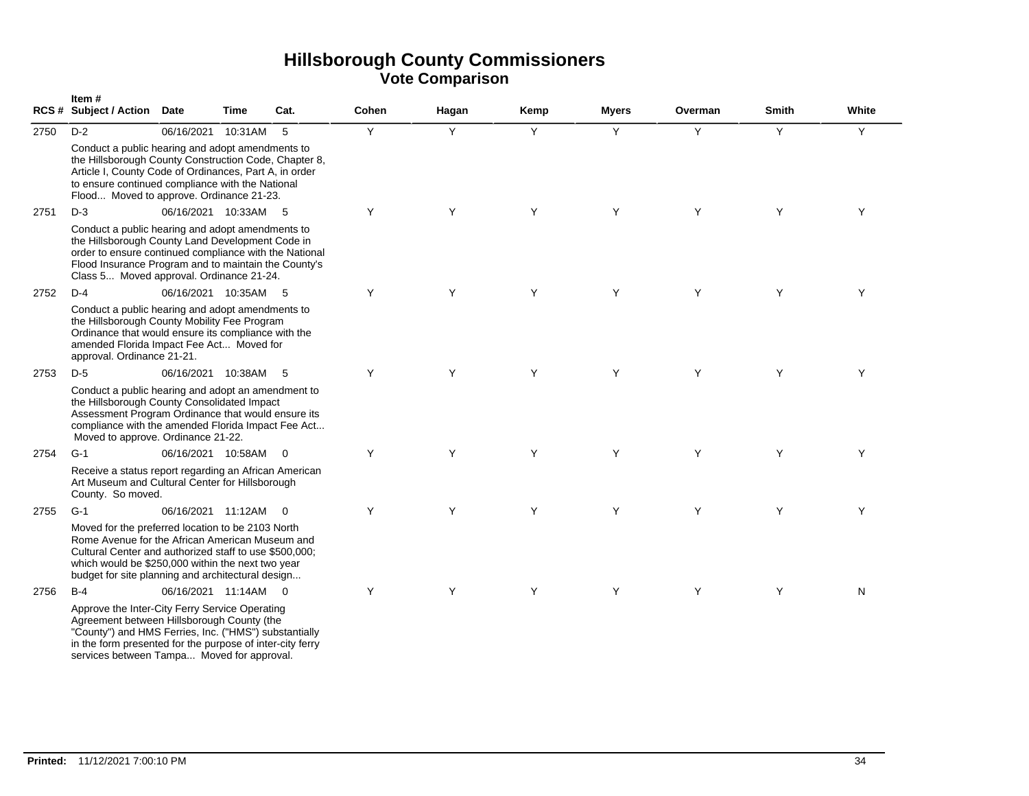|      | Item#<br><b>RCS # Subject / Action</b>                                                                                                                                                                                                                                   | <b>Date</b>          | Time    | Cat.                    | Cohen | Hagan | Kemp | Myers | Overman | Smith | White |
|------|--------------------------------------------------------------------------------------------------------------------------------------------------------------------------------------------------------------------------------------------------------------------------|----------------------|---------|-------------------------|-------|-------|------|-------|---------|-------|-------|
| 2750 | $D-2$                                                                                                                                                                                                                                                                    | 06/16/2021           | 10:31AM | 5                       | Y     | Y     | Y    | Y     | Y       | Y     | Y     |
|      | Conduct a public hearing and adopt amendments to<br>the Hillsborough County Construction Code, Chapter 8,<br>Article I, County Code of Ordinances, Part A, in order<br>to ensure continued compliance with the National<br>Flood Moved to approve. Ordinance 21-23.      |                      |         |                         |       |       |      |       |         |       |       |
| 2751 | $D-3$                                                                                                                                                                                                                                                                    | 06/16/2021 10:33AM   |         | - 5                     | Y     | Y     | Y    | Y     | Y       | Y     | Y     |
|      | Conduct a public hearing and adopt amendments to<br>the Hillsborough County Land Development Code in<br>order to ensure continued compliance with the National<br>Flood Insurance Program and to maintain the County's<br>Class 5 Moved approval. Ordinance 21-24.       |                      |         |                         |       |       |      |       |         |       |       |
| 2752 | $D-4$                                                                                                                                                                                                                                                                    | 06/16/2021 10:35AM   |         | - 5                     | Y     | Y     | Y    | Y     | Y       | Y     | Y     |
|      | Conduct a public hearing and adopt amendments to<br>the Hillsborough County Mobility Fee Program<br>Ordinance that would ensure its compliance with the<br>amended Florida Impact Fee Act Moved for<br>approval. Ordinance 21-21.                                        |                      |         |                         |       |       |      |       |         |       |       |
| 2753 | $D-5$                                                                                                                                                                                                                                                                    | 06/16/2021 10:38AM 5 |         |                         | Y     | Y     | Y    | Y     | Y       | Y     | Y     |
|      | Conduct a public hearing and adopt an amendment to<br>the Hillsborough County Consolidated Impact<br>Assessment Program Ordinance that would ensure its<br>compliance with the amended Florida Impact Fee Act<br>Moved to approve. Ordinance 21-22.                      |                      |         |                         |       |       |      |       |         |       |       |
| 2754 | $G-1$                                                                                                                                                                                                                                                                    | 06/16/2021 10:58AM   |         | $\overline{0}$          | Y     | Υ     | Y    | Y     | Y       | Y     | Υ     |
|      | Receive a status report regarding an African American<br>Art Museum and Cultural Center for Hillsborough<br>County. So moved.                                                                                                                                            |                      |         |                         |       |       |      |       |         |       |       |
| 2755 | $G-1$                                                                                                                                                                                                                                                                    | 06/16/2021 11:12AM   |         | $\overline{\mathbf{0}}$ | Y     | Υ     | Y    | Υ     | Y       | Y     | Y     |
|      | Moved for the preferred location to be 2103 North<br>Rome Avenue for the African American Museum and<br>Cultural Center and authorized staff to use \$500,000;<br>which would be \$250,000 within the next two year<br>budget for site planning and architectural design |                      |         |                         |       |       |      |       |         |       |       |
| 2756 | $B-4$                                                                                                                                                                                                                                                                    | 06/16/2021 11:14AM 0 |         |                         | Y     | Y     | Y    | Y     | Y       | Y     | N     |
|      | Approve the Inter-City Ferry Service Operating<br>Agreement between Hillsborough County (the<br>"County") and HMS Ferries, Inc. ("HMS") substantially<br>in the form presented for the purpose of inter-city ferry                                                       |                      |         |                         |       |       |      |       |         |       |       |

services between Tampa... Moved for approval.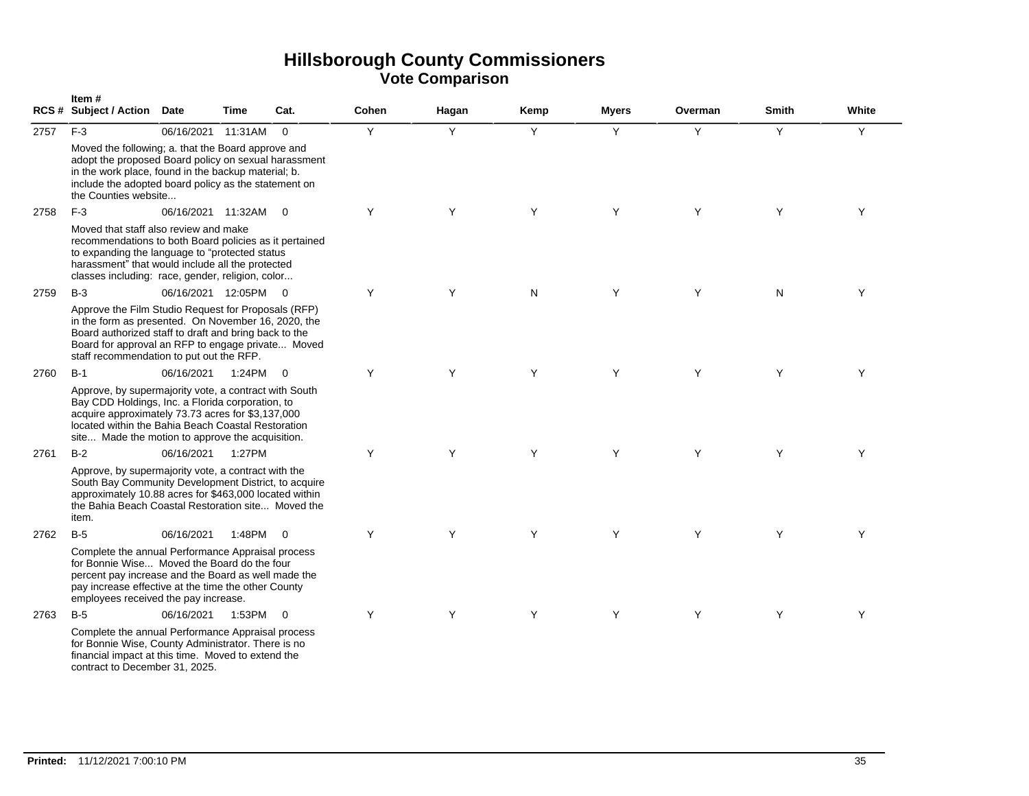|      | Item#<br><b>RCS # Subject / Action</b>                                                                                                                                                                                                                                   | <b>Date</b>          | <b>Time</b> | Cat.           | Cohen | Hagan | Kemp | <b>Myers</b> | Overman | <b>Smith</b> | White |
|------|--------------------------------------------------------------------------------------------------------------------------------------------------------------------------------------------------------------------------------------------------------------------------|----------------------|-------------|----------------|-------|-------|------|--------------|---------|--------------|-------|
| 2757 | $F-3$                                                                                                                                                                                                                                                                    | 06/16/2021 11:31AM   |             | $\Omega$       | Y     | Y     | Y    | Y            | Y       | Y            | Y     |
|      | Moved the following; a. that the Board approve and<br>adopt the proposed Board policy on sexual harassment<br>in the work place, found in the backup material; b.<br>include the adopted board policy as the statement on<br>the Counties website                        |                      |             |                |       |       |      |              |         |              |       |
| 2758 | $F-3$                                                                                                                                                                                                                                                                    | 06/16/2021 11:32AM 0 |             |                | Y     | Y     | Y    | Y            | Y       | Y            | Y     |
|      | Moved that staff also review and make<br>recommendations to both Board policies as it pertained<br>to expanding the language to "protected status<br>harassment" that would include all the protected<br>classes including: race, gender, religion, color                |                      |             |                |       |       |      |              |         |              |       |
| 2759 | $B-3$                                                                                                                                                                                                                                                                    | 06/16/2021 12:05PM 0 |             |                | Y     | Y     | N    | Y            | Y       | N            | Y     |
|      | Approve the Film Studio Request for Proposals (RFP)<br>in the form as presented. On November 16, 2020, the<br>Board authorized staff to draft and bring back to the<br>Board for approval an RFP to engage private Moved<br>staff recommendation to put out the RFP.     |                      |             |                |       |       |      |              |         |              |       |
| 2760 | $B-1$                                                                                                                                                                                                                                                                    | 06/16/2021           | 1:24PM      | $\overline{0}$ | Y     | Y     | Y    | Y            | Y       | Y            | Y     |
|      | Approve, by supermajority vote, a contract with South<br>Bay CDD Holdings, Inc. a Florida corporation, to<br>acquire approximately 73.73 acres for \$3,137,000<br>located within the Bahia Beach Coastal Restoration<br>site Made the motion to approve the acquisition. |                      |             |                |       |       |      |              |         |              |       |
| 2761 | $B-2$                                                                                                                                                                                                                                                                    | 06/16/2021           | 1:27PM      |                | Y     | Y     | Y    | Y            | Y       | Y            | Y     |
|      | Approve, by supermajority vote, a contract with the<br>South Bay Community Development District, to acquire<br>approximately 10.88 acres for \$463,000 located within<br>the Bahia Beach Coastal Restoration site Moved the<br>item.                                     |                      |             |                |       |       |      |              |         |              |       |
| 2762 | $B-5$                                                                                                                                                                                                                                                                    | 06/16/2021           | 1:48PM      | $\overline{0}$ | Y     | Y     | Y    | Y            | Y       | Y            | Y     |
|      | Complete the annual Performance Appraisal process<br>for Bonnie Wise Moved the Board do the four<br>percent pay increase and the Board as well made the<br>pay increase effective at the time the other County<br>employees received the pay increase.                   |                      |             |                |       |       |      |              |         |              |       |
| 2763 | $B-5$                                                                                                                                                                                                                                                                    | 06/16/2021           | 1:53PM      | $\overline{0}$ | Y     | Y     | Y    | Y            | Y       | Y            | Y     |
|      | Complete the annual Performance Appraisal process<br>for Bonnie Wise, County Administrator. There is no<br>financial impact at this time. Moved to extend the<br>contract to December 31, 2025.                                                                          |                      |             |                |       |       |      |              |         |              |       |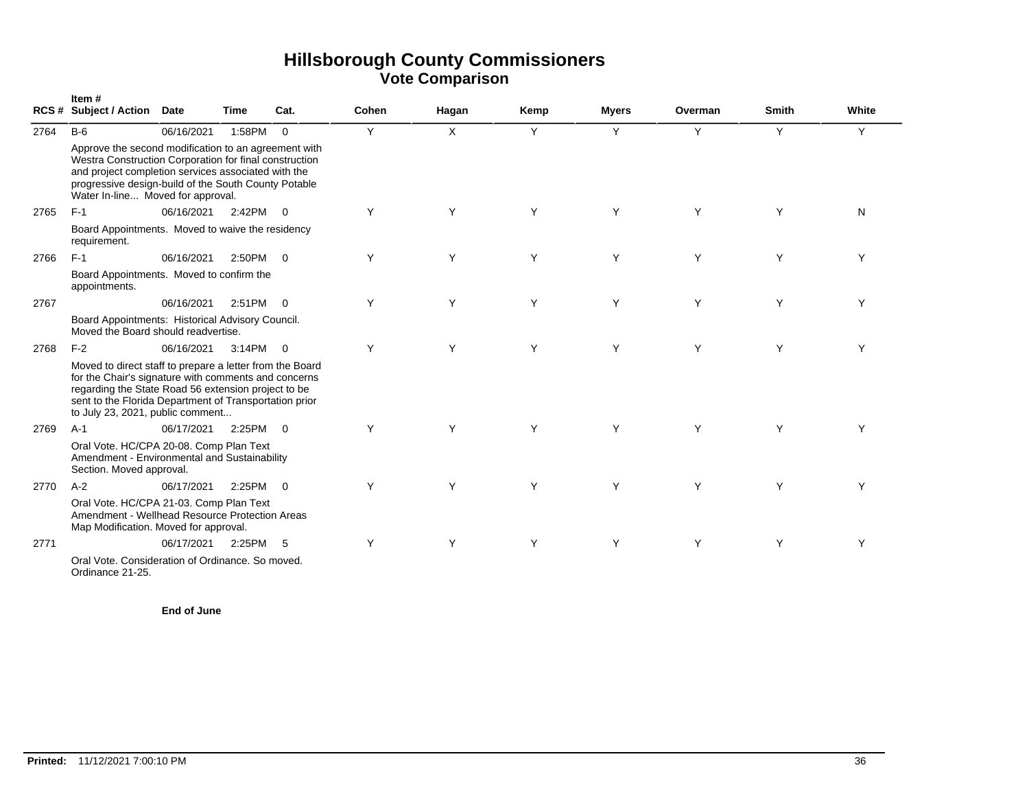|      | Item#<br>RCS# Subject / Action Date                                                                                                                                                                                                                                   |            | Time     | Cat.           | Cohen | Hagan    | Kemp | <b>Myers</b> | Overman | <b>Smith</b> | White |
|------|-----------------------------------------------------------------------------------------------------------------------------------------------------------------------------------------------------------------------------------------------------------------------|------------|----------|----------------|-------|----------|------|--------------|---------|--------------|-------|
| 2764 | $B-6$                                                                                                                                                                                                                                                                 | 06/16/2021 | 1:58PM   | $\overline{0}$ | Y     | $\times$ | Y    | Y            | Y       | Y            | Y     |
|      | Approve the second modification to an agreement with<br>Westra Construction Corporation for final construction<br>and project completion services associated with the<br>progressive design-build of the South County Potable<br>Water In-line Moved for approval.    |            |          |                |       |          |      |              |         |              |       |
| 2765 | $F-1$                                                                                                                                                                                                                                                                 | 06/16/2021 | 2:42PM 0 |                | Υ     | Υ        | Y    | Υ            | Y       | Υ            | N     |
|      | Board Appointments. Moved to waive the residency<br>requirement.                                                                                                                                                                                                      |            |          |                |       |          |      |              |         |              |       |
| 2766 | $F-1$                                                                                                                                                                                                                                                                 | 06/16/2021 | 2:50PM 0 |                | Υ     | Υ        | Y    | Y            | Y       | Υ            | Y     |
|      | Board Appointments. Moved to confirm the<br>appointments.                                                                                                                                                                                                             |            |          |                |       |          |      |              |         |              |       |
| 2767 |                                                                                                                                                                                                                                                                       | 06/16/2021 | 2:51PM   | $\overline{0}$ | Υ     | Υ        | Y    | Y            | Y       | Υ            | Υ     |
|      | Board Appointments: Historical Advisory Council.<br>Moved the Board should readvertise.                                                                                                                                                                               |            |          |                |       |          |      |              |         |              |       |
| 2768 | $F-2$                                                                                                                                                                                                                                                                 | 06/16/2021 | 3:14PM 0 |                | Y     | Y        | Y    | Y            | Y       | Y            | Y     |
|      | Moved to direct staff to prepare a letter from the Board<br>for the Chair's signature with comments and concerns<br>regarding the State Road 56 extension project to be<br>sent to the Florida Department of Transportation prior<br>to July 23, 2021, public comment |            |          |                |       |          |      |              |         |              |       |
| 2769 | $A-1$                                                                                                                                                                                                                                                                 | 06/17/2021 | 2:25PM   | $\overline{0}$ | Y     | Y        | Y    | Y            | Y       | Y            | Υ     |
|      | Oral Vote. HC/CPA 20-08. Comp Plan Text<br>Amendment - Environmental and Sustainability<br>Section. Moved approval.                                                                                                                                                   |            |          |                |       |          |      |              |         |              |       |
| 2770 | $A-2$                                                                                                                                                                                                                                                                 | 06/17/2021 | 2:25PM   | $\overline{0}$ | Y     | Υ        | Y    | Υ            | Y       | Y            | Υ     |
|      | Oral Vote. HC/CPA 21-03. Comp Plan Text<br>Amendment - Wellhead Resource Protection Areas<br>Map Modification. Moved for approval.                                                                                                                                    |            |          |                |       |          |      |              |         |              |       |
| 2771 |                                                                                                                                                                                                                                                                       | 06/17/2021 | 2:25PM   | 5              | Y     | Υ        | Y    | Y            | Y       | Υ            | Y     |
|      | Oral Vote, Consideration of Ordinance, So moved.<br>Ordinance 21-25.                                                                                                                                                                                                  |            |          |                |       |          |      |              |         |              |       |

**End of June**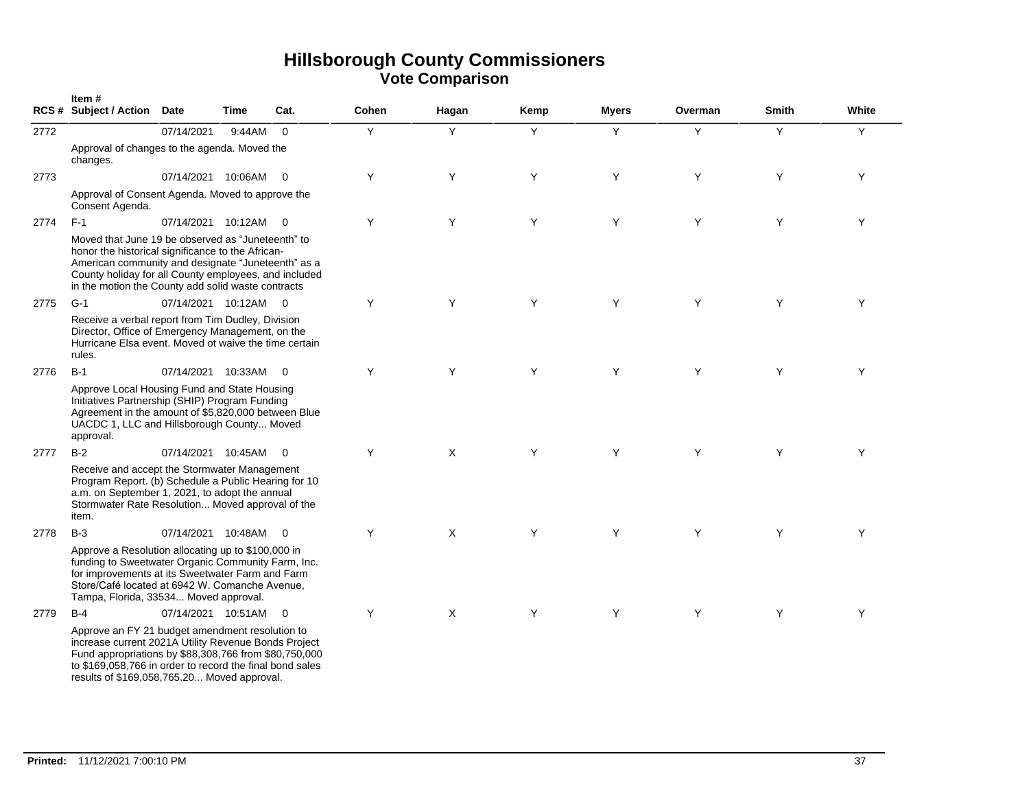|      | Item#<br>RCS # Subject / Action Date                                                                                                                                                                                                                                        |                      | Time   | Cat.                    | Cohen | Hagan | Kemp | <b>Myers</b> | Overman | <b>Smith</b> | White |
|------|-----------------------------------------------------------------------------------------------------------------------------------------------------------------------------------------------------------------------------------------------------------------------------|----------------------|--------|-------------------------|-------|-------|------|--------------|---------|--------------|-------|
| 2772 |                                                                                                                                                                                                                                                                             | 07/14/2021           | 9:44AM | $\Omega$                | Y     | Y     | Y    | Y            | Y       | Y            | Y     |
|      | Approval of changes to the agenda. Moved the<br>changes.                                                                                                                                                                                                                    |                      |        |                         |       |       |      |              |         |              |       |
| 2773 |                                                                                                                                                                                                                                                                             | 07/14/2021 10:06AM   |        | $\overline{\mathbf{0}}$ | Y     | Y     | Y    | Y            | Y       | Y            | Y     |
|      | Approval of Consent Agenda. Moved to approve the<br>Consent Agenda.                                                                                                                                                                                                         |                      |        |                         |       |       |      |              |         |              |       |
| 2774 | $F-1$                                                                                                                                                                                                                                                                       | 07/14/2021 10:12AM   |        | $\overline{0}$          | Υ     | Y     | Y    | Y            | Y       | Y            | Y     |
|      | Moved that June 19 be observed as "Juneteenth" to<br>honor the historical significance to the African-<br>American community and designate "Juneteenth" as a<br>County holiday for all County employees, and included<br>in the motion the County add solid waste contracts |                      |        |                         |       |       |      |              |         |              |       |
| 2775 | $G-1$                                                                                                                                                                                                                                                                       | 07/14/2021 10:12AM   |        | $\overline{0}$          | Y     | Y     | Y    | Y            | Y       | Y            | Y     |
|      | Receive a verbal report from Tim Dudley, Division<br>Director, Office of Emergency Management, on the<br>Hurricane Elsa event. Moved ot waive the time certain<br>rules.                                                                                                    |                      |        |                         |       |       |      |              |         |              |       |
| 2776 | $B-1$                                                                                                                                                                                                                                                                       | 07/14/2021 10:33AM 0 |        |                         | Y     | Y     | Y    | Y            | Y       | Y            | Y     |
|      | Approve Local Housing Fund and State Housing<br>Initiatives Partnership (SHIP) Program Funding<br>Agreement in the amount of \$5,820,000 between Blue<br>UACDC 1, LLC and Hillsborough County Moved<br>approval.                                                            |                      |        |                         |       |       |      |              |         |              |       |
| 2777 | $B-2$                                                                                                                                                                                                                                                                       | 07/14/2021 10:45AM   |        | $\overline{0}$          | Y     | X     | Y    | Y            | Y       | Y            | Y     |
|      | Receive and accept the Stormwater Management<br>Program Report. (b) Schedule a Public Hearing for 10<br>a.m. on September 1, 2021, to adopt the annual<br>Stormwater Rate Resolution Moved approval of the<br>item.                                                         |                      |        |                         |       |       |      |              |         |              |       |
| 2778 | $B-3$                                                                                                                                                                                                                                                                       | 07/14/2021 10:48AM   |        | $\overline{0}$          | Y     | X     | Y    | Υ            | Y       | Y            | Y     |
|      | Approve a Resolution allocating up to \$100,000 in<br>funding to Sweetwater Organic Community Farm, Inc.<br>for improvements at its Sweetwater Farm and Farm<br>Store/Café located at 6942 W. Comanche Avenue,<br>Tampa, Florida, 33534 Moved approval.                     |                      |        |                         |       |       |      |              |         |              |       |
| 2779 | $B-4$                                                                                                                                                                                                                                                                       | 07/14/2021 10:51AM   |        | $\overline{\mathbf{0}}$ | Y     | X     | Y    | Y            | Y       | Y            | Y     |
|      | Approve an FY 21 budget amendment resolution to<br>increase current 2021A Utility Revenue Bonds Project<br>Fund appropriations by \$88,308,766 from \$80,750,000<br>to \$169,058,766 in order to record the final bond sales<br>results of \$169,058,765.20 Moved approval. |                      |        |                         |       |       |      |              |         |              |       |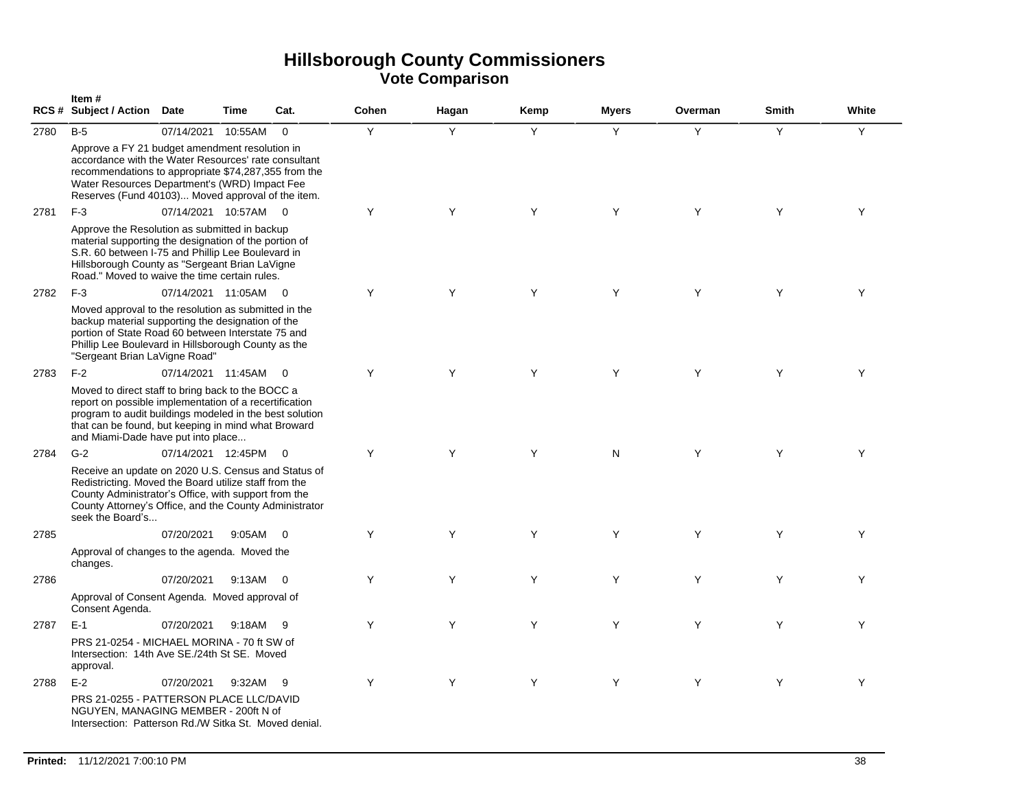|      | Item#<br>RCS # Subject / Action Date                                                                                                                                                                                                                                |                    | <b>Time</b> | Cat.                    | Cohen | Hagan | Kemp | <b>Myers</b> | Overman | <b>Smith</b> | White |
|------|---------------------------------------------------------------------------------------------------------------------------------------------------------------------------------------------------------------------------------------------------------------------|--------------------|-------------|-------------------------|-------|-------|------|--------------|---------|--------------|-------|
| 2780 | $B-5$<br>Approve a FY 21 budget amendment resolution in<br>accordance with the Water Resources' rate consultant<br>recommendations to appropriate \$74,287,355 from the                                                                                             | 07/14/2021         | 10:55AM     | $\mathbf 0$             | Y     | Y     | Y    | Y            | Y       | Y            | Y     |
|      | Water Resources Department's (WRD) Impact Fee<br>Reserves (Fund 40103) Moved approval of the item.                                                                                                                                                                  |                    |             |                         |       |       |      |              |         |              |       |
| 2781 | $F-3$                                                                                                                                                                                                                                                               | 07/14/2021 10:57AM |             | $\overline{0}$          | Y     | Y     | Y    | Y            | Y       | Y            | Y     |
|      | Approve the Resolution as submitted in backup<br>material supporting the designation of the portion of<br>S.R. 60 between I-75 and Phillip Lee Boulevard in<br>Hillsborough County as "Sergeant Brian LaVigne<br>Road." Moved to waive the time certain rules.      |                    |             |                         |       |       |      |              |         |              |       |
| 2782 | $F-3$                                                                                                                                                                                                                                                               | 07/14/2021 11:05AM |             | $\overline{0}$          | Y     | Y     | Y    | Y            | Y       | Y            | Y     |
|      | Moved approval to the resolution as submitted in the<br>backup material supporting the designation of the<br>portion of State Road 60 between Interstate 75 and<br>Phillip Lee Boulevard in Hillsborough County as the<br>"Sergeant Brian LaVigne Road"             |                    |             |                         |       |       |      |              |         |              |       |
| 2783 | $F-2$                                                                                                                                                                                                                                                               | 07/14/2021 11:45AM |             | $\overline{\mathbf{0}}$ | Y     | Y     | Y    | Y            | Y       | Y            | Y     |
|      | Moved to direct staff to bring back to the BOCC a<br>report on possible implementation of a recertification<br>program to audit buildings modeled in the best solution<br>that can be found, but keeping in mind what Broward<br>and Miami-Dade have put into place |                    |             |                         |       |       |      |              |         |              |       |
| 2784 | $G-2$                                                                                                                                                                                                                                                               | 07/14/2021 12:45PM |             | $\overline{0}$          | Y     | Y     | Y    | N            | Y       | Y            | Y     |
|      | Receive an update on 2020 U.S. Census and Status of<br>Redistricting. Moved the Board utilize staff from the<br>County Administrator's Office, with support from the<br>County Attorney's Office, and the County Administrator<br>seek the Board's                  |                    |             |                         |       |       |      |              |         |              |       |
| 2785 |                                                                                                                                                                                                                                                                     | 07/20/2021         | 9:05AM      | $\overline{0}$          | Y     | Y     | Y    | Y            | Y       | Y            | Y     |
|      | Approval of changes to the agenda. Moved the<br>changes.                                                                                                                                                                                                            |                    |             |                         |       |       |      |              |         |              |       |
| 2786 |                                                                                                                                                                                                                                                                     | 07/20/2021         | 9:13AM      | $\overline{0}$          | Y     | Y     | Y    | Y            | Y       | Y            | Y     |
|      | Approval of Consent Agenda. Moved approval of<br>Consent Agenda.                                                                                                                                                                                                    |                    |             |                         |       |       |      |              |         |              |       |
| 2787 | $E-1$                                                                                                                                                                                                                                                               | 07/20/2021         | 9:18AM      | - 9                     | Y     | Y     | Y    | Y            | Y       | Y            | Y     |
|      | PRS 21-0254 - MICHAEL MORINA - 70 ft SW of<br>Intersection: 14th Ave SE./24th St SE. Moved<br>approval.                                                                                                                                                             |                    |             |                         |       |       |      |              |         |              |       |
| 2788 | $E-2$                                                                                                                                                                                                                                                               | 07/20/2021         | 9:32AM      | -9                      | Y     | Y     | Y    | Y            | Y       | Y            | Y     |
|      | PRS 21-0255 - PATTERSON PLACE LLC/DAVID<br>NGUYEN, MANAGING MEMBER - 200ft N of<br>Intersection: Patterson Rd./W Sitka St. Moved denial.                                                                                                                            |                    |             |                         |       |       |      |              |         |              |       |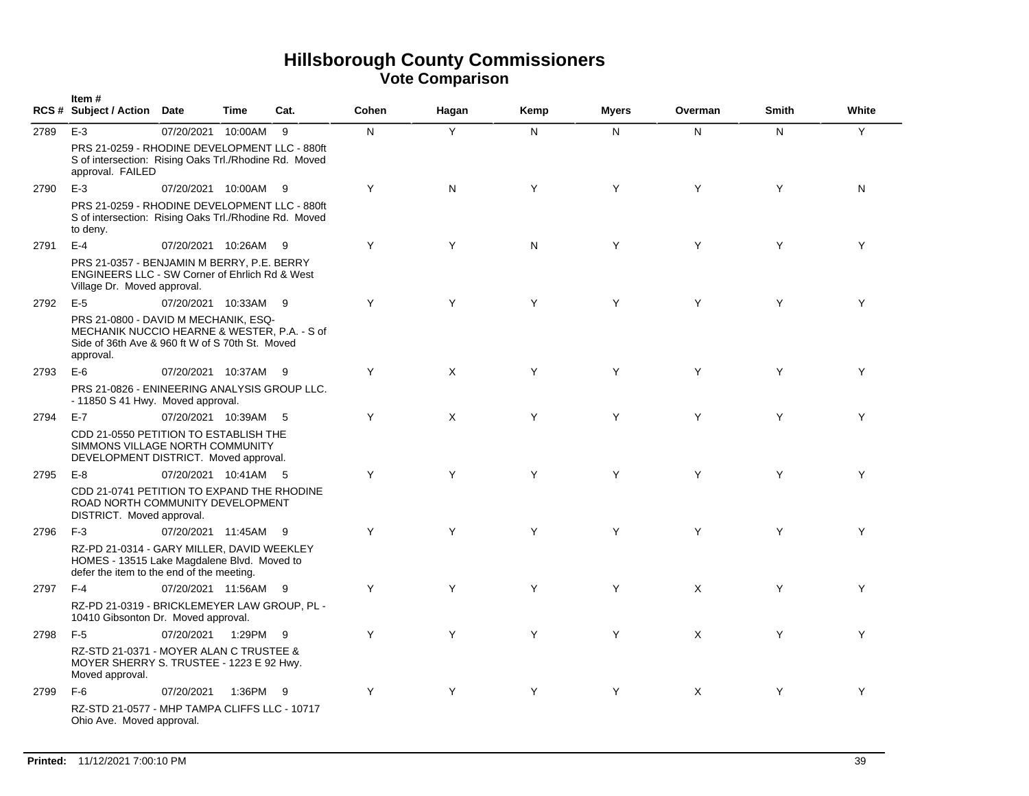|      | Item#<br>RCS # Subject / Action Date                                                                                                                 |                      | <b>Time</b> | Cat. | Cohen | Hagan | Kemp | <b>Myers</b> | Overman  | <b>Smith</b> | White |
|------|------------------------------------------------------------------------------------------------------------------------------------------------------|----------------------|-------------|------|-------|-------|------|--------------|----------|--------------|-------|
| 2789 | $E-3$                                                                                                                                                | 07/20/2021 10:00AM   |             | 9    | N     | Y     | N.   | N            | N        | N            | Y     |
|      | PRS 21-0259 - RHODINE DEVELOPMENT LLC - 880ft<br>S of intersection: Rising Oaks Trl./Rhodine Rd. Moved<br>approval. FAILED                           |                      |             |      |       |       |      |              |          |              |       |
| 2790 | $E-3$                                                                                                                                                | 07/20/2021 10:00AM   |             | - 9  | Y     | N     | Y    | Y            | Y        | Y            | N     |
|      | PRS 21-0259 - RHODINE DEVELOPMENT LLC - 880ft<br>S of intersection: Rising Oaks Trl./Rhodine Rd. Moved<br>to deny.                                   |                      |             |      |       |       |      |              |          |              |       |
| 2791 | $E-4$                                                                                                                                                | 07/20/2021 10:26AM   |             | - 9  | Y     | Y     | N    | Y            | Y        | Y            | Y     |
|      | PRS 21-0357 - BENJAMIN M BERRY, P.E. BERRY<br><b>ENGINEERS LLC - SW Corner of Ehrlich Rd &amp; West</b><br>Village Dr. Moved approval.               |                      |             |      |       |       |      |              |          |              |       |
| 2792 | $E-5$                                                                                                                                                | 07/20/2021 10:33AM 9 |             |      | Y     | Y     | Y    | Y            | Y        | Y            | Y     |
|      | PRS 21-0800 - DAVID M MECHANIK, ESQ-<br>MECHANIK NUCCIO HEARNE & WESTER, P.A. - S of<br>Side of 36th Ave & 960 ft W of S 70th St. Moved<br>approval. |                      |             |      |       |       |      |              |          |              |       |
| 2793 | $E-6$                                                                                                                                                | 07/20/2021 10:37AM 9 |             |      | Y     | X     | Y    | Y            | Y        | Y            | Y     |
|      | PRS 21-0826 - ENINEERING ANALYSIS GROUP LLC.<br>- 11850 S 41 Hwy. Moved approval.                                                                    |                      |             |      |       |       |      |              |          |              |       |
| 2794 | $E-7$                                                                                                                                                | 07/20/2021 10:39AM   |             | - 5  | Y     | X     | Y    | Y            | Y        | Y            | Υ     |
|      | CDD 21-0550 PETITION TO ESTABLISH THE<br>SIMMONS VILLAGE NORTH COMMUNITY<br>DEVELOPMENT DISTRICT. Moved approval.                                    |                      |             |      |       |       |      |              |          |              |       |
| 2795 | $E-8$                                                                                                                                                | 07/20/2021 10:41AM 5 |             |      | Y     | Y     | Y    | Y            | Y        | Y            | Y     |
|      | CDD 21-0741 PETITION TO EXPAND THE RHODINE<br>ROAD NORTH COMMUNITY DEVELOPMENT<br>DISTRICT. Moved approval.                                          |                      |             |      |       |       |      |              |          |              |       |
| 2796 | $F-3$                                                                                                                                                | 07/20/2021 11:45AM   |             | - 9  | Y     | Y     | Y    | Y            | Y        | Y            | Y     |
|      | RZ-PD 21-0314 - GARY MILLER, DAVID WEEKLEY<br>HOMES - 13515 Lake Magdalene Blvd. Moved to<br>defer the item to the end of the meeting.               |                      |             |      |       |       |      |              |          |              |       |
| 2797 | $F-4$                                                                                                                                                | 07/20/2021 11:56AM 9 |             |      | Y     | Y     | Y    | Y            | $\times$ | Y            | Y     |
|      | RZ-PD 21-0319 - BRICKLEMEYER LAW GROUP, PL -<br>10410 Gibsonton Dr. Moved approval.                                                                  |                      |             |      |       |       |      |              |          |              |       |
| 2798 | $F-5$                                                                                                                                                | 07/20/2021           | 1:29PM      | - 9  | Y     | Y     | Y    | Y            | $\times$ | Y            | Y     |
|      | RZ-STD 21-0371 - MOYER ALAN C TRUSTEE &<br>MOYER SHERRY S. TRUSTEE - 1223 E 92 Hwy.<br>Moved approval.                                               |                      |             |      |       |       |      |              |          |              |       |
| 2799 | $F-6$                                                                                                                                                | 07/20/2021           | 1:36PM 9    |      | Y     | Y     | Y    | Y            | $\times$ | Y            | Y     |
|      | RZ-STD 21-0577 - MHP TAMPA CLIFFS LLC - 10717<br>Ohio Ave. Moved approval.                                                                           |                      |             |      |       |       |      |              |          |              |       |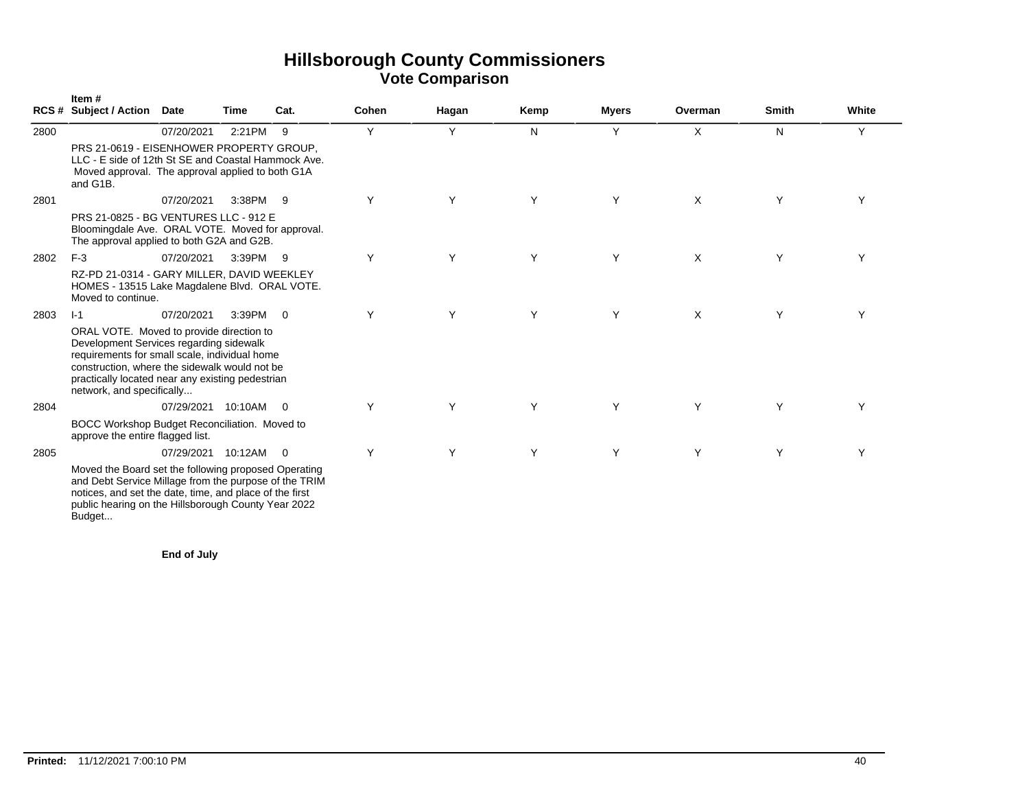|      | Item#<br><b>RCS # Subject / Action</b>                                                                                                                                                                                                                                 | Date                 | Time   | Cat.           | Cohen | Hagan | Kemp | <b>Myers</b> | Overman | <b>Smith</b> | White |
|------|------------------------------------------------------------------------------------------------------------------------------------------------------------------------------------------------------------------------------------------------------------------------|----------------------|--------|----------------|-------|-------|------|--------------|---------|--------------|-------|
| 2800 |                                                                                                                                                                                                                                                                        | 07/20/2021           | 2:21PM | - 9            | Y     | Y     | N    | Y            | X       | N            | Y     |
|      | PRS 21-0619 - EISENHOWER PROPERTY GROUP,<br>LLC - E side of 12th St SE and Coastal Hammock Ave.<br>Moved approval. The approval applied to both G1A<br>and G1B.                                                                                                        |                      |        |                |       |       |      |              |         |              |       |
| 2801 |                                                                                                                                                                                                                                                                        | 07/20/2021           | 3:38PM | - 9            | Y     | Y     | Y    | Y            | X       | Y            | Υ     |
|      | PRS 21-0825 - BG VENTURES LLC - 912 E<br>Bloomingdale Ave. ORAL VOTE. Moved for approval.<br>The approval applied to both G2A and G2B.                                                                                                                                 |                      |        |                |       |       |      |              |         |              |       |
| 2802 | $F-3$                                                                                                                                                                                                                                                                  | 07/20/2021           | 3:39PM | - 9            | Υ     | Υ     | Y    | Y            | X       | Υ            | Υ     |
|      | RZ-PD 21-0314 - GARY MILLER, DAVID WEEKLEY<br>HOMES - 13515 Lake Magdalene Blvd. ORAL VOTE.<br>Moved to continue.                                                                                                                                                      |                      |        |                |       |       |      |              |         |              |       |
| 2803 | $-1$                                                                                                                                                                                                                                                                   | 07/20/2021           | 3:39PM | $\overline{0}$ | Y     | Y     | Y    | Y            | X       | Y            | Y     |
|      | ORAL VOTE. Moved to provide direction to<br>Development Services regarding sidewalk<br>requirements for small scale, individual home<br>construction, where the sidewalk would not be<br>practically located near any existing pedestrian<br>network, and specifically |                      |        |                |       |       |      |              |         |              |       |
| 2804 |                                                                                                                                                                                                                                                                        | 07/29/2021 10:10AM 0 |        |                | Y     | Y     | Y    | Y            | Y       | Y            | Y     |
|      | BOCC Workshop Budget Reconciliation. Moved to<br>approve the entire flagged list.                                                                                                                                                                                      |                      |        |                |       |       |      |              |         |              |       |
| 2805 |                                                                                                                                                                                                                                                                        | 07/29/2021 10:12AM 0 |        |                | Y     | Y     | Y    | Y            | Y       | Y            | Υ     |
|      | Moved the Board set the following proposed Operating<br>and Debt Service Millage from the purpose of the TRIM<br>notices, and set the date, time, and place of the first<br>public hearing on the Hillsborough County Year 2022<br>Budget                              |                      |        |                |       |       |      |              |         |              |       |

**End of July**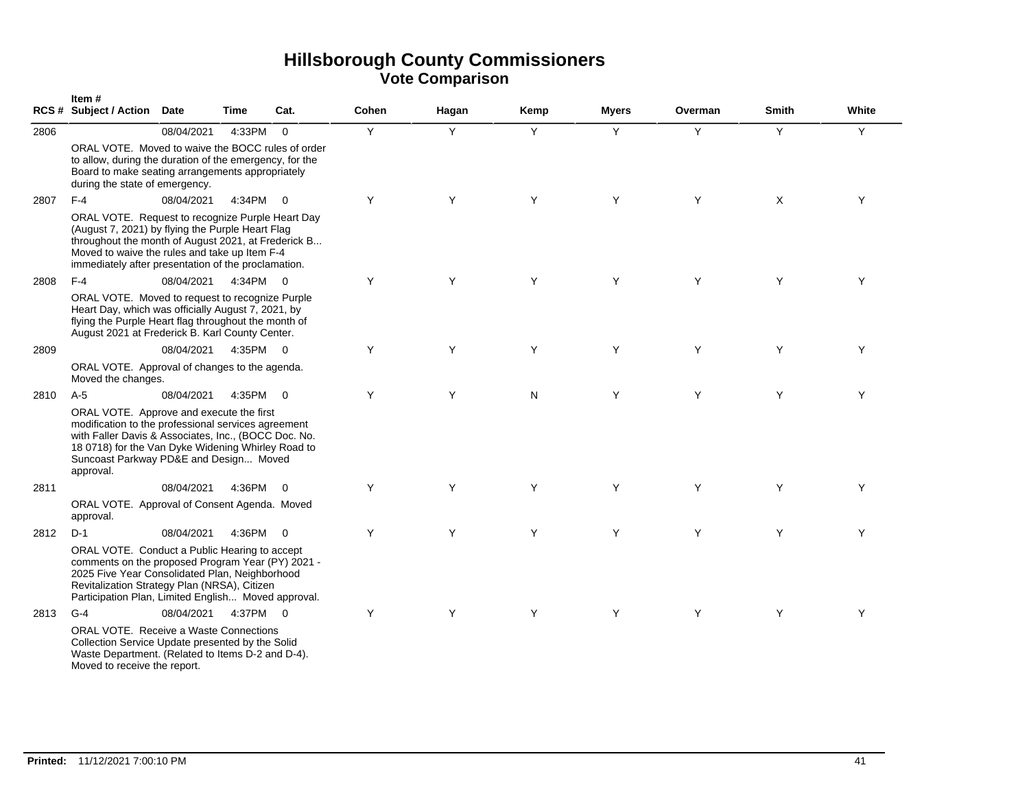|      | Item#<br><b>RCS # Subject / Action</b>                                                                                                                                                                                                                               | Date       | Time     | Cat.           | Cohen | Hagan | Kemp | <b>Myers</b> | Overman | <b>Smith</b> | White |
|------|----------------------------------------------------------------------------------------------------------------------------------------------------------------------------------------------------------------------------------------------------------------------|------------|----------|----------------|-------|-------|------|--------------|---------|--------------|-------|
| 2806 |                                                                                                                                                                                                                                                                      | 08/04/2021 | 4:33PM   | $\mathbf 0$    | Y     | Y     | Y    | Y            | Y       | Y            | Y     |
|      | ORAL VOTE. Moved to waive the BOCC rules of order<br>to allow, during the duration of the emergency, for the<br>Board to make seating arrangements appropriately<br>during the state of emergency.                                                                   |            |          |                |       |       |      |              |         |              |       |
| 2807 | $F-4$                                                                                                                                                                                                                                                                | 08/04/2021 | 4:34PM   | $\overline{0}$ | Y     | Y     | Y    | Y            | Y       | $\times$     | Y     |
|      | ORAL VOTE. Request to recognize Purple Heart Day<br>(August 7, 2021) by flying the Purple Heart Flag<br>throughout the month of August 2021, at Frederick B<br>Moved to waive the rules and take up Item F-4<br>immediately after presentation of the proclamation.  |            |          |                |       |       |      |              |         |              |       |
| 2808 | $F-4$                                                                                                                                                                                                                                                                | 08/04/2021 | 4:34PM 0 |                | Y     | Y     | Y    | Y            | Y       | Y            | Υ     |
|      | ORAL VOTE. Moved to request to recognize Purple<br>Heart Day, which was officially August 7, 2021, by<br>flying the Purple Heart flag throughout the month of<br>August 2021 at Frederick B. Karl County Center.                                                     |            |          |                |       |       |      |              |         |              |       |
| 2809 |                                                                                                                                                                                                                                                                      | 08/04/2021 | 4:35PM   | $\overline{0}$ | Y     | Y     | Y    | Y            | Y       | Y            | Y     |
|      | ORAL VOTE. Approval of changes to the agenda.<br>Moved the changes.                                                                                                                                                                                                  |            |          |                |       |       |      |              |         |              |       |
| 2810 | $A-5$                                                                                                                                                                                                                                                                | 08/04/2021 | 4:35PM   | $\overline{0}$ | Y     | Y     | N    | Y            | Y       | Y            | Y     |
|      | ORAL VOTE. Approve and execute the first<br>modification to the professional services agreement<br>with Faller Davis & Associates, Inc., (BOCC Doc. No.<br>18 0718) for the Van Dyke Widening Whirley Road to<br>Suncoast Parkway PD&E and Design Moved<br>approval. |            |          |                |       |       |      |              |         |              |       |
| 2811 |                                                                                                                                                                                                                                                                      | 08/04/2021 | 4:36PM   | $\overline{0}$ | Y     | Y     | Y    | Y            | Y       | Y            | Y     |
|      | ORAL VOTE. Approval of Consent Agenda. Moved<br>approval.                                                                                                                                                                                                            |            |          |                |       |       |      |              |         |              |       |
| 2812 | $D-1$                                                                                                                                                                                                                                                                | 08/04/2021 | 4:36PM   | $\Omega$       | Y     | Y     | Y    | Y            | Y       | Y            | Y     |
|      | ORAL VOTE. Conduct a Public Hearing to accept<br>comments on the proposed Program Year (PY) 2021 -<br>2025 Five Year Consolidated Plan, Neighborhood<br>Revitalization Strategy Plan (NRSA), Citizen<br>Participation Plan, Limited English Moved approval.          |            |          |                |       |       |      |              |         |              |       |
| 2813 | $G-4$                                                                                                                                                                                                                                                                | 08/04/2021 | 4:37PM 0 |                | Y     | Y     | Y    | Y            | Y       | Y            | Y     |
|      | <b>ORAL VOTE.</b> Receive a Waste Connections<br>Collection Service Update presented by the Solid<br>Waste Department. (Related to Items D-2 and D-4).<br>Moved to receive the report.                                                                               |            |          |                |       |       |      |              |         |              |       |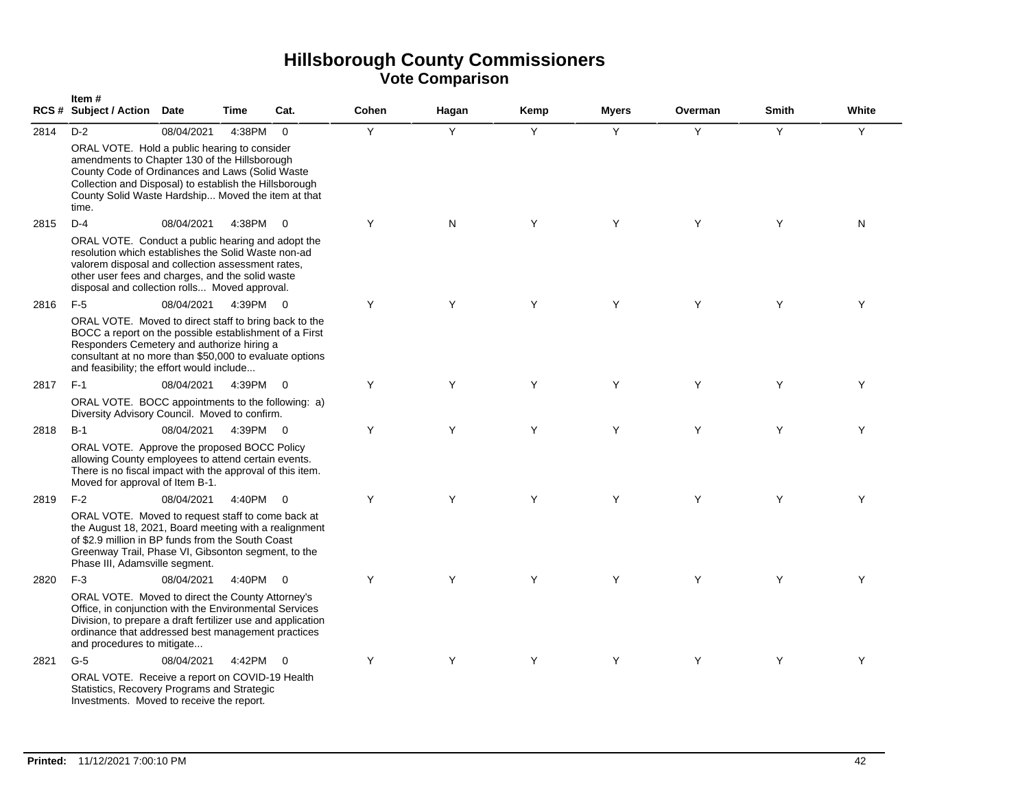|      | Item#<br>RCS # Subject / Action Date                                                                                                                                                                                                                                           |            | Time   | Cat.           | Cohen | Hagan | Kemp | <b>Myers</b> | Overman | <b>Smith</b> | White |
|------|--------------------------------------------------------------------------------------------------------------------------------------------------------------------------------------------------------------------------------------------------------------------------------|------------|--------|----------------|-------|-------|------|--------------|---------|--------------|-------|
| 2814 | $D-2$<br>ORAL VOTE. Hold a public hearing to consider<br>amendments to Chapter 130 of the Hillsborough<br>County Code of Ordinances and Laws (Solid Waste<br>Collection and Disposal) to establish the Hillsborough<br>County Solid Waste Hardship Moved the item at that      | 08/04/2021 | 4:38PM | $\overline{0}$ | Y     | Y     | Y    | Y            | Y       | Y            | Y     |
|      | time.                                                                                                                                                                                                                                                                          |            |        |                |       |       |      |              |         |              |       |
| 2815 | $D-4$<br>ORAL VOTE. Conduct a public hearing and adopt the<br>resolution which establishes the Solid Waste non-ad<br>valorem disposal and collection assessment rates,<br>other user fees and charges, and the solid waste<br>disposal and collection rolls Moved approval.    | 08/04/2021 | 4:38PM | $\Omega$       | Y     | N     | Y    | Y            | Y       | Y            | N     |
| 2816 | $F-5$<br>ORAL VOTE. Moved to direct staff to bring back to the<br>BOCC a report on the possible establishment of a First<br>Responders Cemetery and authorize hiring a<br>consultant at no more than \$50,000 to evaluate options<br>and feasibility; the effort would include | 08/04/2021 | 4:39PM | $\overline{0}$ | Y     | Y     | Y    | Y            | Y       | Y            | Υ     |
| 2817 | $F-1$                                                                                                                                                                                                                                                                          | 08/04/2021 | 4:39PM | $\overline{0}$ | Y     | Y     | Y    | Y            | Y       | Y            | Y     |
|      | ORAL VOTE. BOCC appointments to the following: a)<br>Diversity Advisory Council. Moved to confirm.                                                                                                                                                                             |            |        |                |       |       |      |              |         |              |       |
| 2818 | $B-1$                                                                                                                                                                                                                                                                          | 08/04/2021 | 4:39PM | $\overline{0}$ | Y     | Y     | Y    | Y            | Y       | Y            | Y     |
|      | ORAL VOTE. Approve the proposed BOCC Policy<br>allowing County employees to attend certain events.<br>There is no fiscal impact with the approval of this item.<br>Moved for approval of Item B-1.                                                                             |            |        |                |       |       |      |              |         |              |       |
| 2819 | $F-2$                                                                                                                                                                                                                                                                          | 08/04/2021 | 4:40PM | $\Omega$       | Y     | Y     | Y    | Y            | Y       | Y            | Y     |
|      | ORAL VOTE. Moved to request staff to come back at<br>the August 18, 2021, Board meeting with a realignment<br>of \$2.9 million in BP funds from the South Coast<br>Greenway Trail, Phase VI, Gibsonton segment, to the<br>Phase III, Adamsville segment.                       |            |        |                |       |       |      |              |         |              |       |
| 2820 | $F-3$                                                                                                                                                                                                                                                                          | 08/04/2021 | 4:40PM | $\overline{0}$ | Y     | Y     | Y    | Y            | Y       | Y            | Y     |
|      | ORAL VOTE. Moved to direct the County Attorney's<br>Office, in conjunction with the Environmental Services<br>Division, to prepare a draft fertilizer use and application<br>ordinance that addressed best management practices<br>and procedures to mitigate                  |            |        |                |       |       |      |              |         |              |       |
| 2821 | $G-5$                                                                                                                                                                                                                                                                          | 08/04/2021 | 4:42PM | $\Omega$       | Y     | Y     | Y    | Y            | Y       | Y            | Y     |
|      | ORAL VOTE. Receive a report on COVID-19 Health<br>Statistics, Recovery Programs and Strategic<br>Investments. Moved to receive the report.                                                                                                                                     |            |        |                |       |       |      |              |         |              |       |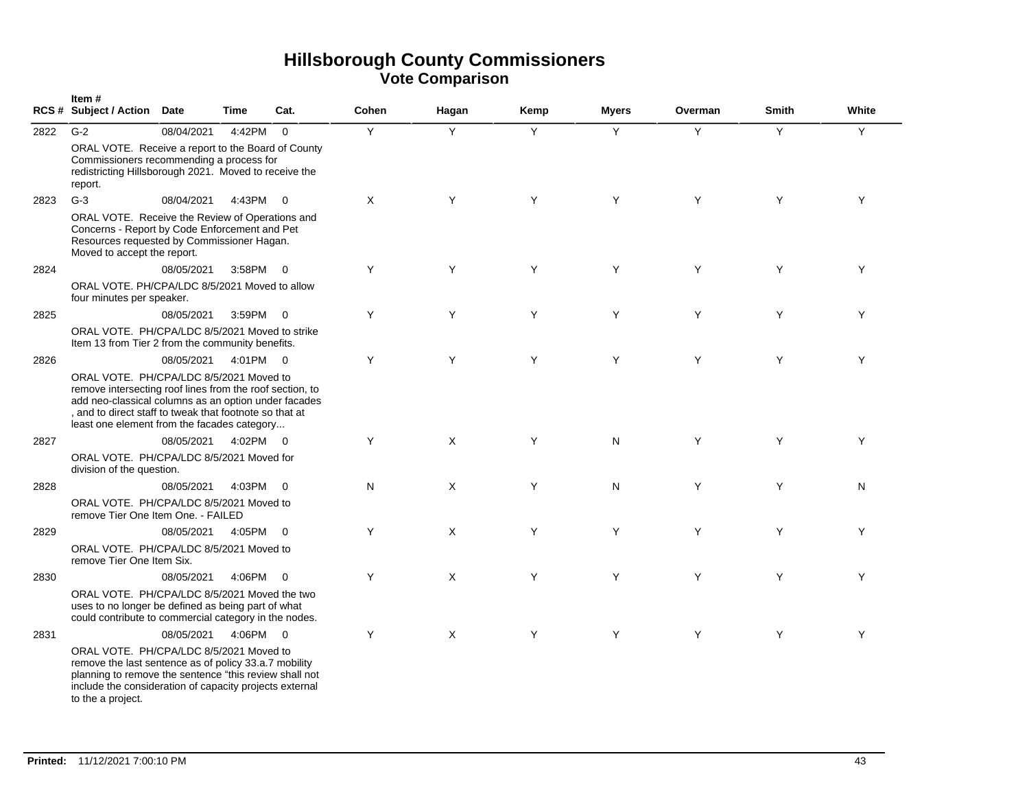|      | Item#<br>RCS # Subject / Action Date                                                                                                                                                                                                                                  |            | <b>Time</b> | Cat.                     | Cohen    | Hagan    | Kemp | <b>Myers</b> | Overman | <b>Smith</b> | White |
|------|-----------------------------------------------------------------------------------------------------------------------------------------------------------------------------------------------------------------------------------------------------------------------|------------|-------------|--------------------------|----------|----------|------|--------------|---------|--------------|-------|
| 2822 | $G-2$                                                                                                                                                                                                                                                                 | 08/04/2021 | 4:42PM      | $\overline{0}$           | Y        | Y        | Y    | Y            | Y       | Y            | Y     |
|      | ORAL VOTE. Receive a report to the Board of County<br>Commissioners recommending a process for<br>redistricting Hillsborough 2021. Moved to receive the<br>report.                                                                                                    |            |             |                          |          |          |      |              |         |              |       |
| 2823 | $G-3$                                                                                                                                                                                                                                                                 | 08/04/2021 | 4:43PM      | $\overline{0}$           | $\times$ | Y        | Y    | Y            | Y       | Y            | Y     |
|      | ORAL VOTE. Receive the Review of Operations and<br>Concerns - Report by Code Enforcement and Pet<br>Resources requested by Commissioner Hagan.<br>Moved to accept the report.                                                                                         |            |             |                          |          |          |      |              |         |              |       |
| 2824 |                                                                                                                                                                                                                                                                       | 08/05/2021 | 3:58PM 0    |                          | Y        | Y        | Y    | Y            | Y       | Y            | Y     |
|      | ORAL VOTE. PH/CPA/LDC 8/5/2021 Moved to allow<br>four minutes per speaker.                                                                                                                                                                                            |            |             |                          |          |          |      |              |         |              |       |
| 2825 |                                                                                                                                                                                                                                                                       | 08/05/2021 | 3:59PM 0    |                          | Y        | Y        | Y    | Y            | Y       | Y            | Y     |
|      | ORAL VOTE. PH/CPA/LDC 8/5/2021 Moved to strike<br>Item 13 from Tier 2 from the community benefits.                                                                                                                                                                    |            |             |                          |          |          |      |              |         |              |       |
| 2826 |                                                                                                                                                                                                                                                                       | 08/05/2021 | 4:01PM 0    |                          | Y        | Y        | Y    | Y            | Y       | Y            | Y     |
|      | ORAL VOTE. PH/CPA/LDC 8/5/2021 Moved to<br>remove intersecting roof lines from the roof section, to<br>add neo-classical columns as an option under facades<br>, and to direct staff to tweak that footnote so that at<br>least one element from the facades category |            |             |                          |          |          |      |              |         |              |       |
| 2827 |                                                                                                                                                                                                                                                                       | 08/05/2021 | 4:02PM      | $\overline{\phantom{0}}$ | Y        | X        | Y    | N            | Y       | Y            | Y     |
|      | ORAL VOTE. PH/CPA/LDC 8/5/2021 Moved for<br>division of the question.                                                                                                                                                                                                 |            |             |                          |          |          |      |              |         |              |       |
| 2828 |                                                                                                                                                                                                                                                                       | 08/05/2021 | 4:03PM      | $\overline{0}$           | N        | X        | Y    | N            | Y       | Y            | N     |
|      | ORAL VOTE. PH/CPA/LDC 8/5/2021 Moved to<br>remove Tier One Item One. - FAILED                                                                                                                                                                                         |            |             |                          |          |          |      |              |         |              |       |
| 2829 |                                                                                                                                                                                                                                                                       | 08/05/2021 | 4:05PM      | $\Omega$                 | Y        | $\times$ | Y    | Y            | Y       | Y            | Y     |
|      | ORAL VOTE. PH/CPA/LDC 8/5/2021 Moved to<br>remove Tier One Item Six.                                                                                                                                                                                                  |            |             |                          |          |          |      |              |         |              |       |
| 2830 |                                                                                                                                                                                                                                                                       | 08/05/2021 | 4:06PM      | $\overline{0}$           | Y        | $\times$ | Y    | Y            | Y       | Y            | Y     |
|      | ORAL VOTE. PH/CPA/LDC 8/5/2021 Moved the two<br>uses to no longer be defined as being part of what<br>could contribute to commercial category in the nodes.                                                                                                           |            |             |                          |          |          |      |              |         |              |       |
| 2831 |                                                                                                                                                                                                                                                                       | 08/05/2021 | 4:06PM 0    |                          | Y        | X        | Y    | Y            | Y       | Y            | Y     |
|      | ORAL VOTE. PH/CPA/LDC 8/5/2021 Moved to<br>remove the last sentence as of policy 33.a.7 mobility<br>planning to remove the sentence "this review shall not<br>include the consideration of capacity projects external<br>to the a project.                            |            |             |                          |          |          |      |              |         |              |       |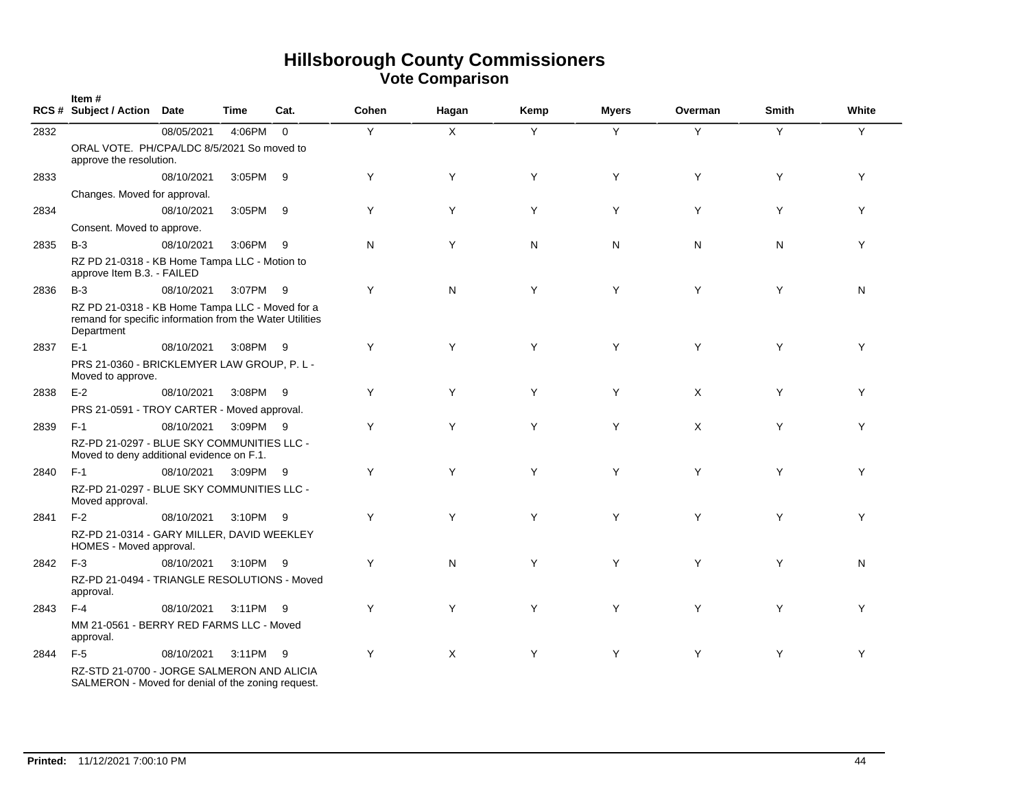|      | Item#<br>RCS # Subject / Action Date                                                                                      |            | Time     | Cat.     | Cohen | Hagan | Kemp | <b>Myers</b> | Overman | <b>Smith</b> | White |
|------|---------------------------------------------------------------------------------------------------------------------------|------------|----------|----------|-------|-------|------|--------------|---------|--------------|-------|
| 2832 |                                                                                                                           | 08/05/2021 | 4:06PM   | $\Omega$ | Y     | X     | Y    | Y            | Y       | Y            | Y     |
|      | ORAL VOTE. PH/CPA/LDC 8/5/2021 So moved to<br>approve the resolution.                                                     |            |          |          |       |       |      |              |         |              |       |
| 2833 |                                                                                                                           | 08/10/2021 | 3:05PM 9 |          | Y     | Y     | Y    | Y            | Y       | Y            | Y     |
|      | Changes. Moved for approval.                                                                                              |            |          |          |       |       |      |              |         |              |       |
| 2834 |                                                                                                                           | 08/10/2021 | 3:05PM   | - 9      | Y     | Y     | Y    | Y            | Y       | Y            | Y     |
|      | Consent. Moved to approve.                                                                                                |            |          |          |       |       |      |              |         |              |       |
| 2835 | $B-3$                                                                                                                     | 08/10/2021 | 3:06PM 9 |          | N     | Y     | N    | N            | N       | N            | Y     |
|      | RZ PD 21-0318 - KB Home Tampa LLC - Motion to<br>approve Item B.3. - FAILED                                               |            |          |          |       |       |      |              |         |              |       |
| 2836 | $B-3$                                                                                                                     | 08/10/2021 | 3:07PM 9 |          | Y     | N     | Y    | Y            | Y       | Y            | N     |
|      | RZ PD 21-0318 - KB Home Tampa LLC - Moved for a<br>remand for specific information from the Water Utilities<br>Department |            |          |          |       |       |      |              |         |              |       |
| 2837 | $E-1$                                                                                                                     | 08/10/2021 | 3:08PM   | - 9      | Y     | Y     | Y    | Y            | Y       | Y            | Y     |
|      | PRS 21-0360 - BRICKLEMYER LAW GROUP, P. L -<br>Moved to approve.                                                          |            |          |          |       |       |      |              |         |              |       |
| 2838 | $E-2$                                                                                                                     | 08/10/2021 | 3:08PM 9 |          | Y     | Y     | Y    | Y            | X       | Y            | Y     |
|      | PRS 21-0591 - TROY CARTER - Moved approval.                                                                               |            |          |          |       |       |      |              |         |              |       |
| 2839 | $F-1$                                                                                                                     | 08/10/2021 | 3:09PM 9 |          | Y     | Y     | Y    | Y            | X       | Y            | Y     |
|      | RZ-PD 21-0297 - BLUE SKY COMMUNITIES LLC -<br>Moved to deny additional evidence on F.1.                                   |            |          |          |       |       |      |              |         |              |       |
| 2840 | $F-1$                                                                                                                     | 08/10/2021 | 3:09PM 9 |          | Y     | Y     | Y    | Y            | Y       | Y            | Y     |
|      | RZ-PD 21-0297 - BLUE SKY COMMUNITIES LLC -<br>Moved approval.                                                             |            |          |          |       |       |      |              |         |              |       |
| 2841 | $F-2$                                                                                                                     | 08/10/2021 | 3:10PM 9 |          | Y     | Y     | Y    | Y            | Y       | Y            | Y     |
|      | RZ-PD 21-0314 - GARY MILLER, DAVID WEEKLEY<br>HOMES - Moved approval.                                                     |            |          |          |       |       |      |              |         |              |       |
| 2842 | $F-3$                                                                                                                     | 08/10/2021 | 3:10PM   | - 9      | Y     | N     | Y    | Y            | Y       | Y            | N     |
|      | RZ-PD 21-0494 - TRIANGLE RESOLUTIONS - Moved<br>approval.                                                                 |            |          |          |       |       |      |              |         |              |       |
| 2843 | $F-4$                                                                                                                     | 08/10/2021 | 3:11PM 9 |          | Y     | Y     | Y    | Y            | Y       | Y            | Y     |
|      | MM 21-0561 - BERRY RED FARMS LLC - Moved<br>approval.                                                                     |            |          |          |       |       |      |              |         |              |       |
| 2844 | $F-5$                                                                                                                     | 08/10/2021 | 3:11PM   | - 9      | Y     | X     | Y    | Y            | Y       | Y            | Y     |
|      | RZ-STD 21-0700 - JORGE SALMERON AND ALICIA<br>SALMERON - Moved for denial of the zoning request.                          |            |          |          |       |       |      |              |         |              |       |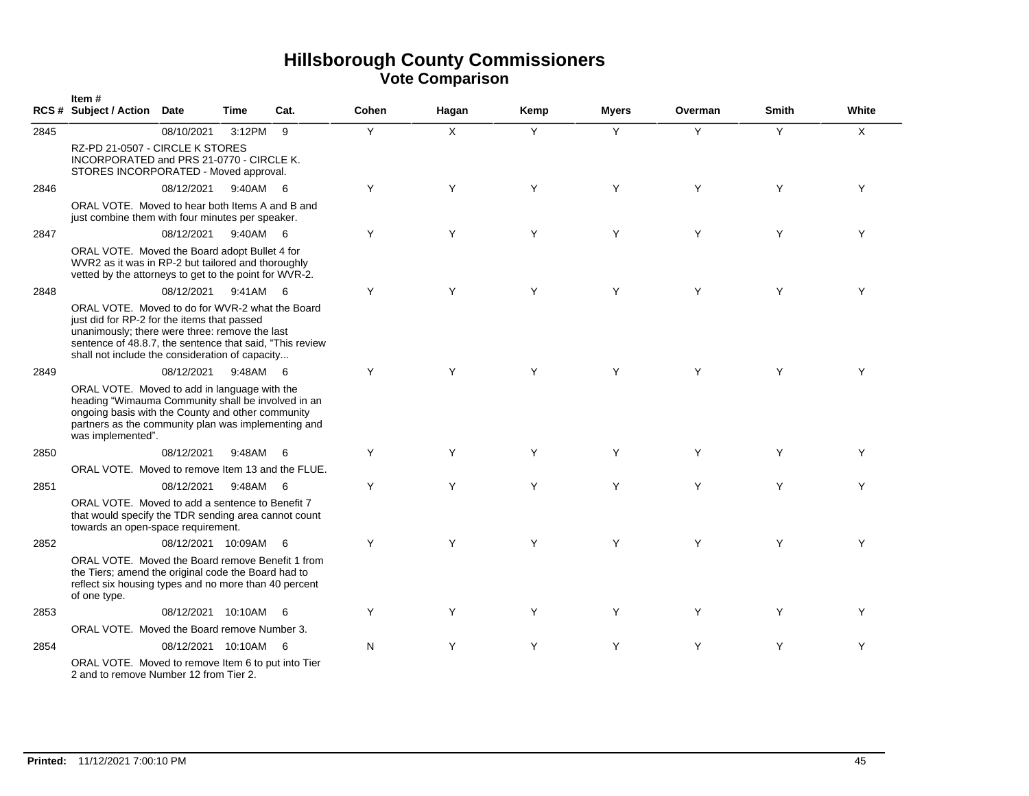|      | Item#<br>RCS # Subject / Action Date                                                                                                                                                                                                                            |                      | Time     | Cat. | Cohen | Hagan | Kemp | <b>Myers</b> | Overman | <b>Smith</b> | White |
|------|-----------------------------------------------------------------------------------------------------------------------------------------------------------------------------------------------------------------------------------------------------------------|----------------------|----------|------|-------|-------|------|--------------|---------|--------------|-------|
| 2845 |                                                                                                                                                                                                                                                                 | 08/10/2021           | 3:12PM   | 9    | Y     | X     | Y    | Y            | Y       | Y            | X     |
|      | RZ-PD 21-0507 - CIRCLE K STORES<br>INCORPORATED and PRS 21-0770 - CIRCLE K.<br>STORES INCORPORATED - Moved approval.                                                                                                                                            |                      |          |      |       |       |      |              |         |              |       |
| 2846 |                                                                                                                                                                                                                                                                 | 08/12/2021           | 9:40AM 6 |      | Y     | Y     | Y    | Y            | Y       | Y            | Y     |
|      | ORAL VOTE. Moved to hear both Items A and B and<br>just combine them with four minutes per speaker.                                                                                                                                                             |                      |          |      |       |       |      |              |         |              |       |
| 2847 |                                                                                                                                                                                                                                                                 | 08/12/2021           | 9:40AM   | - 6  | Y     | Y     | Y    | Y            | Y       | Y            | Y     |
|      | ORAL VOTE. Moved the Board adopt Bullet 4 for<br>WVR2 as it was in RP-2 but tailored and thoroughly<br>vetted by the attorneys to get to the point for WVR-2.                                                                                                   |                      |          |      |       |       |      |              |         |              |       |
| 2848 |                                                                                                                                                                                                                                                                 | 08/12/2021           | 9:41AM 6 |      | Y     | Y     | Y    | Y            | Y       | Y            | Y     |
|      | ORAL VOTE. Moved to do for WVR-2 what the Board<br>just did for RP-2 for the items that passed<br>unanimously; there were three: remove the last<br>sentence of 48.8.7, the sentence that said, "This review<br>shall not include the consideration of capacity |                      |          |      |       |       |      |              |         |              |       |
| 2849 |                                                                                                                                                                                                                                                                 | 08/12/2021           | 9:48AM   | 6    | Y     | Y     | Y    | Y            | Y       | Y            | Υ     |
|      | ORAL VOTE. Moved to add in language with the<br>heading "Wimauma Community shall be involved in an<br>ongoing basis with the County and other community<br>partners as the community plan was implementing and<br>was implemented".                             |                      |          |      |       |       |      |              |         |              |       |
| 2850 |                                                                                                                                                                                                                                                                 | 08/12/2021           | 9:48AM   | - 6  | Y     | Y     | Y    | Y            | Y       | Y            | Υ     |
|      | ORAL VOTE. Moved to remove Item 13 and the FLUE.                                                                                                                                                                                                                |                      |          |      |       |       |      |              |         |              |       |
| 2851 |                                                                                                                                                                                                                                                                 | 08/12/2021           | 9:48AM   | - 6  | Y     | Y     | Y    | Y            | Y       | Y            | Y     |
|      | ORAL VOTE. Moved to add a sentence to Benefit 7<br>that would specify the TDR sending area cannot count<br>towards an open-space requirement.                                                                                                                   |                      |          |      |       |       |      |              |         |              |       |
| 2852 |                                                                                                                                                                                                                                                                 | 08/12/2021 10:09AM   |          | - 6  | Y     | Y     | Y    | Y            | Y       | Y            | Y     |
|      | ORAL VOTE. Moved the Board remove Benefit 1 from<br>the Tiers; amend the original code the Board had to<br>reflect six housing types and no more than 40 percent<br>of one type.                                                                                |                      |          |      |       |       |      |              |         |              |       |
| 2853 |                                                                                                                                                                                                                                                                 | 08/12/2021 10:10AM   |          | - 6  | Y     | Y     | Y    | Y            | Y       | Υ            | Υ     |
|      | ORAL VOTE. Moved the Board remove Number 3.                                                                                                                                                                                                                     |                      |          |      |       |       |      |              |         |              |       |
| 2854 |                                                                                                                                                                                                                                                                 | 08/12/2021 10:10AM 6 |          |      | N     | Y     | Y    | Y            | Y       | Y            | Y     |
|      | ORAL VOTE. Moved to remove Item 6 to put into Tier<br>2 and to remove Number 12 from Tier 2.                                                                                                                                                                    |                      |          |      |       |       |      |              |         |              |       |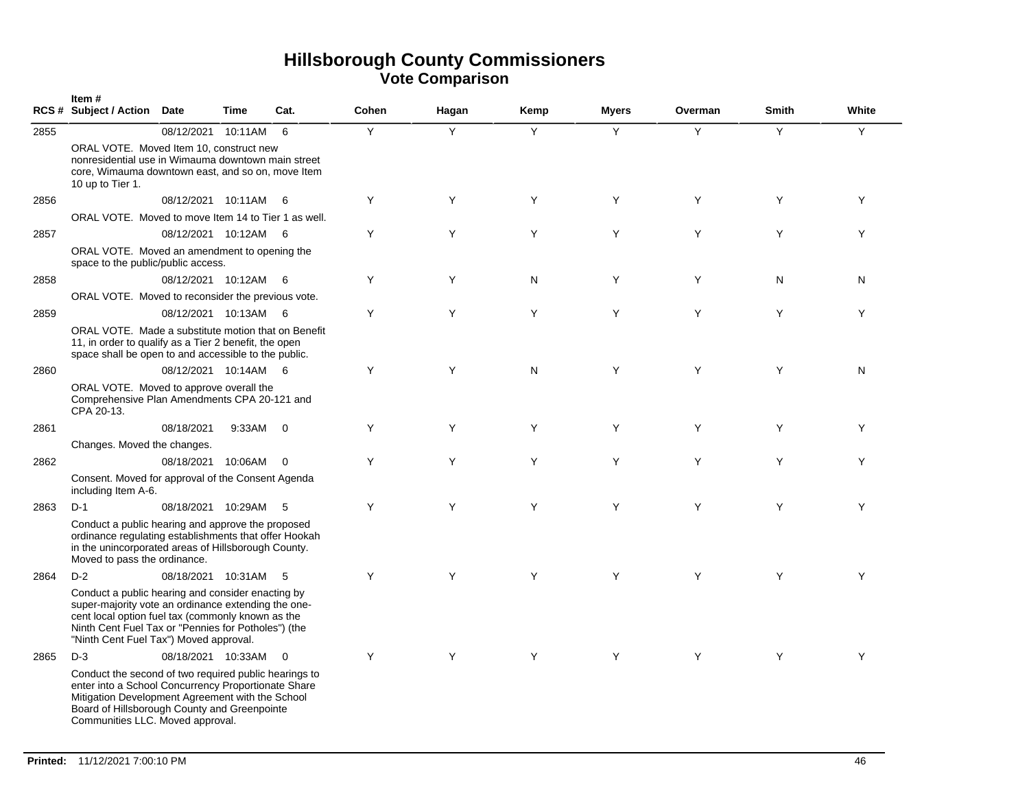|      | Item#<br>RCS # Subject / Action Date                                                                                                                                                                                                                           |                      | <b>Time</b> | Cat.           | Cohen | Hagan | Kemp | <b>Myers</b> | Overman | <b>Smith</b> | White |
|------|----------------------------------------------------------------------------------------------------------------------------------------------------------------------------------------------------------------------------------------------------------------|----------------------|-------------|----------------|-------|-------|------|--------------|---------|--------------|-------|
| 2855 |                                                                                                                                                                                                                                                                | 08/12/2021           | 10:11AM     | 6              | Υ     | Y     | Y    | Y            | Y       | Y            | Y     |
|      | ORAL VOTE. Moved Item 10, construct new<br>nonresidential use in Wimauma downtown main street<br>core, Wimauma downtown east, and so on, move Item<br>10 up to Tier 1.                                                                                         |                      |             |                |       |       |      |              |         |              |       |
| 2856 |                                                                                                                                                                                                                                                                | 08/12/2021 10:11AM   |             | - 6            | Y     | Y     | Y    | Y            | Y       | Y            | Y     |
|      | ORAL VOTE. Moved to move Item 14 to Tier 1 as well.                                                                                                                                                                                                            |                      |             |                |       |       |      |              |         |              |       |
| 2857 |                                                                                                                                                                                                                                                                | 08/12/2021 10:12AM 6 |             |                | Y     | Y     | Y    | Y            | Y       | Y            | Y     |
|      | ORAL VOTE. Moved an amendment to opening the<br>space to the public/public access.                                                                                                                                                                             |                      |             |                |       |       |      |              |         |              |       |
| 2858 |                                                                                                                                                                                                                                                                | 08/12/2021 10:12AM   |             | - 6            | Y     | Y     | N    | Y            | Y       | N            | N     |
|      | ORAL VOTE. Moved to reconsider the previous vote.                                                                                                                                                                                                              |                      |             |                |       |       |      |              |         |              |       |
| 2859 |                                                                                                                                                                                                                                                                | 08/12/2021 10:13AM   |             | - 6            | Y     | Y     | Y    | Y            | Y       | Y            | Y     |
|      | ORAL VOTE. Made a substitute motion that on Benefit<br>11, in order to qualify as a Tier 2 benefit, the open<br>space shall be open to and accessible to the public.                                                                                           |                      |             |                |       |       |      |              |         |              |       |
| 2860 |                                                                                                                                                                                                                                                                | 08/12/2021 10:14AM 6 |             |                | Y     | Y     | N    | Y            | Y       | Y            | N     |
|      | ORAL VOTE. Moved to approve overall the<br>Comprehensive Plan Amendments CPA 20-121 and<br>CPA 20-13.                                                                                                                                                          |                      |             |                |       |       |      |              |         |              |       |
| 2861 |                                                                                                                                                                                                                                                                | 08/18/2021           | 9:33AM      | $\overline{0}$ | Y     | Y     | Y    | Y            | Y       | Y            | Y     |
|      | Changes. Moved the changes.                                                                                                                                                                                                                                    |                      |             |                |       |       |      |              |         |              |       |
| 2862 |                                                                                                                                                                                                                                                                | 08/18/2021 10:06AM   |             | $\overline{0}$ | Y     | Y     | Y    | Y            | Y       | Y            | Y     |
|      | Consent. Moved for approval of the Consent Agenda<br>including Item A-6.                                                                                                                                                                                       |                      |             |                |       |       |      |              |         |              |       |
| 2863 | $D-1$                                                                                                                                                                                                                                                          | 08/18/2021 10:29AM   |             | - 5            | Y     | Y     | Y    | Y            | Y       | Y            | Y     |
|      | Conduct a public hearing and approve the proposed<br>ordinance regulating establishments that offer Hookah<br>in the unincorporated areas of Hillsborough County.<br>Moved to pass the ordinance.                                                              |                      |             |                |       |       |      |              |         |              |       |
| 2864 | $D-2$                                                                                                                                                                                                                                                          | 08/18/2021 10:31AM   |             | - 5            | Y     | Y     | Y    | Y            | Y       | Y            | Y     |
|      | Conduct a public hearing and consider enacting by<br>super-majority vote an ordinance extending the one-<br>cent local option fuel tax (commonly known as the<br>Ninth Cent Fuel Tax or "Pennies for Potholes") (the<br>"Ninth Cent Fuel Tax") Moved approval. |                      |             |                |       |       |      |              |         |              |       |
| 2865 | $D-3$                                                                                                                                                                                                                                                          | 08/18/2021 10:33AM 0 |             |                | Y     | Y     | Y    | Υ            | Y       | Y            | Y     |
|      | Conduct the second of two required public hearings to<br>enter into a School Concurrency Proportionate Share<br>Mitigation Development Agreement with the School<br>Board of Hillsborough County and Greenpointe<br>Communities LLC. Moved approval.           |                      |             |                |       |       |      |              |         |              |       |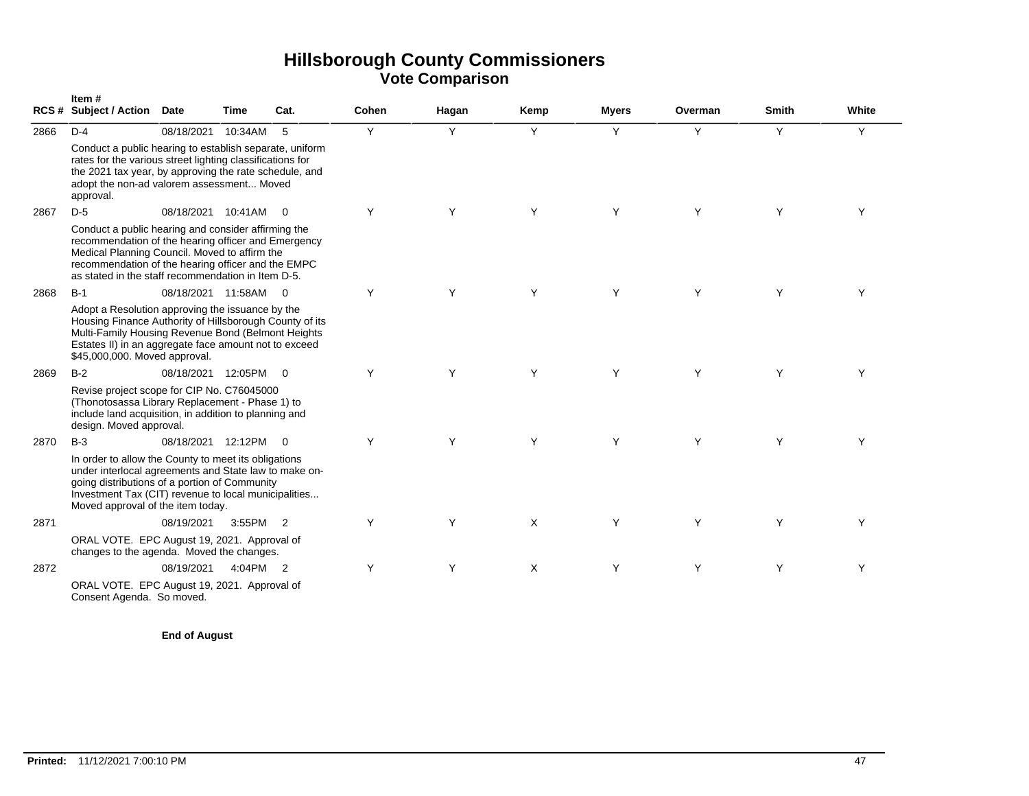|      | Item#<br>RCS # Subject / Action Date                                                                                                                                                                                                                                    |                    | Time     | Cat.                       | Cohen | Hagan | Kemp | <b>Myers</b> | Overman | <b>Smith</b> | White |
|------|-------------------------------------------------------------------------------------------------------------------------------------------------------------------------------------------------------------------------------------------------------------------------|--------------------|----------|----------------------------|-------|-------|------|--------------|---------|--------------|-------|
| 2866 | $D-4$                                                                                                                                                                                                                                                                   | 08/18/2021         | 10:34AM  | - 5                        | Y     | Y     | Y    | Y            | Y       | Y            | Y     |
|      | Conduct a public hearing to establish separate, uniform<br>rates for the various street lighting classifications for<br>the 2021 tax year, by approving the rate schedule, and<br>adopt the non-ad valorem assessment Moved<br>approval.                                |                    |          |                            |       |       |      |              |         |              |       |
| 2867 | $D-5$                                                                                                                                                                                                                                                                   | 08/18/2021 10:41AM |          | $\overline{0}$             | Y     | Y     | Y    | Y            | Y       | Y            | Y     |
|      | Conduct a public hearing and consider affirming the<br>recommendation of the hearing officer and Emergency<br>Medical Planning Council. Moved to affirm the<br>recommendation of the hearing officer and the EMPC<br>as stated in the staff recommendation in Item D-5. |                    |          |                            |       |       |      |              |         |              |       |
| 2868 | $B-1$                                                                                                                                                                                                                                                                   | 08/18/2021 11:58AM |          | $\overline{0}$             | Y     | Y     | Y    | Y            | Y       | Y            | Y     |
|      | Adopt a Resolution approving the issuance by the<br>Housing Finance Authority of Hillsborough County of its<br>Multi-Family Housing Revenue Bond (Belmont Heights<br>Estates II) in an aggregate face amount not to exceed<br>\$45,000,000. Moved approval.             |                    |          |                            |       |       |      |              |         |              |       |
| 2869 | $B-2$                                                                                                                                                                                                                                                                   | 08/18/2021 12:05PM |          | $\overline{\phantom{0}}$   | Y     | Y     | Y    | Y            | Y       | Y            | Y     |
|      | Revise project scope for CIP No. C76045000<br>(Thonotosassa Library Replacement - Phase 1) to<br>include land acquisition, in addition to planning and<br>design. Moved approval.                                                                                       |                    |          |                            |       |       |      |              |         |              |       |
| 2870 | $B-3$                                                                                                                                                                                                                                                                   | 08/18/2021 12:12PM |          | $\bigcirc$                 | Y     | Y     | Y    | Υ            | Υ       | Υ            | Υ     |
|      | In order to allow the County to meet its obligations<br>under interlocal agreements and State law to make on-<br>going distributions of a portion of Community<br>Investment Tax (CIT) revenue to local municipalities<br>Moved approval of the item today.             |                    |          |                            |       |       |      |              |         |              |       |
| 2871 |                                                                                                                                                                                                                                                                         | 08/19/2021         | 3:55PM 2 |                            | Y     | Y     | X    | Y            | Y       | Y            | Υ     |
|      | ORAL VOTE. EPC August 19, 2021. Approval of<br>changes to the agenda. Moved the changes.                                                                                                                                                                                |                    |          |                            |       |       |      |              |         |              |       |
| 2872 |                                                                                                                                                                                                                                                                         | 08/19/2021         | 4:04PM   | $\overline{\phantom{0}}^2$ | Y     | Y     | X    | Y            | Y       | Y            | Y     |
|      | ORAL VOTE. EPC August 19, 2021. Approval of<br>Consent Agenda. So moved.                                                                                                                                                                                                |                    |          |                            |       |       |      |              |         |              |       |

**End of August**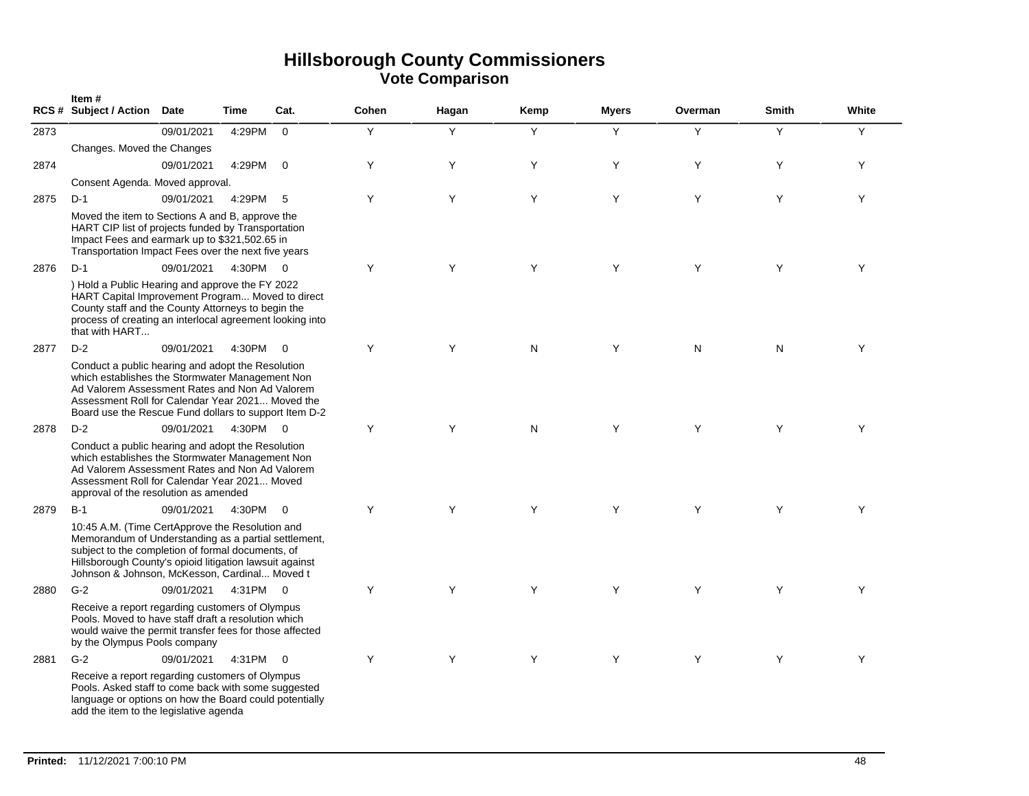|      | Item#<br>RCS # Subject / Action Date                                                                                                                                                                                                                                     |            | <b>Time</b> | Cat.                    | Cohen | Hagan | Kemp      | <b>Myers</b> | Overman   | <b>Smith</b> | White |
|------|--------------------------------------------------------------------------------------------------------------------------------------------------------------------------------------------------------------------------------------------------------------------------|------------|-------------|-------------------------|-------|-------|-----------|--------------|-----------|--------------|-------|
| 2873 |                                                                                                                                                                                                                                                                          | 09/01/2021 | 4:29PM      | $\overline{0}$          | Y     | Y     | Y         | Y            | Y         | Y            | Y     |
|      | Changes. Moved the Changes                                                                                                                                                                                                                                               |            |             |                         |       |       |           |              |           |              |       |
| 2874 |                                                                                                                                                                                                                                                                          | 09/01/2021 | 4:29PM      | $\overline{0}$          | Y     | Y     | Y         | Y            | Y         | Y            | Y     |
|      | Consent Agenda. Moved approval.                                                                                                                                                                                                                                          |            |             |                         |       |       |           |              |           |              |       |
| 2875 | $D-1$                                                                                                                                                                                                                                                                    | 09/01/2021 | 4:29PM      | 5                       | Y     | Y     | Y         | Y            | Y         | Y            | Y     |
|      | Moved the item to Sections A and B, approve the<br>HART CIP list of projects funded by Transportation<br>Impact Fees and earmark up to \$321,502.65 in<br>Transportation Impact Fees over the next five years                                                            |            |             |                         |       |       |           |              |           |              |       |
| 2876 | $D-1$                                                                                                                                                                                                                                                                    | 09/01/2021 | 4:30PM 0    |                         | Y     | Y     | Y         | Y            | Y         | Y            | Y     |
|      | ) Hold a Public Hearing and approve the FY 2022<br>HART Capital Improvement Program Moved to direct<br>County staff and the County Attorneys to begin the<br>process of creating an interlocal agreement looking into<br>that with HART                                  |            |             |                         |       |       |           |              |           |              |       |
| 2877 | $D-2$                                                                                                                                                                                                                                                                    | 09/01/2021 | 4:30PM      | - 0                     | Y     | Y     | ${\sf N}$ | Y            | ${\sf N}$ | N            | Υ     |
|      | Conduct a public hearing and adopt the Resolution<br>which establishes the Stormwater Management Non<br>Ad Valorem Assessment Rates and Non Ad Valorem<br>Assessment Roll for Calendar Year 2021 Moved the<br>Board use the Rescue Fund dollars to support Item D-2      |            |             |                         |       |       |           |              |           |              |       |
| 2878 | $D-2$                                                                                                                                                                                                                                                                    | 09/01/2021 |             | $\overline{\mathbf{0}}$ | Y     | Y     | N         | Y            | Y         | Y            | Y     |
|      | 4:30PM<br>Conduct a public hearing and adopt the Resolution<br>which establishes the Stormwater Management Non<br>Ad Valorem Assessment Rates and Non Ad Valorem<br>Assessment Roll for Calendar Year 2021 Moved<br>approval of the resolution as amended                |            |             |                         |       |       |           |              |           |              |       |
| 2879 | $B-1$                                                                                                                                                                                                                                                                    | 09/01/2021 | 4:30PM      | $\overline{0}$          | Y     | Y     | Y         | Y            | Y         | Y            | Y     |
|      | 10:45 A.M. (Time CertApprove the Resolution and<br>Memorandum of Understanding as a partial settlement,<br>subject to the completion of formal documents, of<br>Hillsborough County's opioid litigation lawsuit against<br>Johnson & Johnson, McKesson, Cardinal Moved t |            |             |                         |       |       |           |              |           |              |       |
| 2880 | $G-2$                                                                                                                                                                                                                                                                    | 09/01/2021 | 4:31PM 0    |                         | Y     | Y     | Y         | Y            | Y         | Y            | Y     |
|      | Receive a report regarding customers of Olympus<br>Pools. Moved to have staff draft a resolution which<br>would waive the permit transfer fees for those affected<br>by the Olympus Pools company                                                                        |            |             |                         |       |       |           |              |           |              |       |
| 2881 | $G-2$                                                                                                                                                                                                                                                                    | 09/01/2021 | 4:31PM 0    |                         | Y     | Y     | Y         | Y            | Y         | Y            | Y     |
|      | Receive a report regarding customers of Olympus<br>Pools. Asked staff to come back with some suggested<br>language or options on how the Board could potentially<br>add the item to the legislative agenda                                                               |            |             |                         |       |       |           |              |           |              |       |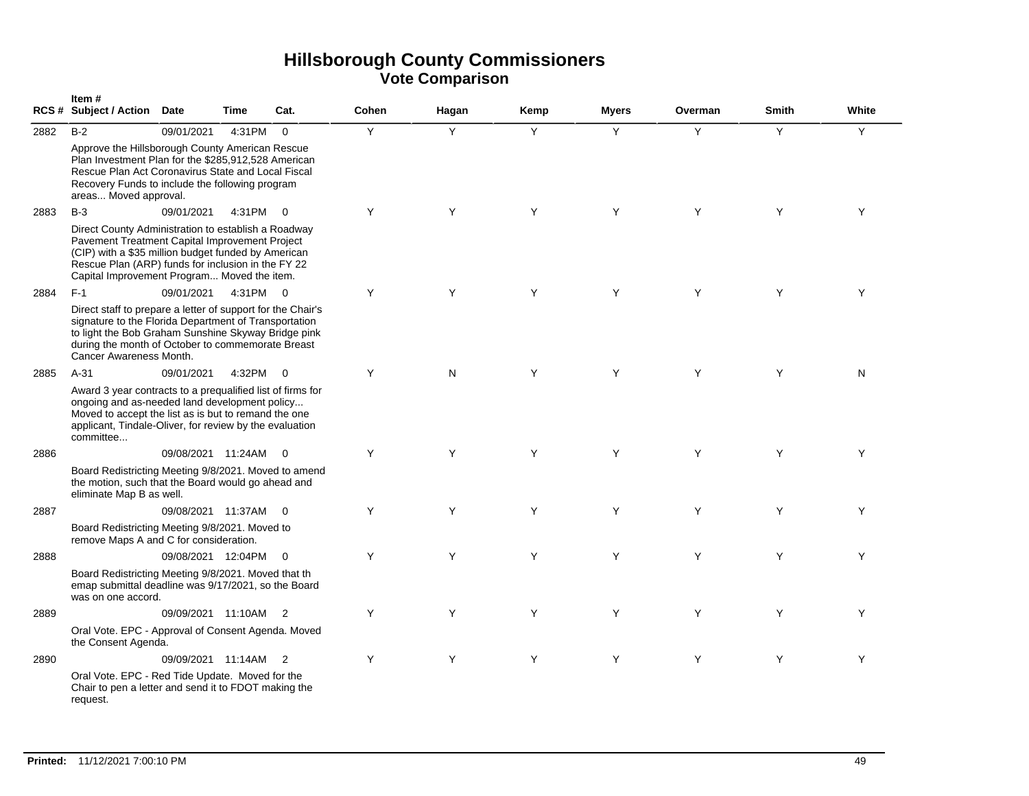|      | Item#<br>RCS # Subject / Action Date                                                                                                                                                                                                                              |                      | Time     | Cat.                       | Cohen | Hagan | Kemp | <b>Myers</b> | Overman | Smith | White |
|------|-------------------------------------------------------------------------------------------------------------------------------------------------------------------------------------------------------------------------------------------------------------------|----------------------|----------|----------------------------|-------|-------|------|--------------|---------|-------|-------|
| 2882 | $B-2$                                                                                                                                                                                                                                                             | 09/01/2021           | 4:31PM   | $\mathbf 0$                | Y     | Y     | Y    | Y            | Y       | Y     | Υ     |
|      | Approve the Hillsborough County American Rescue<br>Plan Investment Plan for the \$285,912,528 American<br>Rescue Plan Act Coronavirus State and Local Fiscal<br>Recovery Funds to include the following program<br>areas Moved approval.                          |                      |          |                            |       |       |      |              |         |       |       |
| 2883 | $B-3$                                                                                                                                                                                                                                                             | 09/01/2021           | 4:31PM   | $\overline{\mathbf{0}}$    | Υ     | Y     | Y    | Y            | Y       | Y     | Υ     |
|      | Direct County Administration to establish a Roadway<br>Pavement Treatment Capital Improvement Project<br>(CIP) with a \$35 million budget funded by American<br>Rescue Plan (ARP) funds for inclusion in the FY 22<br>Capital Improvement Program Moved the item. |                      |          |                            |       |       |      |              |         |       |       |
| 2884 | $F-1$                                                                                                                                                                                                                                                             | 09/01/2021           | 4:31PM 0 |                            | Y     | Y     | Y    | Y            | Y       | Y     | Y     |
|      | Direct staff to prepare a letter of support for the Chair's<br>signature to the Florida Department of Transportation<br>to light the Bob Graham Sunshine Skyway Bridge pink<br>during the month of October to commemorate Breast<br>Cancer Awareness Month.       |                      |          |                            |       |       |      |              |         |       |       |
| 2885 | $A-31$                                                                                                                                                                                                                                                            | 09/01/2021           | 4:32PM   | $\Omega$                   | Y     | N     | Y    | Y            | Y       | Y     | N     |
|      | Award 3 year contracts to a prequalified list of firms for<br>ongoing and as-needed land development policy<br>Moved to accept the list as is but to remand the one<br>applicant, Tindale-Oliver, for review by the evaluation<br>committee                       |                      |          |                            |       |       |      |              |         |       |       |
| 2886 |                                                                                                                                                                                                                                                                   | 09/08/2021 11:24AM   |          | $\Omega$                   | Y     | Y     | Y    | Y            | Y       | Y     | Y     |
|      | Board Redistricting Meeting 9/8/2021. Moved to amend<br>the motion, such that the Board would go ahead and<br>eliminate Map B as well.                                                                                                                            |                      |          |                            |       |       |      |              |         |       |       |
| 2887 |                                                                                                                                                                                                                                                                   | 09/08/2021 11:37AM   |          | $\overline{0}$             | Υ     | Y     | Y    | Y            | Y       | Y     | Y     |
|      | Board Redistricting Meeting 9/8/2021. Moved to<br>remove Maps A and C for consideration.                                                                                                                                                                          |                      |          |                            |       |       |      |              |         |       |       |
| 2888 |                                                                                                                                                                                                                                                                   | 09/08/2021 12:04PM   |          | $\overline{0}$             | Y     | Y     | Y    | Y            | Y       | Y     | Y     |
|      | Board Redistricting Meeting 9/8/2021. Moved that th<br>emap submittal deadline was 9/17/2021, so the Board<br>was on one accord.                                                                                                                                  |                      |          |                            |       |       |      |              |         |       |       |
| 2889 |                                                                                                                                                                                                                                                                   | 09/09/2021 11:10AM   |          | $\overline{\phantom{0}}^2$ | Y     | Y     | Y    | Y            | Y       | Y     | Y     |
|      | Oral Vote. EPC - Approval of Consent Agenda. Moved<br>the Consent Agenda.                                                                                                                                                                                         |                      |          |                            |       |       |      |              |         |       |       |
| 2890 |                                                                                                                                                                                                                                                                   | 09/09/2021 11:14AM 2 |          |                            | Y     | Y     | Y    | Y            | Y       | Y     | Y     |
|      | Oral Vote. EPC - Red Tide Update. Moved for the<br>Chair to pen a letter and send it to FDOT making the<br>request.                                                                                                                                               |                      |          |                            |       |       |      |              |         |       |       |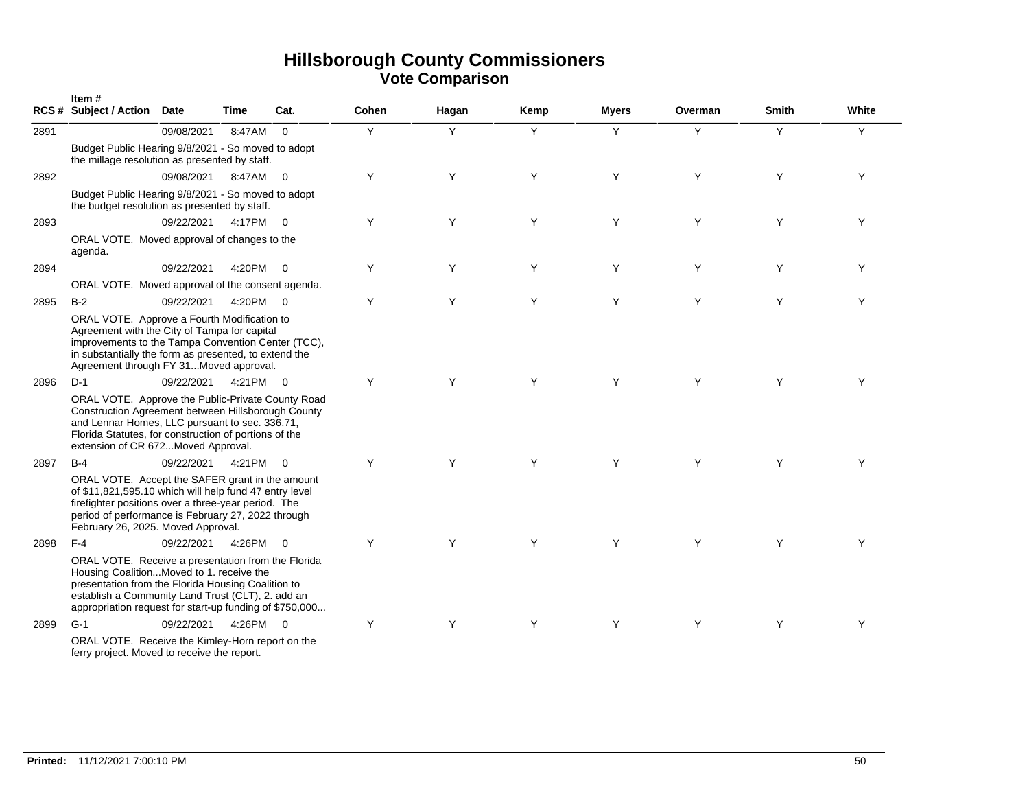|      | Item#<br><b>RCS # Subject / Action</b>                                                                                                                                                                                                                               | Date       | Time     | Cat.                    | Cohen | Hagan | Kemp | <b>Myers</b> | Overman | <b>Smith</b> | White |
|------|----------------------------------------------------------------------------------------------------------------------------------------------------------------------------------------------------------------------------------------------------------------------|------------|----------|-------------------------|-------|-------|------|--------------|---------|--------------|-------|
| 2891 |                                                                                                                                                                                                                                                                      | 09/08/2021 | 8:47AM   | $\Omega$                | Y     | Y     | Y    | Y            | Y       | Y            | Y     |
|      | Budget Public Hearing 9/8/2021 - So moved to adopt<br>the millage resolution as presented by staff.                                                                                                                                                                  |            |          |                         |       |       |      |              |         |              |       |
| 2892 |                                                                                                                                                                                                                                                                      | 09/08/2021 | 8:47AM 0 |                         | Y     | Y     | Y    | Y            | Y       | Y            | Y     |
|      | Budget Public Hearing 9/8/2021 - So moved to adopt<br>the budget resolution as presented by staff.                                                                                                                                                                   |            |          |                         |       |       |      |              |         |              |       |
| 2893 |                                                                                                                                                                                                                                                                      | 09/22/2021 | 4:17PM 0 |                         | Y     | Y     | Y    | Y            | Y       | Y            | Y     |
|      | ORAL VOTE. Moved approval of changes to the<br>agenda.                                                                                                                                                                                                               |            |          |                         |       |       |      |              |         |              |       |
| 2894 |                                                                                                                                                                                                                                                                      | 09/22/2021 | 4:20PM 0 |                         | Y     | Y     | Y    | Y            | Y       | Y            | Y     |
|      | ORAL VOTE. Moved approval of the consent agenda.                                                                                                                                                                                                                     |            |          |                         |       |       |      |              |         |              |       |
| 2895 | $B-2$                                                                                                                                                                                                                                                                | 09/22/2021 | 4:20PM 0 |                         | Y     | Y     | Y    | Y            | Y       | Y            | Y     |
|      | ORAL VOTE. Approve a Fourth Modification to<br>Agreement with the City of Tampa for capital<br>improvements to the Tampa Convention Center (TCC),<br>in substantially the form as presented, to extend the<br>Agreement through FY 31Moved approval.                 |            |          |                         |       |       |      |              |         |              |       |
| 2896 | $D-1$                                                                                                                                                                                                                                                                | 09/22/2021 | 4:21PM 0 |                         | Y     | Y     | Y    | Y            | Y       | Y            | Υ     |
|      | ORAL VOTE. Approve the Public-Private County Road<br>Construction Agreement between Hillsborough County<br>and Lennar Homes, LLC pursuant to sec. 336.71,<br>Florida Statutes, for construction of portions of the<br>extension of CR 672Moved Approval.             |            |          |                         |       |       |      |              |         |              |       |
| 2897 | $B-4$                                                                                                                                                                                                                                                                | 09/22/2021 | 4:21PM   | $\overline{0}$          | Y     | Y     | Y    | Y            | Y       | Y            | Y     |
|      | ORAL VOTE. Accept the SAFER grant in the amount<br>of \$11,821,595.10 which will help fund 47 entry level<br>firefighter positions over a three-year period. The<br>period of performance is February 27, 2022 through<br>February 26, 2025. Moved Approval.         |            |          |                         |       |       |      |              |         |              |       |
| 2898 | $F-4$                                                                                                                                                                                                                                                                | 09/22/2021 | 4:26PM   | $\overline{\mathbf{0}}$ | Y     | Y     | Y    | Υ            | Y       | Y            | Y     |
|      | ORAL VOTE. Receive a presentation from the Florida<br>Housing CoalitionMoved to 1. receive the<br>presentation from the Florida Housing Coalition to<br>establish a Community Land Trust (CLT), 2. add an<br>appropriation request for start-up funding of \$750,000 |            |          |                         |       |       |      |              |         |              |       |
| 2899 | $G-1$                                                                                                                                                                                                                                                                | 09/22/2021 | 4:26PM 0 |                         | Y     | Y     | Y    | Y            | Y       | Y            | Υ     |
|      | ORAL VOTE. Receive the Kimley-Horn report on the<br>ferry project. Moved to receive the report.                                                                                                                                                                      |            |          |                         |       |       |      |              |         |              |       |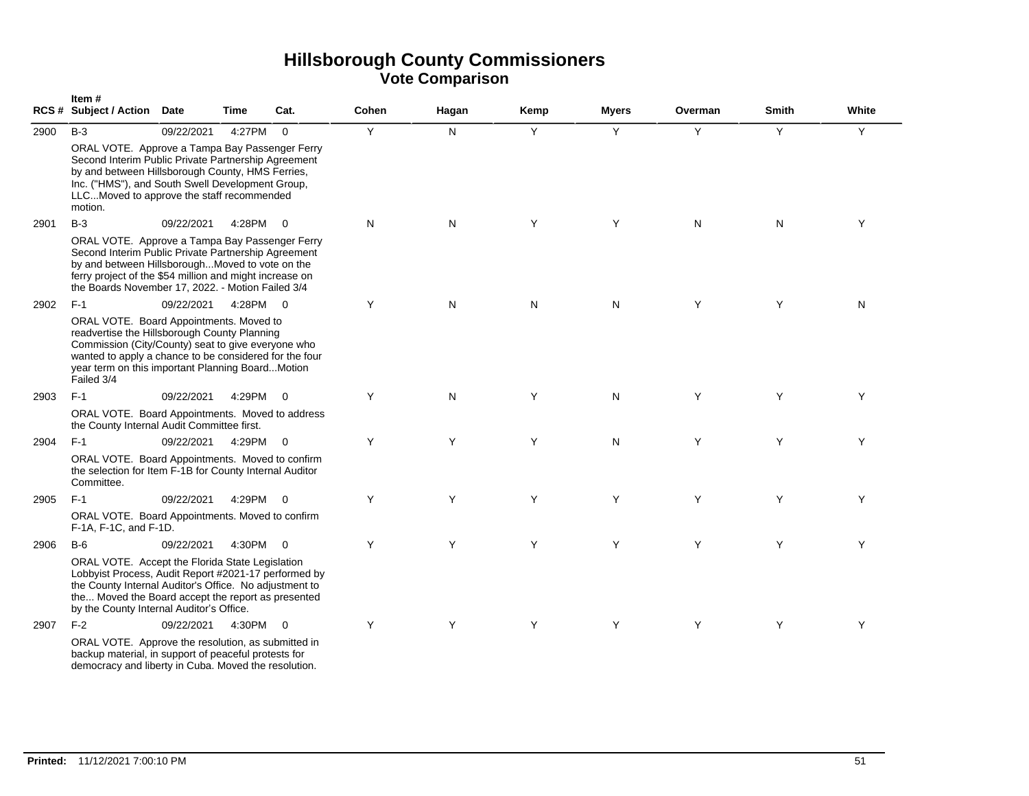|      | Item#<br>RCS # Subject / Action Date                                                                                                                                                                                                                                       |            | Time     | Cat.           | <b>Cohen</b> | Hagan | Kemp | <b>Myers</b> | Overman | <b>Smith</b> | White |
|------|----------------------------------------------------------------------------------------------------------------------------------------------------------------------------------------------------------------------------------------------------------------------------|------------|----------|----------------|--------------|-------|------|--------------|---------|--------------|-------|
| 2900 | $B-3$                                                                                                                                                                                                                                                                      | 09/22/2021 | 4:27PM   | $\Omega$       | Y            | N     | Y    | Y            | Y       | Y            | Y     |
|      | ORAL VOTE. Approve a Tampa Bay Passenger Ferry<br>Second Interim Public Private Partnership Agreement<br>by and between Hillsborough County, HMS Ferries,<br>Inc. ("HMS"), and South Swell Development Group,<br>LLCMoved to approve the staff recommended<br>motion.      |            |          |                |              |       |      |              |         |              |       |
| 2901 | $B-3$                                                                                                                                                                                                                                                                      | 09/22/2021 | 4:28PM   | $\overline{0}$ | N            | N     | Y    | Y            | N       | N            | Y     |
|      | ORAL VOTE. Approve a Tampa Bay Passenger Ferry<br>Second Interim Public Private Partnership Agreement<br>by and between HillsboroughMoved to vote on the<br>ferry project of the \$54 million and might increase on<br>the Boards November 17, 2022. - Motion Failed 3/4   |            |          |                |              |       |      |              |         |              |       |
| 2902 | $F-1$                                                                                                                                                                                                                                                                      | 09/22/2021 | 4:28PM 0 |                | Y            | N     | N    | N            | Y       | Y            | N     |
|      | ORAL VOTE. Board Appointments. Moved to<br>readvertise the Hillsborough County Planning<br>Commission (City/County) seat to give everyone who<br>wanted to apply a chance to be considered for the four<br>year term on this important Planning Board Motion<br>Failed 3/4 |            |          |                |              |       |      |              |         |              |       |
| 2903 | $F-1$                                                                                                                                                                                                                                                                      | 09/22/2021 | 4:29PM   | $\Omega$       | Y            | N     | Y    | N            | Y       | Y            | Y     |
|      | ORAL VOTE. Board Appointments. Moved to address<br>the County Internal Audit Committee first.                                                                                                                                                                              |            |          |                |              |       |      |              |         |              |       |
| 2904 | $F-1$                                                                                                                                                                                                                                                                      | 09/22/2021 | 4:29PM   | $\Omega$       | Y            | Y     | Y    | N            | Y       | Υ            | Y     |
|      | ORAL VOTE. Board Appointments. Moved to confirm<br>the selection for Item F-1B for County Internal Auditor<br>Committee.                                                                                                                                                   |            |          |                |              |       |      |              |         |              |       |
| 2905 | $F-1$                                                                                                                                                                                                                                                                      | 09/22/2021 | 4:29PM   | $\overline{0}$ | Υ            | Y     | Y    | Y            | Y       | Y            | Y     |
|      | ORAL VOTE. Board Appointments. Moved to confirm<br>F-1A, F-1C, and F-1D.                                                                                                                                                                                                   |            |          |                |              |       |      |              |         |              |       |
| 2906 | $B-6$                                                                                                                                                                                                                                                                      | 09/22/2021 | 4:30PM 0 |                | Y            | Y     | Y    | Y            | Y       | Y            | Y     |
|      | ORAL VOTE. Accept the Florida State Legislation<br>Lobbyist Process, Audit Report #2021-17 performed by<br>the County Internal Auditor's Office. No adjustment to<br>the Moved the Board accept the report as presented<br>by the County Internal Auditor's Office.        |            |          |                |              |       |      |              |         |              |       |
| 2907 | $F-2$                                                                                                                                                                                                                                                                      | 09/22/2021 | 4:30PM 0 |                | Y            | Y     | Y    | Y            | Y       | Y            | Y     |
|      | ORAL VOTE. Approve the resolution, as submitted in<br>backup material, in support of peaceful protests for<br>democracy and liberty in Cuba. Moved the resolution.                                                                                                         |            |          |                |              |       |      |              |         |              |       |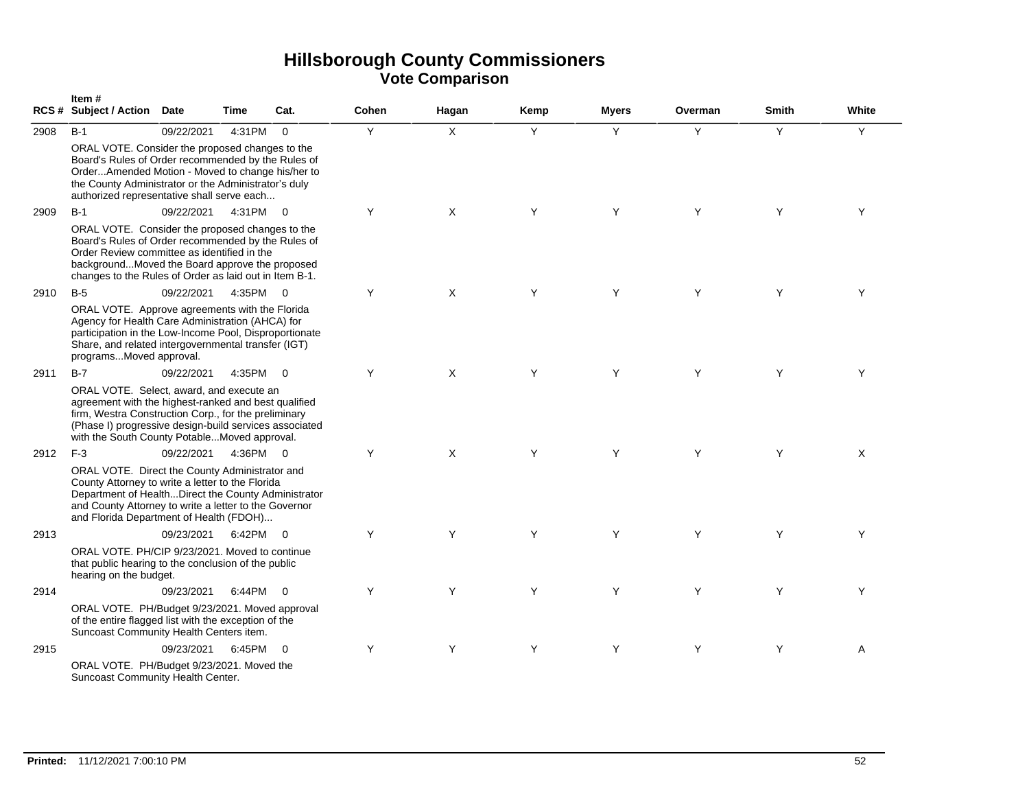|      | Item#<br>RCS # Subject / Action Date                                                                                                                                                                                                                               |            | Time     | Cat.           | <b>Cohen</b> | Hagan | Kemp | <b>Myers</b> | Overman | Smith | White |
|------|--------------------------------------------------------------------------------------------------------------------------------------------------------------------------------------------------------------------------------------------------------------------|------------|----------|----------------|--------------|-------|------|--------------|---------|-------|-------|
| 2908 | $B-1$                                                                                                                                                                                                                                                              | 09/22/2021 | 4:31PM   | $\overline{0}$ | Y            | X     | Y    | Y            | Y       | Y     | Y     |
|      | ORAL VOTE. Consider the proposed changes to the<br>Board's Rules of Order recommended by the Rules of<br>OrderAmended Motion - Moved to change his/her to<br>the County Administrator or the Administrator's duly<br>authorized representative shall serve each    |            |          |                |              |       |      |              |         |       |       |
| 2909 | $B-1$                                                                                                                                                                                                                                                              | 09/22/2021 | 4:31PM   | $\overline{0}$ | Y            | X     | Y    | Y            | Y       | Y     | Y     |
|      | ORAL VOTE. Consider the proposed changes to the<br>Board's Rules of Order recommended by the Rules of<br>Order Review committee as identified in the<br>backgroundMoved the Board approve the proposed<br>changes to the Rules of Order as laid out in Item B-1.   |            |          |                |              |       |      |              |         |       |       |
| 2910 | $B-5$                                                                                                                                                                                                                                                              | 09/22/2021 | 4:35PM   | $\overline{0}$ | Y            | X     | Y    | Y            | Y       | Y     | Y     |
|      | ORAL VOTE. Approve agreements with the Florida<br>Agency for Health Care Administration (AHCA) for<br>participation in the Low-Income Pool, Disproportionate<br>Share, and related intergovernmental transfer (IGT)<br>programsMoved approval.                     |            |          |                |              |       |      |              |         |       |       |
| 2911 | $B-7$                                                                                                                                                                                                                                                              | 09/22/2021 | 4:35PM   | $\overline{0}$ | Y            | X     | Y    | Y            | Y       | Y     | Y     |
|      | ORAL VOTE. Select, award, and execute an<br>agreement with the highest-ranked and best qualified<br>firm, Westra Construction Corp., for the preliminary<br>(Phase I) progressive design-build services associated<br>with the South County PotableMoved approval. |            |          |                |              |       |      |              |         |       |       |
| 2912 | $F-3$                                                                                                                                                                                                                                                              | 09/22/2021 | 4:36PM 0 |                | Y            | X     | Y    | Y            | Y       | Y     | X     |
|      | ORAL VOTE. Direct the County Administrator and<br>County Attorney to write a letter to the Florida<br>Department of HealthDirect the County Administrator<br>and County Attorney to write a letter to the Governor<br>and Florida Department of Health (FDOH)      |            |          |                |              |       |      |              |         |       |       |
| 2913 |                                                                                                                                                                                                                                                                    | 09/23/2021 | 6:42PM   | $\overline{0}$ | Y            | Y     | Y    | Y            | Y       | Y     | Y     |
|      | ORAL VOTE, PH/CIP 9/23/2021, Moved to continue<br>that public hearing to the conclusion of the public<br>hearing on the budget.                                                                                                                                    |            |          |                |              |       |      |              |         |       |       |
| 2914 |                                                                                                                                                                                                                                                                    | 09/23/2021 | 6:44PM   | $\overline{0}$ | Y            | Y     | Y    | Y            | Y       | Y     | Y     |
|      | ORAL VOTE. PH/Budget 9/23/2021. Moved approval<br>of the entire flagged list with the exception of the<br>Suncoast Community Health Centers item.                                                                                                                  |            |          |                |              |       |      |              |         |       |       |
| 2915 |                                                                                                                                                                                                                                                                    | 09/23/2021 | 6:45PM   | $\Omega$       | Y            | Y     | Y    | Y            | Y       | Y     | A     |
|      | ORAL VOTE. PH/Budget 9/23/2021. Moved the<br>Suncoast Community Health Center.                                                                                                                                                                                     |            |          |                |              |       |      |              |         |       |       |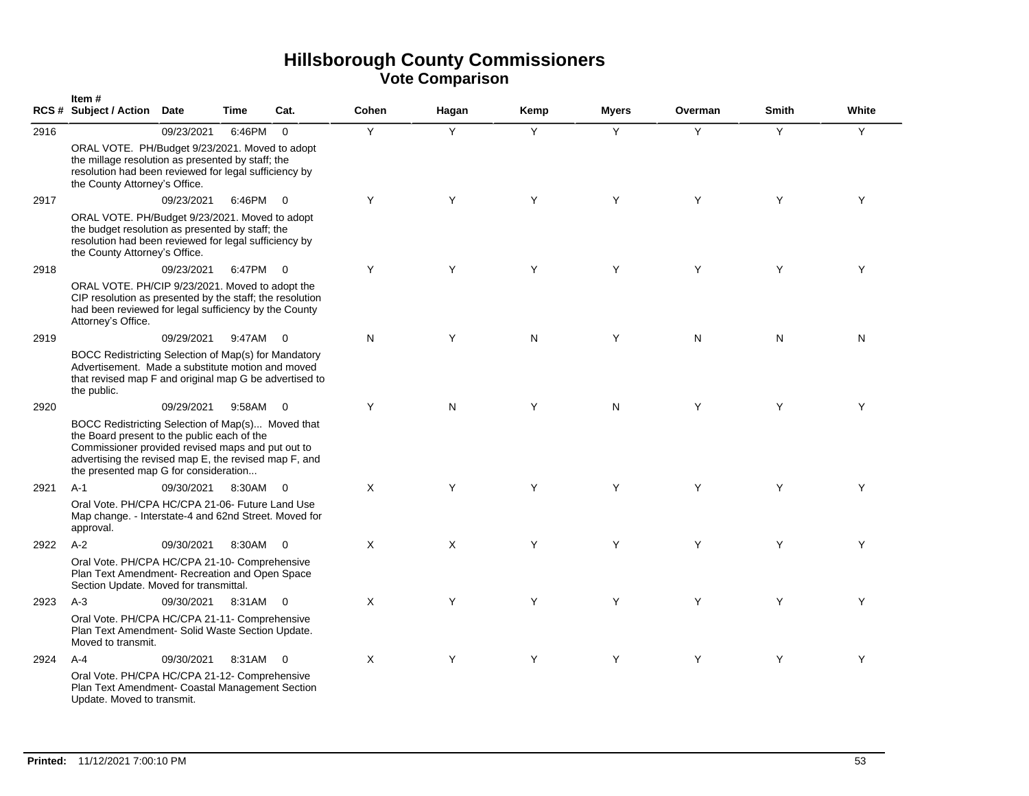|      | Item#<br><b>RCS # Subject / Action</b>                                                                                                                                                                                                                  | Date       | Time     | Cat.           | Cohen        | Hagan        | Kemp | <b>Myers</b> | Overman | <b>Smith</b> | White |
|------|---------------------------------------------------------------------------------------------------------------------------------------------------------------------------------------------------------------------------------------------------------|------------|----------|----------------|--------------|--------------|------|--------------|---------|--------------|-------|
| 2916 |                                                                                                                                                                                                                                                         | 09/23/2021 | 6:46PM   | $\Omega$       | Y            | Y            | Y    | Y            | Y       | Y            | Y     |
|      | ORAL VOTE. PH/Budget 9/23/2021. Moved to adopt<br>the millage resolution as presented by staff; the<br>resolution had been reviewed for legal sufficiency by<br>the County Attorney's Office.                                                           |            |          |                |              |              |      |              |         |              |       |
| 2917 |                                                                                                                                                                                                                                                         | 09/23/2021 | 6:46PM   | $\Omega$       | Y            | Y            | Y    | Y            | Y       | Y            | Y     |
|      | ORAL VOTE. PH/Budget 9/23/2021. Moved to adopt<br>the budget resolution as presented by staff; the<br>resolution had been reviewed for legal sufficiency by<br>the County Attorney's Office.                                                            |            |          |                |              |              |      |              |         |              |       |
| 2918 |                                                                                                                                                                                                                                                         | 09/23/2021 | 6:47PM   | $\Omega$       | Y            | Y            | Y    | Y            | Y       | Y            | Y     |
|      | ORAL VOTE. PH/CIP 9/23/2021. Moved to adopt the<br>CIP resolution as presented by the staff; the resolution<br>had been reviewed for legal sufficiency by the County<br>Attorney's Office.                                                              |            |          |                |              |              |      |              |         |              |       |
| 2919 |                                                                                                                                                                                                                                                         | 09/29/2021 | 9:47AM   | $\overline{0}$ | ${\sf N}$    | Y            | N    | Y            | N       | N            | N     |
|      | BOCC Redistricting Selection of Map(s) for Mandatory<br>Advertisement. Made a substitute motion and moved<br>that revised map F and original map G be advertised to<br>the public.                                                                      |            |          |                |              |              |      |              |         |              |       |
| 2920 |                                                                                                                                                                                                                                                         | 09/29/2021 | 9:58AM   | $\overline{0}$ | Y            | N            | Y    | N            | Y       | Y            | Y     |
|      | BOCC Redistricting Selection of Map(s) Moved that<br>the Board present to the public each of the<br>Commissioner provided revised maps and put out to<br>advertising the revised map E, the revised map F, and<br>the presented map G for consideration |            |          |                |              |              |      |              |         |              |       |
| 2921 | $A-1$                                                                                                                                                                                                                                                   | 09/30/2021 | 8:30AM   | $\overline{0}$ | $\mathsf{X}$ | Y            | Y    | Y            | Y       | Y            | Y     |
|      | Oral Vote. PH/CPA HC/CPA 21-06- Future Land Use<br>Map change. - Interstate-4 and 62nd Street. Moved for<br>approval.                                                                                                                                   |            |          |                |              |              |      |              |         |              |       |
| 2922 | $A-2$                                                                                                                                                                                                                                                   | 09/30/2021 | 8:30AM   | $\overline{0}$ | $\mathsf{X}$ | $\mathsf{X}$ | Y    | Y            | Y       | Y            | Y     |
|      | Oral Vote. PH/CPA HC/CPA 21-10- Comprehensive<br>Plan Text Amendment- Recreation and Open Space<br>Section Update. Moved for transmittal.                                                                                                               |            |          |                |              |              |      |              |         |              |       |
| 2923 | $A-3$                                                                                                                                                                                                                                                   | 09/30/2021 | 8:31AM   | $\overline{0}$ | $\mathsf{X}$ | Y            | Y    | Y            | Y       | Y            | Y     |
|      | Oral Vote. PH/CPA HC/CPA 21-11- Comprehensive<br>Plan Text Amendment- Solid Waste Section Update.<br>Moved to transmit.                                                                                                                                 |            |          |                |              |              |      |              |         |              |       |
| 2924 | $A-4$                                                                                                                                                                                                                                                   | 09/30/2021 | 8:31AM 0 |                | $\times$     | Y            | Y    | Y            | Y       | Y            | Y     |
|      | Oral Vote. PH/CPA HC/CPA 21-12- Comprehensive<br>Plan Text Amendment- Coastal Management Section<br>Update. Moved to transmit.                                                                                                                          |            |          |                |              |              |      |              |         |              |       |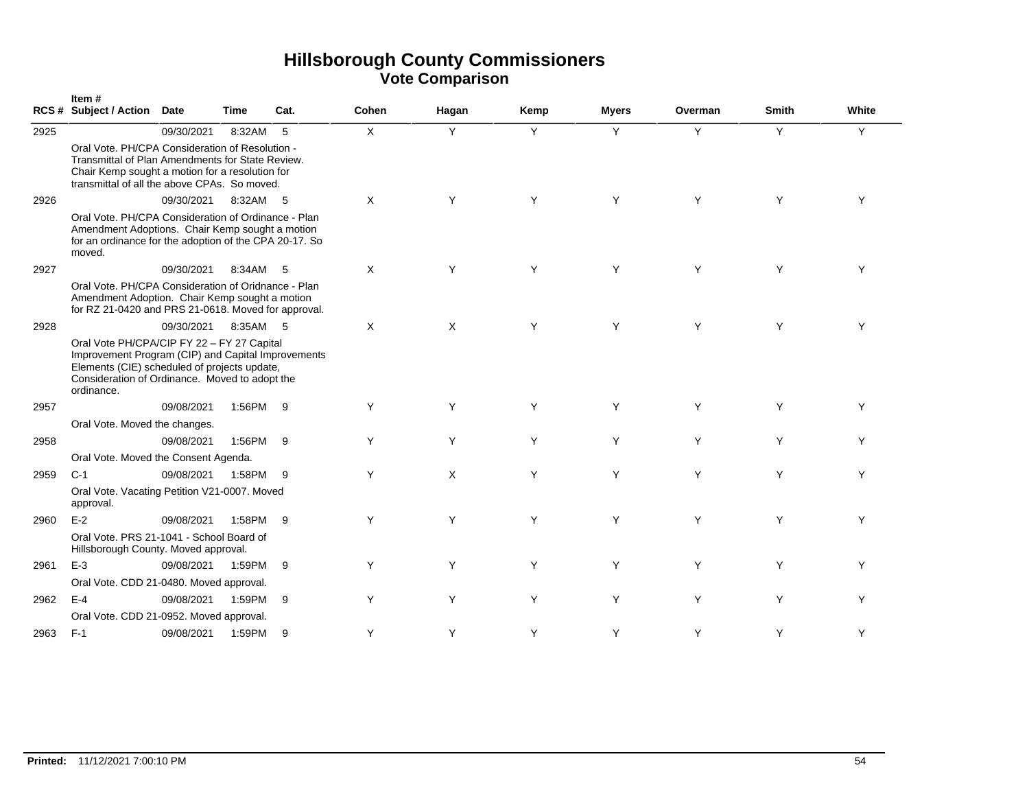|      | Item#<br>RCS # Subject / Action Date                                                                                                                                                                             |            | <b>Time</b> | Cat. | Cohen    | Hagan | Kemp | <b>Myers</b> | Overman | <b>Smith</b> | White |
|------|------------------------------------------------------------------------------------------------------------------------------------------------------------------------------------------------------------------|------------|-------------|------|----------|-------|------|--------------|---------|--------------|-------|
| 2925 |                                                                                                                                                                                                                  | 09/30/2021 | 8:32AM      | 5    | X.       | Y     | Y    | Y            | Y       | Y            | Y     |
|      | Oral Vote. PH/CPA Consideration of Resolution -<br>Transmittal of Plan Amendments for State Review.<br>Chair Kemp sought a motion for a resolution for<br>transmittal of all the above CPAs. So moved.           |            |             |      |          |       |      |              |         |              |       |
| 2926 |                                                                                                                                                                                                                  | 09/30/2021 | 8:32AM      | - 5  | X        | Y     | Y    | Y            | Y       | Y            | Υ     |
|      | Oral Vote. PH/CPA Consideration of Ordinance - Plan<br>Amendment Adoptions. Chair Kemp sought a motion<br>for an ordinance for the adoption of the CPA 20-17. So<br>moved.                                       |            |             |      |          |       |      |              |         |              |       |
| 2927 |                                                                                                                                                                                                                  | 09/30/2021 | 8:34AM      | -5   | X        | Υ     | Y    | Y            | Y       | Y            | Y     |
|      | Oral Vote, PH/CPA Consideration of Oridnance - Plan<br>Amendment Adoption. Chair Kemp sought a motion<br>for RZ 21-0420 and PRS 21-0618. Moved for approval.                                                     |            |             |      |          |       |      |              |         |              |       |
| 2928 |                                                                                                                                                                                                                  | 09/30/2021 | 8:35AM 5    |      | $\times$ | X     | Y    | Y            | Y       | Y            | Y     |
|      | Oral Vote PH/CPA/CIP FY 22 - FY 27 Capital<br>Improvement Program (CIP) and Capital Improvements<br>Elements (CIE) scheduled of projects update,<br>Consideration of Ordinance. Moved to adopt the<br>ordinance. |            |             |      |          |       |      |              |         |              |       |
| 2957 |                                                                                                                                                                                                                  | 09/08/2021 | 1:56PM      | -9   | Y        | Y     | Y    | Y            | Y       | Y            | Y     |
|      | Oral Vote. Moved the changes.                                                                                                                                                                                    |            |             |      |          |       |      |              |         |              |       |
| 2958 |                                                                                                                                                                                                                  | 09/08/2021 | 1:56PM      | 9    | Y        | Y     | Y    | Y            | Y       | Y            | Y     |
|      | Oral Vote. Moved the Consent Agenda.                                                                                                                                                                             |            |             |      |          |       |      |              |         |              |       |
| 2959 | $C-1$                                                                                                                                                                                                            | 09/08/2021 | 1:58PM      | 9    | Y        | X     | Y    | Y            | Y       | Y            | Y     |
|      | Oral Vote. Vacating Petition V21-0007. Moved<br>approval.                                                                                                                                                        |            |             |      |          |       |      |              |         |              |       |
| 2960 | $E-2$                                                                                                                                                                                                            | 09/08/2021 | 1:58PM      | -9   | Y        | Υ     | Y    | Y            | Y       | Y            | Y     |
|      | Oral Vote, PRS 21-1041 - School Board of<br>Hillsborough County. Moved approval.                                                                                                                                 |            |             |      |          |       |      |              |         |              |       |
| 2961 | $E-3$                                                                                                                                                                                                            | 09/08/2021 | 1:59PM      | 9    | Y        | Y     | Y    | Y            | Y       | Y            | Y     |
|      | Oral Vote. CDD 21-0480. Moved approval.                                                                                                                                                                          |            |             |      |          |       |      |              |         |              |       |
| 2962 | $E-4$                                                                                                                                                                                                            | 09/08/2021 | 1:59PM      | 9    | Y        | Y     | Y    | Y            | Y       | Y            | Y     |
|      | Oral Vote. CDD 21-0952. Moved approval.                                                                                                                                                                          |            |             |      |          |       |      |              |         |              |       |
| 2963 | $F-1$                                                                                                                                                                                                            | 09/08/2021 | 1:59PM      | 9    | Y        | Y     | Y    | Y            | Y       | Υ            | Y     |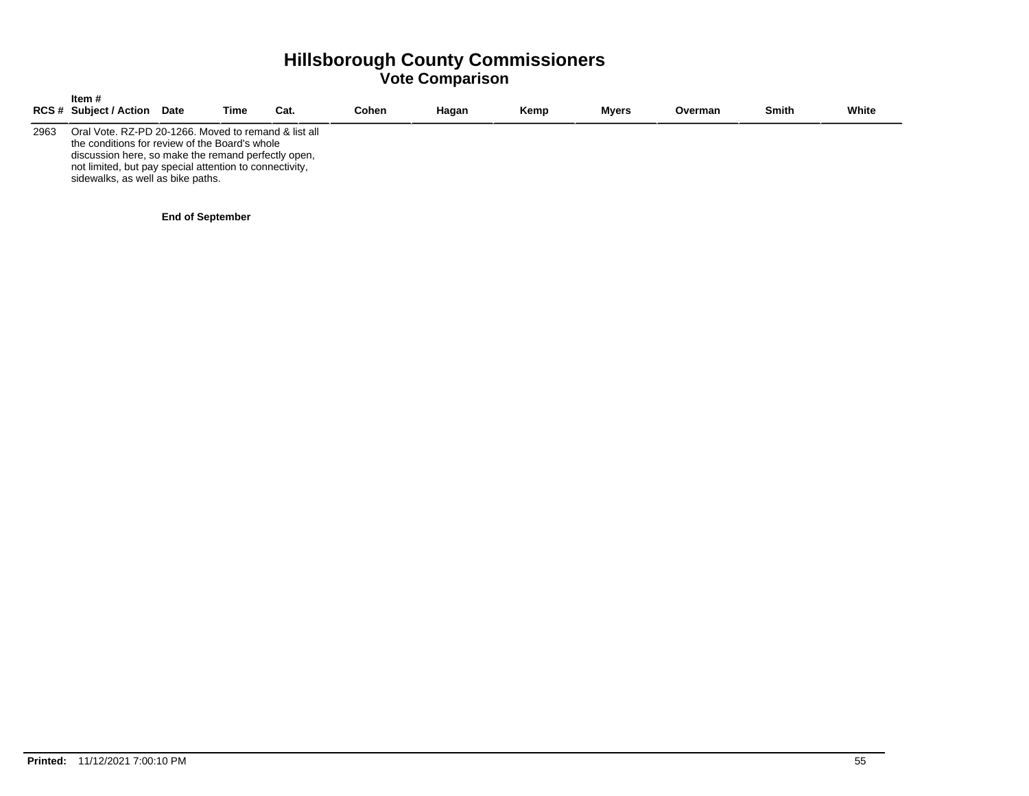|      | Item #<br><b>RCS # Subject / Action</b>                                                                                                                                                                                                                       | <b>Date</b> | Time | Cat. | Cohen | Hagan | Kemp | <b>Mvers</b> | Overman | <b>Smith</b> | White |
|------|---------------------------------------------------------------------------------------------------------------------------------------------------------------------------------------------------------------------------------------------------------------|-------------|------|------|-------|-------|------|--------------|---------|--------------|-------|
| 2963 | Oral Vote, RZ-PD 20-1266. Moved to remand & list all<br>the conditions for review of the Board's whole<br>discussion here, so make the remand perfectly open,<br>not limited, but pay special attention to connectivity,<br>sidewalks, as well as bike paths. |             |      |      |       |       |      |              |         |              |       |

#### **End of September**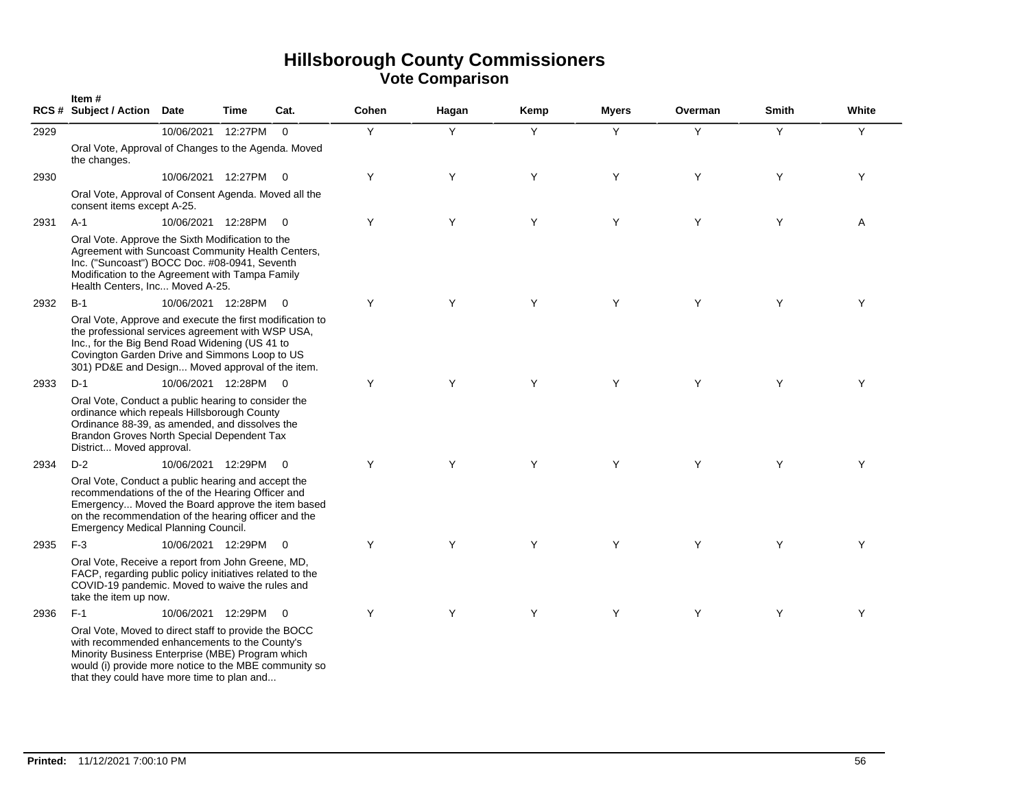|      | Item#<br>RCS # Subject / Action Date                                                                                                                                                                                                                                 |                      | <b>Time</b> | Cat.                    | Cohen | Hagan | Kemp | <b>Myers</b> | Overman | <b>Smith</b> | White |
|------|----------------------------------------------------------------------------------------------------------------------------------------------------------------------------------------------------------------------------------------------------------------------|----------------------|-------------|-------------------------|-------|-------|------|--------------|---------|--------------|-------|
| 2929 |                                                                                                                                                                                                                                                                      | 10/06/2021           | 12:27PM     | $\overline{0}$          | Y     | Y     | Y    | Y            | Y       | Y            | Y     |
|      | Oral Vote, Approval of Changes to the Agenda. Moved<br>the changes.                                                                                                                                                                                                  |                      |             |                         |       |       |      |              |         |              |       |
| 2930 |                                                                                                                                                                                                                                                                      | 10/06/2021 12:27PM   |             | $\overline{\mathbf{0}}$ | Y     | Y     | Y    | Y            | Y       | Y            | Y     |
|      | Oral Vote, Approval of Consent Agenda. Moved all the<br>consent items except A-25.                                                                                                                                                                                   |                      |             |                         |       |       |      |              |         |              |       |
| 2931 | $A-1$                                                                                                                                                                                                                                                                | 10/06/2021 12:28PM   |             | $\overline{\mathbf{0}}$ | Y     | Y     | Y    | Y            | Y       | Y            | Α     |
|      | Oral Vote. Approve the Sixth Modification to the<br>Agreement with Suncoast Community Health Centers,<br>Inc. ("Suncoast") BOCC Doc. #08-0941, Seventh<br>Modification to the Agreement with Tampa Family<br>Health Centers, Inc Moved A-25.                         |                      |             |                         |       |       |      |              |         |              |       |
| 2932 | $B-1$                                                                                                                                                                                                                                                                | 10/06/2021 12:28PM   |             | $\overline{0}$          | Y     | Υ     | Y    | Y            | Y       | Y            | Υ     |
|      | Oral Vote, Approve and execute the first modification to<br>the professional services agreement with WSP USA,<br>Inc., for the Big Bend Road Widening (US 41 to<br>Covington Garden Drive and Simmons Loop to US<br>301) PD&E and Design Moved approval of the item. |                      |             |                         |       |       |      |              |         |              |       |
| 2933 | $D-1$                                                                                                                                                                                                                                                                | 10/06/2021 12:28PM 0 |             |                         | Y     | Y     | Y    | Y            | Y       | Y            | Y     |
|      | Oral Vote, Conduct a public hearing to consider the<br>ordinance which repeals Hillsborough County<br>Ordinance 88-39, as amended, and dissolves the<br>Brandon Groves North Special Dependent Tax<br>District Moved approval.                                       |                      |             |                         |       |       |      |              |         |              |       |
| 2934 | $D-2$                                                                                                                                                                                                                                                                | 10/06/2021 12:29PM 0 |             |                         | Y     | Y     | Y    | Y            | Y       | Y            | Y     |
|      | Oral Vote, Conduct a public hearing and accept the<br>recommendations of the of the Hearing Officer and<br>Emergency Moved the Board approve the item based<br>on the recommendation of the hearing officer and the<br><b>Emergency Medical Planning Council.</b>    |                      |             |                         |       |       |      |              |         |              |       |
| 2935 | $F-3$                                                                                                                                                                                                                                                                | 10/06/2021 12:29PM   |             | $\overline{0}$          | Y     | Y     | Y    | Y            | Y       | Y            | Υ     |
|      | Oral Vote, Receive a report from John Greene, MD,<br>FACP, regarding public policy initiatives related to the<br>COVID-19 pandemic. Moved to waive the rules and<br>take the item up now.                                                                            |                      |             |                         |       |       |      |              |         |              |       |
| 2936 | $F-1$                                                                                                                                                                                                                                                                | 10/06/2021 12:29PM   |             | $\overline{0}$          | Y     | Υ     | Υ    | Υ            | Y       | Y            | Y     |
|      | Oral Vote, Moved to direct staff to provide the BOCC<br>with recommended enhancements to the County's<br>Minority Business Enterprise (MBE) Program which<br>would (i) provide more notice to the MBE community so<br>that they could have more time to plan and     |                      |             |                         |       |       |      |              |         |              |       |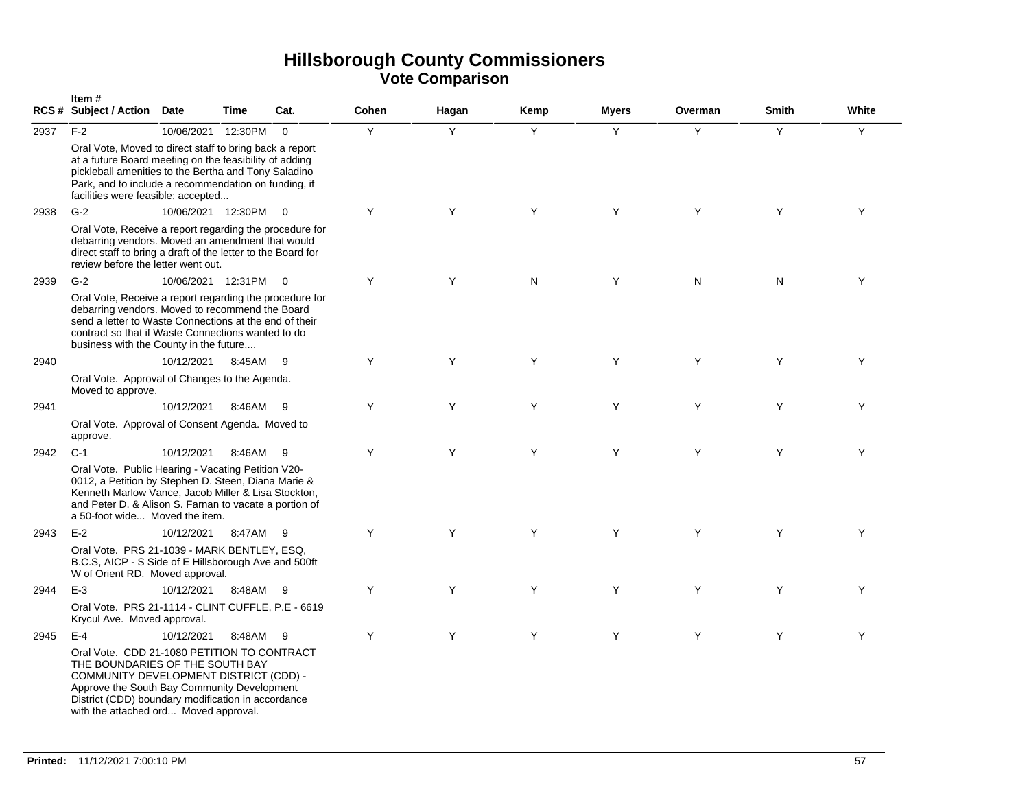|      | Item#<br>RCS # Subject / Action Date                                                                                                                                                                                                                                   |                      | Time     | Cat.     | Cohen | Hagan | Kemp | <b>Myers</b> | Overman | <b>Smith</b> | White |
|------|------------------------------------------------------------------------------------------------------------------------------------------------------------------------------------------------------------------------------------------------------------------------|----------------------|----------|----------|-------|-------|------|--------------|---------|--------------|-------|
| 2937 | $F-2$<br>Oral Vote, Moved to direct staff to bring back a report                                                                                                                                                                                                       | 10/06/2021           | 12:30PM  | $\Omega$ | Y     | Y     | Y    | Y            | Y       | Y            | Y     |
|      | at a future Board meeting on the feasibility of adding<br>pickleball amenities to the Bertha and Tony Saladino<br>Park, and to include a recommendation on funding, if<br>facilities were feasible; accepted                                                           |                      |          |          |       |       |      |              |         |              |       |
| 2938 | $G-2$                                                                                                                                                                                                                                                                  | 10/06/2021 12:30PM   |          | $\Omega$ | Y     | Y     | Y    | Y            | Y       | Y            | Y     |
|      | Oral Vote, Receive a report regarding the procedure for<br>debarring vendors. Moved an amendment that would<br>direct staff to bring a draft of the letter to the Board for<br>review before the letter went out.                                                      |                      |          |          |       |       |      |              |         |              |       |
| 2939 | $G-2$                                                                                                                                                                                                                                                                  | 10/06/2021 12:31PM 0 |          |          | Y     | Y     | N    | Y            | N       | N            | Y     |
|      | Oral Vote, Receive a report regarding the procedure for<br>debarring vendors. Moved to recommend the Board<br>send a letter to Waste Connections at the end of their<br>contract so that if Waste Connections wanted to do<br>business with the County in the future,  |                      |          |          |       |       |      |              |         |              |       |
| 2940 |                                                                                                                                                                                                                                                                        | 10/12/2021           | 8:45AM   | - 9      | Y     | Y     | Y    | Y            | Y       | Y            | Υ     |
|      | Oral Vote. Approval of Changes to the Agenda.<br>Moved to approve.                                                                                                                                                                                                     |                      |          |          |       |       |      |              |         |              |       |
| 2941 |                                                                                                                                                                                                                                                                        | 10/12/2021           | 8:46AM 9 |          | Y     | Y     | Y    | Y            | Y       | Y            | Y     |
|      | Oral Vote. Approval of Consent Agenda. Moved to<br>approve.                                                                                                                                                                                                            |                      |          |          |       |       |      |              |         |              |       |
| 2942 | $C-1$                                                                                                                                                                                                                                                                  | 10/12/2021           | 8:46AM   | - 9      | Y     | Y     | Y    | Y            | Y       | Y            | Y     |
|      | Oral Vote. Public Hearing - Vacating Petition V20-<br>0012, a Petition by Stephen D. Steen, Diana Marie &<br>Kenneth Marlow Vance, Jacob Miller & Lisa Stockton,<br>and Peter D. & Alison S. Farnan to vacate a portion of<br>a 50-foot wide Moved the item.           |                      |          |          |       |       |      |              |         |              |       |
| 2943 | $E-2$                                                                                                                                                                                                                                                                  | 10/12/2021           | 8:47AM   | - 9      | Y     | Y     | Y    | Y            | Y       | Y            | Y     |
|      | Oral Vote. PRS 21-1039 - MARK BENTLEY, ESQ.<br>B.C.S, AICP - S Side of E Hillsborough Ave and 500ft<br>W of Orient RD. Moved approval.                                                                                                                                 |                      |          |          |       |       |      |              |         |              |       |
| 2944 | $E-3$                                                                                                                                                                                                                                                                  | 10/12/2021           | 8:48AM 9 |          | Y     | Y     | Y    | Y            | Y       | Y            | Y     |
|      | Oral Vote. PRS 21-1114 - CLINT CUFFLE, P.E - 6619<br>Krycul Ave. Moved approval.                                                                                                                                                                                       |                      |          |          |       |       |      |              |         |              |       |
| 2945 | $E-4$                                                                                                                                                                                                                                                                  | 10/12/2021           | 8:48AM 9 |          | Y     | Y     | Y    | Y            | Y       | Y            | Y     |
|      | Oral Vote. CDD 21-1080 PETITION TO CONTRACT<br>THE BOUNDARIES OF THE SOUTH BAY<br>COMMUNITY DEVELOPMENT DISTRICT (CDD) -<br>Approve the South Bay Community Development<br>District (CDD) boundary modification in accordance<br>with the attached ord Moved approval. |                      |          |          |       |       |      |              |         |              |       |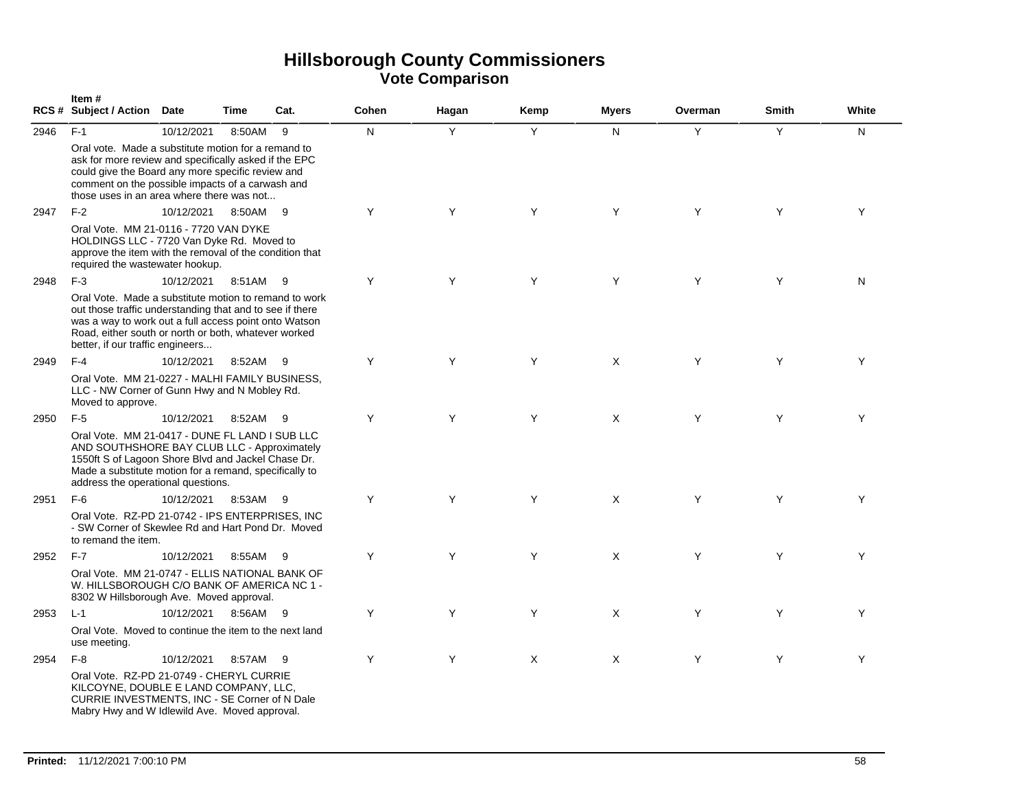|      | Item#<br><b>RCS # Subject / Action</b>                                                                                                                                                                                                                                 | <b>Date</b> | Time     | Cat. | Cohen | Hagan | Kemp     | <b>Myers</b> | Overman | <b>Smith</b> | White |
|------|------------------------------------------------------------------------------------------------------------------------------------------------------------------------------------------------------------------------------------------------------------------------|-------------|----------|------|-------|-------|----------|--------------|---------|--------------|-------|
| 2946 | $F-1$                                                                                                                                                                                                                                                                  | 10/12/2021  | 8:50AM   | 9    | N     | Y     | Y        | N            | Y       | Y            | N     |
|      | Oral vote. Made a substitute motion for a remand to<br>ask for more review and specifically asked if the EPC<br>could give the Board any more specific review and<br>comment on the possible impacts of a carwash and<br>those uses in an area where there was not     |             |          |      |       |       |          |              |         |              |       |
| 2947 | $F-2$                                                                                                                                                                                                                                                                  | 10/12/2021  | 8:50AM   | - 9  | Y     | Y     | Y        | Y            | Y       | Y            | Y     |
|      | Oral Vote. MM 21-0116 - 7720 VAN DYKE<br>HOLDINGS LLC - 7720 Van Dyke Rd. Moved to<br>approve the item with the removal of the condition that<br>required the wastewater hookup.                                                                                       |             |          |      |       |       |          |              |         |              |       |
| 2948 | $F-3$                                                                                                                                                                                                                                                                  | 10/12/2021  | 8:51AM   | - 9  | Y     | Υ     | Y        | Y            | Y       | Y            | N     |
|      | Oral Vote. Made a substitute motion to remand to work<br>out those traffic understanding that and to see if there<br>was a way to work out a full access point onto Watson<br>Road, either south or north or both, whatever worked<br>better, if our traffic engineers |             |          |      |       |       |          |              |         |              |       |
| 2949 | $F-4$                                                                                                                                                                                                                                                                  | 10/12/2021  | 8:52AM   | - 9  | Y     | Y     | Y        | $\times$     | Y       | Y            | Y     |
|      | Oral Vote. MM 21-0227 - MALHI FAMILY BUSINESS,<br>LLC - NW Corner of Gunn Hwy and N Mobley Rd.<br>Moved to approve.                                                                                                                                                    |             |          |      |       |       |          |              |         |              |       |
| 2950 | $F-5$                                                                                                                                                                                                                                                                  | 10/12/2021  | 8:52AM 9 |      | Y     | Y     | Y        | X            | Y       | Y            | Y     |
|      | Oral Vote. MM 21-0417 - DUNE FL LAND I SUB LLC<br>AND SOUTHSHORE BAY CLUB LLC - Approximately<br>1550ft S of Lagoon Shore Blvd and Jackel Chase Dr.<br>Made a substitute motion for a remand, specifically to<br>address the operational questions.                    |             |          |      |       |       |          |              |         |              |       |
| 2951 | $F-6$                                                                                                                                                                                                                                                                  | 10/12/2021  | 8:53AM 9 |      | Y     | Y     | Y        | $\times$     | Y       | Y            | Y     |
|      | Oral Vote. RZ-PD 21-0742 - IPS ENTERPRISES, INC<br>- SW Corner of Skewlee Rd and Hart Pond Dr. Moved<br>to remand the item.                                                                                                                                            |             |          |      |       |       |          |              |         |              |       |
| 2952 | $F-7$                                                                                                                                                                                                                                                                  | 10/12/2021  | 8:55AM   | -9   | Y     | Y     | Y        | X            | Y       | Y            | Y     |
|      | Oral Vote. MM 21-0747 - ELLIS NATIONAL BANK OF<br>W. HILLSBOROUGH C/O BANK OF AMERICA NC 1 -<br>8302 W Hillsborough Ave. Moved approval.                                                                                                                               |             |          |      |       |       |          |              |         |              |       |
| 2953 | $L-1$                                                                                                                                                                                                                                                                  | 10/12/2021  | 8:56AM   | - 9  | Y     | Y     | Y        | X            | Y       | Y            | Y     |
|      | Oral Vote. Moved to continue the item to the next land<br>use meeting.                                                                                                                                                                                                 |             |          |      |       |       |          |              |         |              |       |
| 2954 | $F-8$                                                                                                                                                                                                                                                                  | 10/12/2021  | 8:57AM 9 |      | Y     | Y     | $\times$ | $\times$     | Y       | Y            | Y     |
|      | Oral Vote. RZ-PD 21-0749 - CHERYL CURRIE<br>KILCOYNE, DOUBLE E LAND COMPANY, LLC,<br>CURRIE INVESTMENTS, INC - SE Corner of N Dale<br>Mabry Hwy and W Idlewild Ave. Moved approval.                                                                                    |             |          |      |       |       |          |              |         |              |       |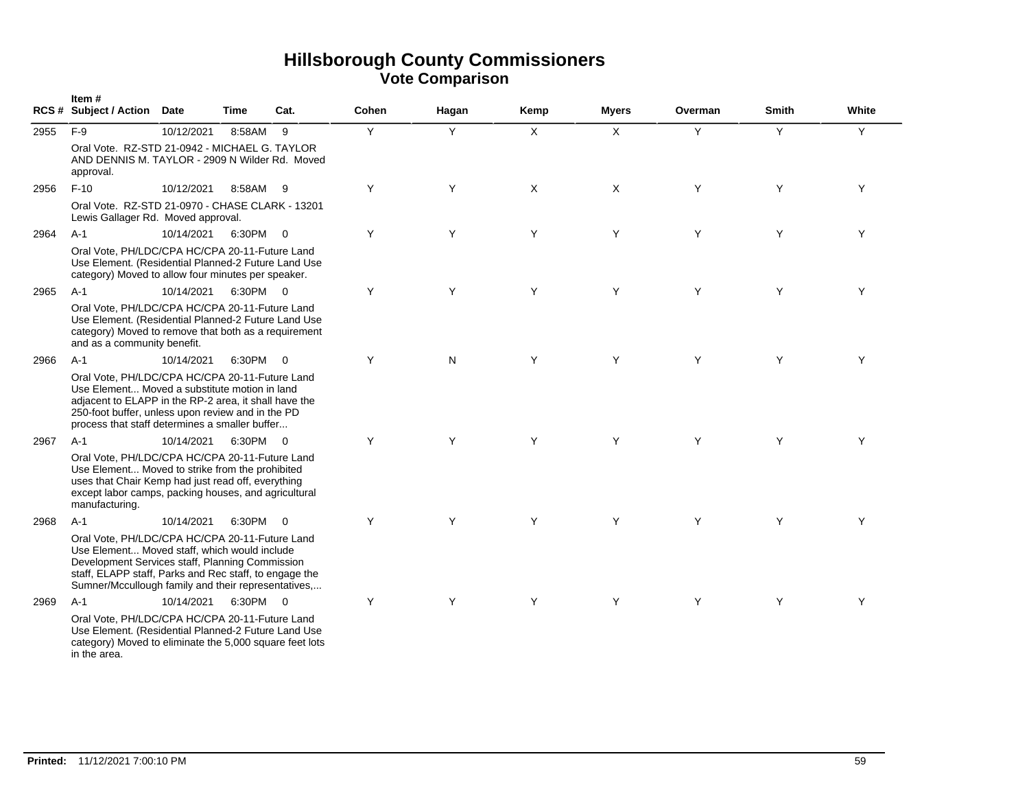|      | Item#<br><b>RCS # Subject / Action</b>                                                                                                                                                                                                                             | <b>Date</b> | Time     | Cat.                     | Cohen | Hagan | Kemp | <b>Myers</b> | Overman | <b>Smith</b> | White |
|------|--------------------------------------------------------------------------------------------------------------------------------------------------------------------------------------------------------------------------------------------------------------------|-------------|----------|--------------------------|-------|-------|------|--------------|---------|--------------|-------|
| 2955 | $F-9$                                                                                                                                                                                                                                                              | 10/12/2021  | 8:58AM   | 9                        | Y     | Y     | X    | X            | Y       | Y            | Y     |
|      | Oral Vote. RZ-STD 21-0942 - MICHAEL G. TAYLOR<br>AND DENNIS M. TAYLOR - 2909 N Wilder Rd. Moved<br>approval.                                                                                                                                                       |             |          |                          |       |       |      |              |         |              |       |
| 2956 | $F-10$                                                                                                                                                                                                                                                             | 10/12/2021  | 8:58AM 9 |                          | Y     | Y     | X    | X            | Y       | Y            | Y     |
|      | Oral Vote. RZ-STD 21-0970 - CHASE CLARK - 13201<br>Lewis Gallager Rd. Moved approval.                                                                                                                                                                              |             |          |                          |       |       |      |              |         |              |       |
| 2964 | $A-1$                                                                                                                                                                                                                                                              | 10/14/2021  | 6:30PM 0 |                          | Y     | Y     | Y    | Y            | Y       | Y            | Y     |
|      | Oral Vote, PH/LDC/CPA HC/CPA 20-11-Future Land<br>Use Element. (Residential Planned-2 Future Land Use<br>category) Moved to allow four minutes per speaker.                                                                                                        |             |          |                          |       |       |      |              |         |              |       |
| 2965 | $A-1$                                                                                                                                                                                                                                                              | 10/14/2021  | 6:30PM 0 |                          | Y     | Y     | Y    | Y            | Y       | Y            | Y     |
|      | Oral Vote, PH/LDC/CPA HC/CPA 20-11-Future Land<br>Use Element. (Residential Planned-2 Future Land Use<br>category) Moved to remove that both as a requirement<br>and as a community benefit.                                                                       |             |          |                          |       |       |      |              |         |              |       |
| 2966 | $A-1$                                                                                                                                                                                                                                                              | 10/14/2021  | 6:30PM 0 |                          | Y     | N     | Y    | Y            | Y       | Y            | Y     |
|      | Oral Vote, PH/LDC/CPA HC/CPA 20-11-Future Land<br>Use Element Moved a substitute motion in land<br>adjacent to ELAPP in the RP-2 area, it shall have the<br>250-foot buffer, unless upon review and in the PD<br>process that staff determines a smaller buffer    |             |          |                          |       |       |      |              |         |              |       |
| 2967 | $A-1$                                                                                                                                                                                                                                                              | 10/14/2021  | 6:30PM   | $\overline{\phantom{0}}$ | Y     | Y     | Y    | Y            | Y       | Y            | Y     |
|      | Oral Vote, PH/LDC/CPA HC/CPA 20-11-Future Land<br>Use Element Moved to strike from the prohibited<br>uses that Chair Kemp had just read off, everything<br>except labor camps, packing houses, and agricultural<br>manufacturing.                                  |             |          |                          |       |       |      |              |         |              |       |
| 2968 | $A-1$                                                                                                                                                                                                                                                              | 10/14/2021  | 6:30PM 0 |                          | Y     | Y     | Y    | Y            | Y       | Y            | Y     |
|      | Oral Vote, PH/LDC/CPA HC/CPA 20-11-Future Land<br>Use Element Moved staff, which would include<br>Development Services staff, Planning Commission<br>staff, ELAPP staff, Parks and Rec staff, to engage the<br>Sumner/Mccullough family and their representatives, |             |          |                          |       |       |      |              |         |              |       |
| 2969 | $A-1$                                                                                                                                                                                                                                                              | 10/14/2021  | 6:30PM 0 |                          | Y     | Y     | Y    | Y            | Y       | Y            | Υ     |
|      | Oral Vote, PH/LDC/CPA HC/CPA 20-11-Future Land<br>Use Element. (Residential Planned-2 Future Land Use<br>category) Moved to eliminate the 5,000 square feet lots<br>in the area.                                                                                   |             |          |                          |       |       |      |              |         |              |       |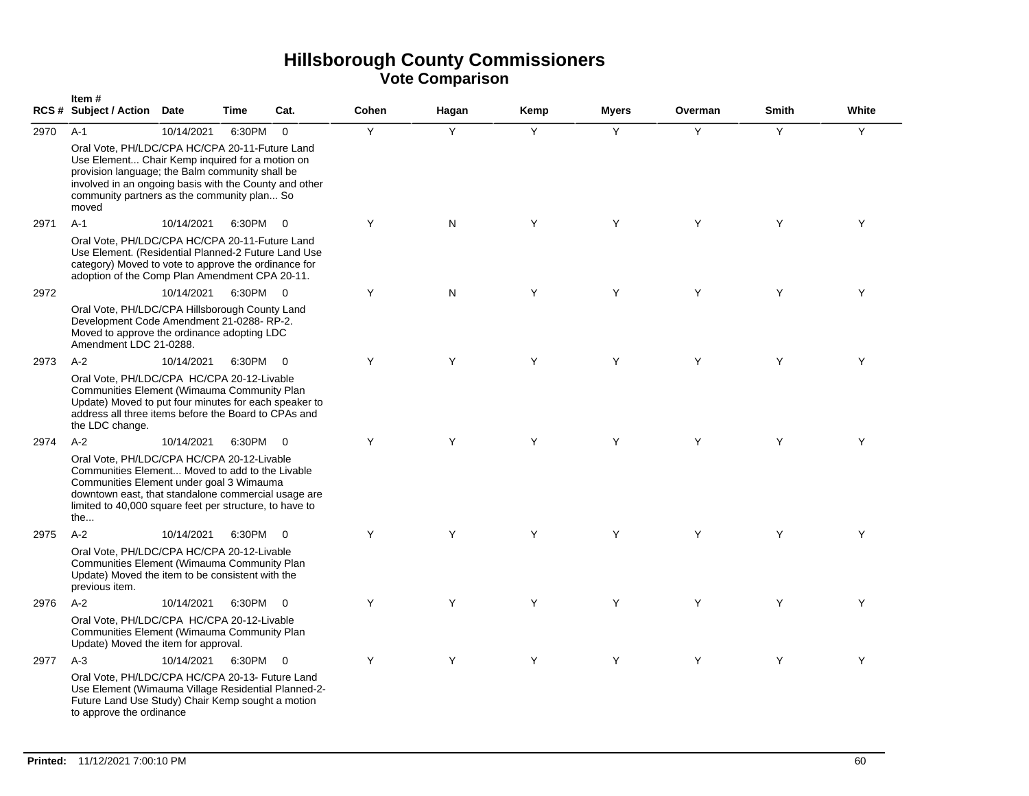|      | Item#<br><b>RCS # Subject / Action</b>                                                                                                                                                                                                                                          | <b>Date</b> | <b>Time</b> | Cat.           | Cohen | Hagan | Kemp | <b>Myers</b> | Overman | <b>Smith</b> | White |
|------|---------------------------------------------------------------------------------------------------------------------------------------------------------------------------------------------------------------------------------------------------------------------------------|-------------|-------------|----------------|-------|-------|------|--------------|---------|--------------|-------|
| 2970 | $A-1$<br>Oral Vote, PH/LDC/CPA HC/CPA 20-11-Future Land<br>Use Element Chair Kemp inquired for a motion on<br>provision language; the Balm community shall be<br>involved in an ongoing basis with the County and other<br>community partners as the community plan So<br>moved | 10/14/2021  | 6:30PM      | $\Omega$       | Y     | Y     | Y    | Y            | Y       | Y            | Y     |
| 2971 | $A-1$<br>Oral Vote, PH/LDC/CPA HC/CPA 20-11-Future Land<br>Use Element. (Residential Planned-2 Future Land Use<br>category) Moved to vote to approve the ordinance for<br>adoption of the Comp Plan Amendment CPA 20-11.                                                        | 10/14/2021  | 6:30PM      | $\overline{0}$ | Y     | N     | Y    | Y            | Y       | Y            | Y     |
| 2972 | Oral Vote, PH/LDC/CPA Hillsborough County Land<br>Development Code Amendment 21-0288-RP-2.<br>Moved to approve the ordinance adopting LDC<br>Amendment LDC 21-0288.                                                                                                             | 10/14/2021  | 6:30PM 0    |                | Y     | N     | Y    | Y            | Y       | Y            | Y     |
| 2973 | $A-2$<br>Oral Vote, PH/LDC/CPA HC/CPA 20-12-Livable<br>Communities Element (Wimauma Community Plan<br>Update) Moved to put four minutes for each speaker to<br>address all three items before the Board to CPAs and<br>the LDC change.                                          | 10/14/2021  | 6:30PM      | $\overline{0}$ | Y     | Y     | Y    | Y            | Y       | Y            | Y     |
| 2974 | $A-2$<br>Oral Vote, PH/LDC/CPA HC/CPA 20-12-Livable<br>Communities Element Moved to add to the Livable<br>Communities Element under goal 3 Wimauma<br>downtown east, that standalone commercial usage are<br>limited to 40,000 square feet per structure, to have to<br>the     | 10/14/2021  | 6:30PM      | $\Omega$       | Y     | Y     | Y    | Y            | Y       | Y            | Y     |
| 2975 | $A-2$<br>Oral Vote, PH/LDC/CPA HC/CPA 20-12-Livable<br>Communities Element (Wimauma Community Plan<br>Update) Moved the item to be consistent with the<br>previous item.                                                                                                        | 10/14/2021  | 6:30PM      | $\overline{0}$ | Y     | Y     | Y    | Y            | Y       | Y            | Y     |
| 2976 | $A-2$<br>Oral Vote, PH/LDC/CPA HC/CPA 20-12-Livable<br>Communities Element (Wimauma Community Plan<br>Update) Moved the item for approval.                                                                                                                                      | 10/14/2021  | 6:30PM      | $\overline{0}$ | Y     | Y     | Y    | Y            | Y       | Y            | Y     |
| 2977 | $A-3$<br>Oral Vote, PH/LDC/CPA HC/CPA 20-13- Future Land<br>Use Element (Wimauma Village Residential Planned-2-<br>Future Land Use Study) Chair Kemp sought a motion<br>to approve the ordinance                                                                                | 10/14/2021  | 6:30PM 0    |                | Y     | Y     | Y    | Y            | Y       | Y            | Y     |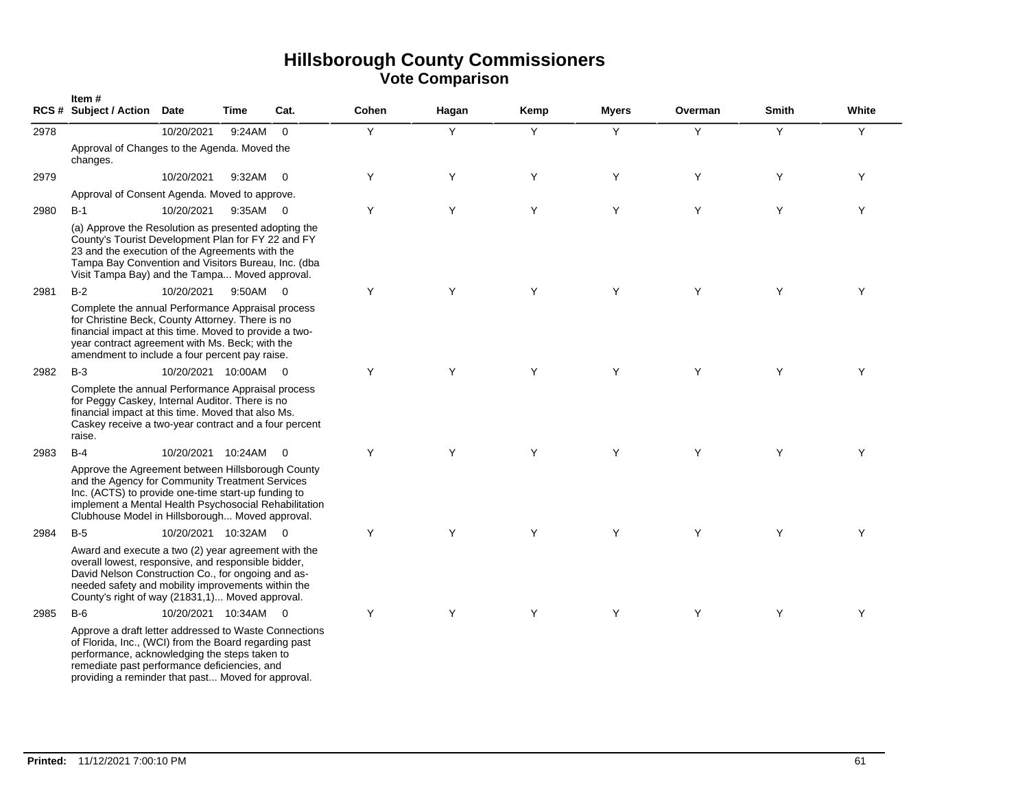|      | Item#<br><b>RCS # Subject / Action</b>                                                                                                                                                                                                                                    | Date                 | Time   | Cat.                     | Cohen | Hagan | Kemp | <b>Myers</b> | Overman | <b>Smith</b> | White |
|------|---------------------------------------------------------------------------------------------------------------------------------------------------------------------------------------------------------------------------------------------------------------------------|----------------------|--------|--------------------------|-------|-------|------|--------------|---------|--------------|-------|
| 2978 |                                                                                                                                                                                                                                                                           | 10/20/2021           | 9:24AM | $\mathbf 0$              | Y     | Y     | Y    | Y            | Y       | Y            | Y     |
|      | Approval of Changes to the Agenda. Moved the<br>changes.                                                                                                                                                                                                                  |                      |        |                          |       |       |      |              |         |              |       |
| 2979 |                                                                                                                                                                                                                                                                           | 10/20/2021           | 9:32AM | $\overline{\mathbf{0}}$  | Y     | Y     | Y    | Y            | Y       | Y            | Y     |
|      | Approval of Consent Agenda. Moved to approve.                                                                                                                                                                                                                             |                      |        |                          |       |       |      |              |         |              |       |
| 2980 | $B-1$                                                                                                                                                                                                                                                                     | 10/20/2021           | 9:35AM | $\overline{0}$           | Y     | Y     | Y    | Y            | Y       | Y            | Y     |
|      | (a) Approve the Resolution as presented adopting the<br>County's Tourist Development Plan for FY 22 and FY<br>23 and the execution of the Agreements with the<br>Tampa Bay Convention and Visitors Bureau, Inc. (dba<br>Visit Tampa Bay) and the Tampa Moved approval.    |                      |        |                          |       |       |      |              |         |              |       |
| 2981 | $B-2$                                                                                                                                                                                                                                                                     | 10/20/2021           | 9:50AM | $\overline{0}$           | Y     | Y     | Y    | Y            | Y       | Y            | Y     |
|      | Complete the annual Performance Appraisal process<br>for Christine Beck, County Attorney. There is no<br>financial impact at this time. Moved to provide a two-<br>year contract agreement with Ms. Beck; with the<br>amendment to include a four percent pay raise.      |                      |        |                          |       |       |      |              |         |              |       |
| 2982 | $B-3$                                                                                                                                                                                                                                                                     | 10/20/2021 10:00AM 0 |        |                          | Y     | Y     | Y    | Y            | Y       | Y            | Y     |
|      | Complete the annual Performance Appraisal process<br>for Peggy Caskey, Internal Auditor. There is no<br>financial impact at this time. Moved that also Ms.<br>Caskey receive a two-year contract and a four percent<br>raise.                                             |                      |        |                          |       |       |      |              |         |              |       |
| 2983 | $B-4$                                                                                                                                                                                                                                                                     | 10/20/2021 10:24AM   |        | $\overline{0}$           | Y     | Y     | Y    | Y            | Y       | Y            | Υ     |
|      | Approve the Agreement between Hillsborough County<br>and the Agency for Community Treatment Services<br>Inc. (ACTS) to provide one-time start-up funding to<br>implement a Mental Health Psychosocial Rehabilitation<br>Clubhouse Model in Hillsborough Moved approval.   |                      |        |                          |       |       |      |              |         |              |       |
| 2984 | $B-5$                                                                                                                                                                                                                                                                     | 10/20/2021 10:32AM   |        | $\overline{\phantom{0}}$ | Y     | Y     | Y    | Y            | Y       | Y            | Y     |
|      | Award and execute a two (2) year agreement with the<br>overall lowest, responsive, and responsible bidder,<br>David Nelson Construction Co., for ongoing and as-<br>needed safety and mobility improvements within the<br>County's right of way (21831,1) Moved approval. |                      |        |                          |       |       |      |              |         |              |       |
| 2985 | $B-6$                                                                                                                                                                                                                                                                     | 10/20/2021 10:34AM   |        | $\overline{0}$           | Y     | Y     | Y    | Y            | Y       | Y            | Υ     |
|      | Approve a draft letter addressed to Waste Connections<br>of Florida, Inc., (WCI) from the Board regarding past<br>performance, acknowledging the steps taken to<br>remediate past performance deficiencies, and<br>providing a reminder that past Moved for approval.     |                      |        |                          |       |       |      |              |         |              |       |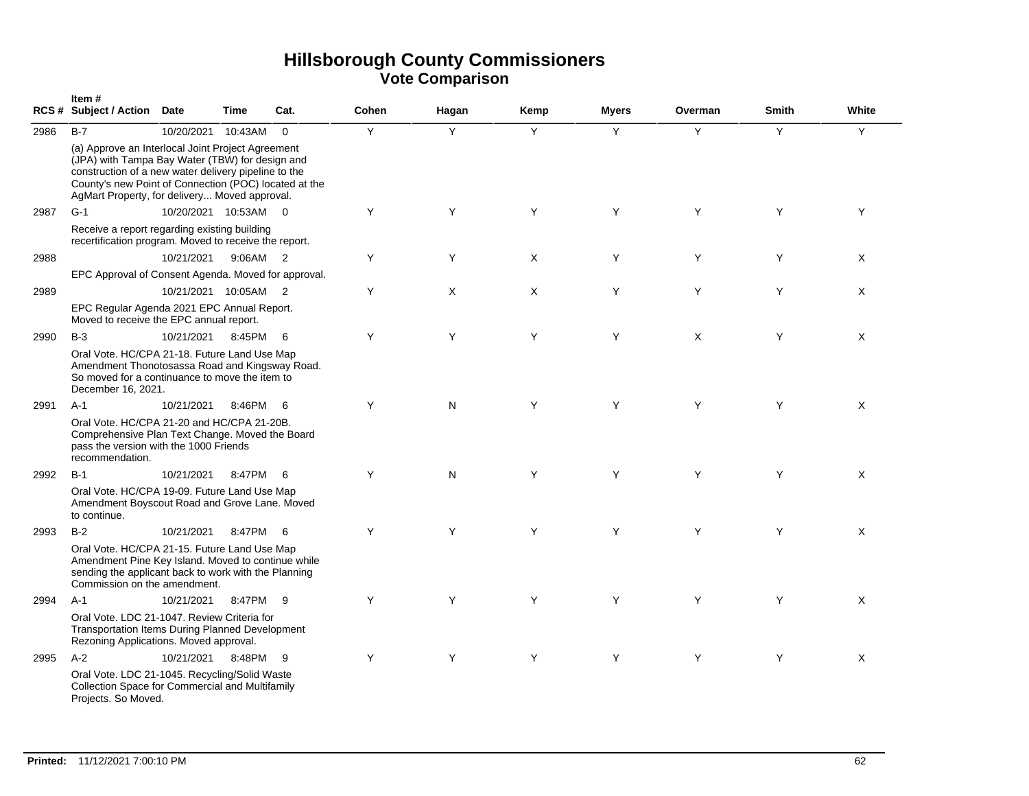|                                                                                                                                                 | Item#<br>RCS # Subject / Action Date                                                                                                                                                                                                                                   |                      | Time     | Cat.                       | Cohen | Hagan | Kemp | <b>Myers</b> | Overman | <b>Smith</b> | White |
|-------------------------------------------------------------------------------------------------------------------------------------------------|------------------------------------------------------------------------------------------------------------------------------------------------------------------------------------------------------------------------------------------------------------------------|----------------------|----------|----------------------------|-------|-------|------|--------------|---------|--------------|-------|
| 2986                                                                                                                                            | $B-7$                                                                                                                                                                                                                                                                  | 10/20/2021           | 10:43AM  | $\overline{0}$             | Y     | Y     | Y    | Y            | Y       | Y            | Y     |
|                                                                                                                                                 | (a) Approve an Interlocal Joint Project Agreement<br>(JPA) with Tampa Bay Water (TBW) for design and<br>construction of a new water delivery pipeline to the<br>County's new Point of Connection (POC) located at the<br>AgMart Property, for delivery Moved approval. |                      |          |                            |       |       |      |              |         |              |       |
| 2987                                                                                                                                            | $G-1$                                                                                                                                                                                                                                                                  | 10/20/2021 10:53AM 0 |          |                            | Y     | Y     | Y    | Y            | Y       | Y            | Y     |
|                                                                                                                                                 | Receive a report regarding existing building<br>recertification program. Moved to receive the report.                                                                                                                                                                  |                      |          |                            |       |       |      |              |         |              |       |
| 2988                                                                                                                                            |                                                                                                                                                                                                                                                                        | 10/21/2021           | 9:06AM 2 |                            | Y     | Y     | X    | Y            | Y       | Y            | X     |
|                                                                                                                                                 | EPC Approval of Consent Agenda. Moved for approval.                                                                                                                                                                                                                    |                      |          |                            |       |       |      |              |         |              |       |
| 2989                                                                                                                                            |                                                                                                                                                                                                                                                                        | 10/21/2021 10:05AM   |          | $\overline{\phantom{0}}^2$ | Υ     | X     | X    | Υ            | Y       | Y            | X     |
|                                                                                                                                                 | EPC Regular Agenda 2021 EPC Annual Report.<br>Moved to receive the EPC annual report.                                                                                                                                                                                  |                      |          |                            |       |       |      |              |         |              |       |
| 2990                                                                                                                                            | $B-3$                                                                                                                                                                                                                                                                  | 10/21/2021           | 8:45PM   | - 6                        | Y     | Y     | Y    | Y            | X       | Y            | Χ     |
|                                                                                                                                                 | Oral Vote. HC/CPA 21-18. Future Land Use Map<br>Amendment Thonotosassa Road and Kingsway Road.<br>So moved for a continuance to move the item to<br>December 16, 2021.                                                                                                 |                      |          |                            |       |       |      |              |         |              |       |
| 2991                                                                                                                                            | $A-1$                                                                                                                                                                                                                                                                  | 10/21/2021           | 8:46PM   | 6                          | Y     | N     | Y    | Y            | Y       | Y            | X     |
|                                                                                                                                                 | Oral Vote. HC/CPA 21-20 and HC/CPA 21-20B.<br>Comprehensive Plan Text Change. Moved the Board<br>pass the version with the 1000 Friends<br>recommendation.                                                                                                             |                      |          |                            |       |       |      |              |         |              |       |
| 2992                                                                                                                                            | $B-1$                                                                                                                                                                                                                                                                  | 10/21/2021           | 8:47PM   | - 6                        | Y     | N     | Y    | Y            | Y       | Υ            | Χ     |
|                                                                                                                                                 | Oral Vote. HC/CPA 19-09. Future Land Use Map<br>Amendment Boyscout Road and Grove Lane. Moved<br>to continue.                                                                                                                                                          |                      |          |                            |       |       |      |              |         |              |       |
| 2993                                                                                                                                            | $B-2$                                                                                                                                                                                                                                                                  | 10/21/2021           | 8:47PM   | - 6                        | Y     | Y     | Y    | Y            | Y       | Y            | X     |
|                                                                                                                                                 | Oral Vote. HC/CPA 21-15. Future Land Use Map<br>Amendment Pine Key Island. Moved to continue while<br>sending the applicant back to work with the Planning<br>Commission on the amendment.                                                                             |                      |          |                            |       |       |      |              |         |              |       |
| 2994                                                                                                                                            | $A-1$                                                                                                                                                                                                                                                                  | 10/21/2021           | 8:47PM   | - 9                        | Y     | Y     | Y    | Y            | Y       | Y            | X     |
| Oral Vote. LDC 21-1047. Review Criteria for<br><b>Transportation Items During Planned Development</b><br>Rezoning Applications. Moved approval. |                                                                                                                                                                                                                                                                        |                      |          |                            |       |       |      |              |         |              |       |
| 2995                                                                                                                                            | $A-2$                                                                                                                                                                                                                                                                  | 10/21/2021           | 8:48PM 9 |                            | Y     | Y     | Y    | Y            | Y       | Y            | X     |
|                                                                                                                                                 | Oral Vote. LDC 21-1045. Recycling/Solid Waste<br>Collection Space for Commercial and Multifamily<br>Projects. So Moved.                                                                                                                                                |                      |          |                            |       |       |      |              |         |              |       |